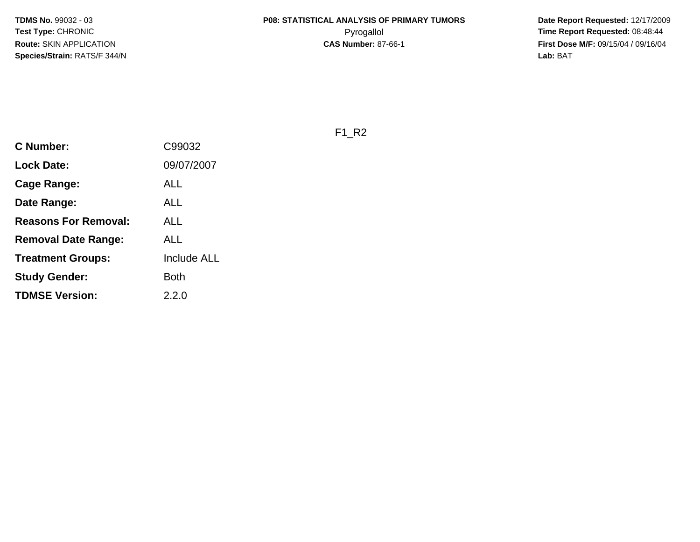**Date Report Requested:** 12/17/2009 **First Dose M/F:** 09/15/04 / 09/16/04<br>Lab: BAT **Lab:** BAT

F1\_R2

| <b>C Number:</b>            | C99032             |
|-----------------------------|--------------------|
| <b>Lock Date:</b>           | 09/07/2007         |
| <b>Cage Range:</b>          | ALL                |
| Date Range:                 | ALL                |
| <b>Reasons For Removal:</b> | ALL                |
| Removal Date Range:         | ALL                |
| <b>Treatment Groups:</b>    | <b>Include ALL</b> |
| <b>Study Gender:</b>        | Both               |
| <b>TDMSE Version:</b>       | 2.2.0              |
|                             |                    |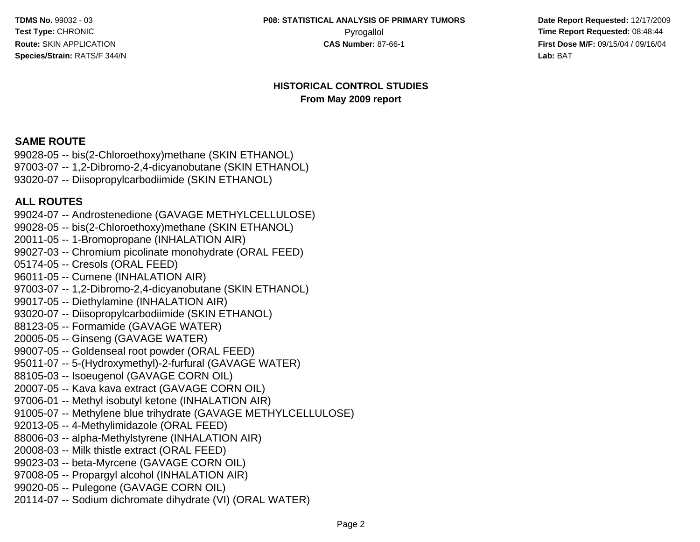**Date Report Requested:** 12/17/2009 Pyrogallol **Pyrogallol Pyrogallol Time Report Requested:** 08:48:44<br>**CAS Number:** 87-66-1 **Time Report Requested:** 09/15/04 / 09/16/04 **First Dose M/F:** 09/15/04 / 09/16/04 Lab: BAT **Lab:** BAT

#### **HISTORICAL CONTROL STUDIESFrom May 2009 report**

## **SAME ROUTE**

 99028-05 -- bis(2-Chloroethoxy)methane (SKIN ETHANOL) 97003-07 -- 1,2-Dibromo-2,4-dicyanobutane (SKIN ETHANOL)93020-07 -- Diisopropylcarbodiimide (SKIN ETHANOL)

#### **ALL ROUTES**

 99024-07 -- Androstenedione (GAVAGE METHYLCELLULOSE)99028-05 -- bis(2-Chloroethoxy)methane (SKIN ETHANOL)20011-05 -- 1-Bromopropane (INHALATION AIR) 99027-03 -- Chromium picolinate monohydrate (ORAL FEED)05174-05 -- Cresols (ORAL FEED) 96011-05 -- Cumene (INHALATION AIR) 97003-07 -- 1,2-Dibromo-2,4-dicyanobutane (SKIN ETHANOL)99017-05 -- Diethylamine (INHALATION AIR) 93020-07 -- Diisopropylcarbodiimide (SKIN ETHANOL)88123-05 -- Formamide (GAVAGE WATER)20005-05 -- Ginseng (GAVAGE WATER) 99007-05 -- Goldenseal root powder (ORAL FEED) 95011-07 -- 5-(Hydroxymethyl)-2-furfural (GAVAGE WATER)88105-03 -- Isoeugenol (GAVAGE CORN OIL) 20007-05 -- Kava kava extract (GAVAGE CORN OIL) 97006-01 -- Methyl isobutyl ketone (INHALATION AIR) 91005-07 -- Methylene blue trihydrate (GAVAGE METHYLCELLULOSE)92013-05 -- 4-Methylimidazole (ORAL FEED) 88006-03 -- alpha-Methylstyrene (INHALATION AIR)20008-03 -- Milk thistle extract (ORAL FEED) 99023-03 -- beta-Myrcene (GAVAGE CORN OIL) 97008-05 -- Propargyl alcohol (INHALATION AIR)99020-05 -- Pulegone (GAVAGE CORN OIL)20114-07 -- Sodium dichromate dihydrate (VI) (ORAL WATER)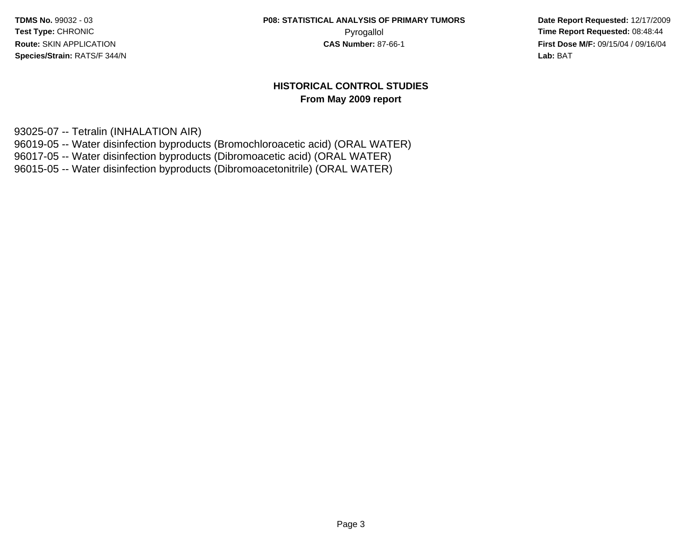**Date Report Requested:** 12/17/2009 Pyrogallol Pyrogallol **Pyrogallol Time Report Requested:** 08:48:44<br>**CAS Number:** 87-66-1 **Time Report Requested:** 09/15/04 / 09/16/04 **First Dose M/F:** 09/15/04 / 09/16/04 Lab: BAT **Lab:** BAT

#### **HISTORICAL CONTROL STUDIESFrom May 2009 report**

93025-07 -- Tetralin (INHALATION AIR)

96019-05 -- Water disinfection byproducts (Bromochloroacetic acid) (ORAL WATER)

96017-05 -- Water disinfection byproducts (Dibromoacetic acid) (ORAL WATER)

96015-05 -- Water disinfection byproducts (Dibromoacetonitrile) (ORAL WATER)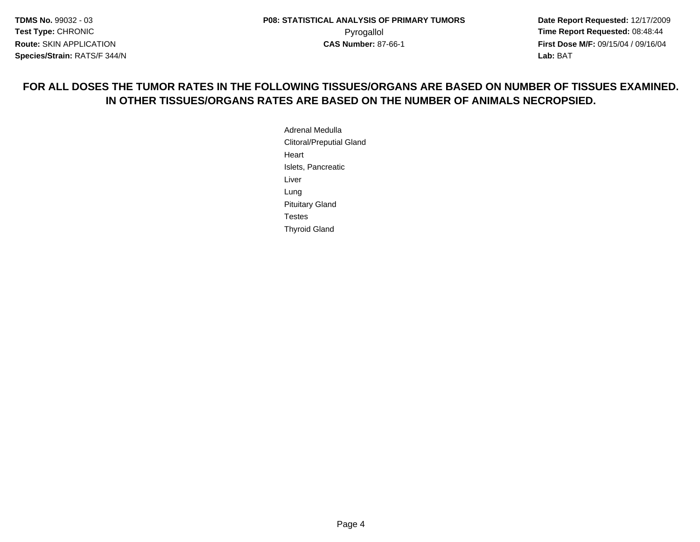**Date Report Requested:** 12/17/2009 **First Dose M/F:** 09/15/04 / 09/16/04 Lab: BAT **Lab:** BAT

# **FOR ALL DOSES THE TUMOR RATES IN THE FOLLOWING TISSUES/ORGANS ARE BASED ON NUMBER OF TISSUES EXAMINED.IN OTHER TISSUES/ORGANS RATES ARE BASED ON THE NUMBER OF ANIMALS NECROPSIED.**

Adrenal Medulla Clitoral/Preputial GlandHeartIslets, PancreaticLiverLung Pituitary GlandTestesThyroid Gland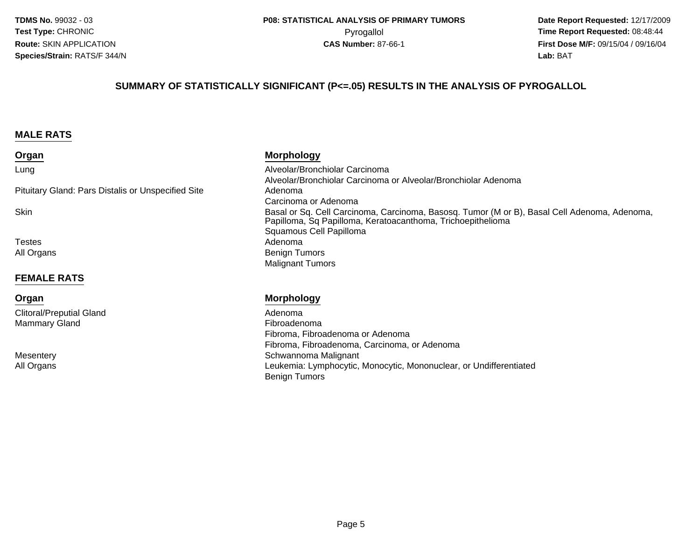**Date Report Requested:** 12/17/2009 Pyrogallol Pyrogallol **Pyrogallol Time Report Requested:** 08:48:44<br>**CAS Number:** 87-66-1 **Time Report Requested:** 09/15/04 / 09/16/04 **First Dose M/F:** 09/15/04 / 09/16/04 Lab: BAT **Lab:** BAT

#### **SUMMARY OF STATISTICALLY SIGNIFICANT (P<=.05) RESULTS IN THE ANALYSIS OF PYROGALLOL**

#### **MALE RATS**

#### **Organ**

#### Lung

Pituitary Gland: Pars Distalis or Unspecified Site

Skin

TestesAll Organs

#### **FEMALE RATS**

#### **Organ**

Clitoral/Preputial GlandMammary Gland

**Mesentery** All Organs

#### **Morphology**

 Alveolar/Bronchiolar Carcinoma Alveolar/Bronchiolar Carcinoma or Alveolar/Bronchiolar Adenoma Adenoma Carcinoma or Adenoma Basal or Sq. Cell Carcinoma, Carcinoma, Basosq. Tumor (M or B), Basal Cell Adenoma, Adenoma, Papilloma, Sq Papilloma, Keratoacanthoma, TrichoepitheliomaSquamous Cell Papillomas Adenoma s and the contract of the Benign Tumors of the Benign Tumors of the Second Second Second Second Second Second S Malignant Tumors

#### **Morphology**

 Adenoma Fibroadenoma Fibroma, Fibroadenoma or Adenoma Fibroma, Fibroadenoma, Carcinoma, or Adenoma Schwannoma Malignant Leukemia: Lymphocytic, Monocytic, Mononuclear, or UndifferentiatedBenign Tumors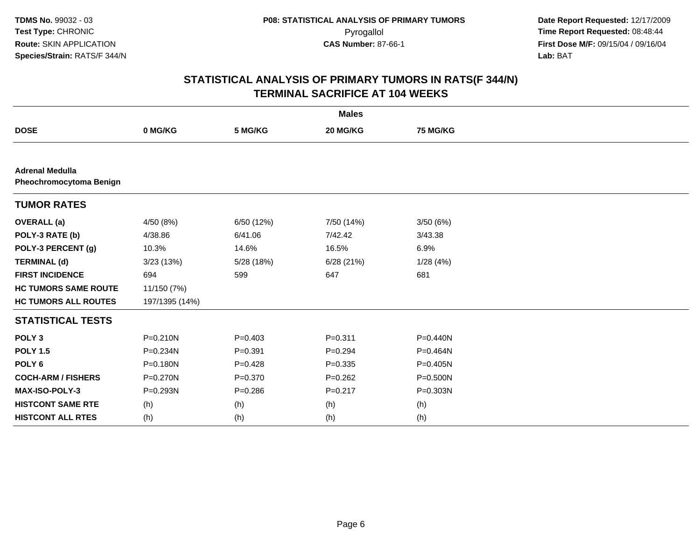| <b>Males</b>                                             |                |             |                 |          |  |  |
|----------------------------------------------------------|----------------|-------------|-----------------|----------|--|--|
| <b>DOSE</b>                                              | 0 MG/KG        | 5 MG/KG     | <b>20 MG/KG</b> | 75 MG/KG |  |  |
|                                                          |                |             |                 |          |  |  |
| <b>Adrenal Medulla</b><br><b>Pheochromocytoma Benign</b> |                |             |                 |          |  |  |
| <b>TUMOR RATES</b>                                       |                |             |                 |          |  |  |
| <b>OVERALL</b> (a)                                       | 4/50 (8%)      | 6/50 (12%)  | 7/50 (14%)      | 3/50(6%) |  |  |
| POLY-3 RATE (b)                                          | 4/38.86        | 6/41.06     | 7/42.42         | 3/43.38  |  |  |
| POLY-3 PERCENT (g)                                       | 10.3%          | 14.6%       | 16.5%           | 6.9%     |  |  |
| <b>TERMINAL (d)</b>                                      | 3/23 (13%)     | 5/28 (18%)  | 6/28(21%)       | 1/28(4%) |  |  |
| <b>FIRST INCIDENCE</b>                                   | 694            | 599         | 647             | 681      |  |  |
| <b>HC TUMORS SAME ROUTE</b>                              | 11/150 (7%)    |             |                 |          |  |  |
| <b>HC TUMORS ALL ROUTES</b>                              | 197/1395 (14%) |             |                 |          |  |  |
| <b>STATISTICAL TESTS</b>                                 |                |             |                 |          |  |  |
| POLY <sub>3</sub>                                        | $P = 0.210N$   | $P = 0.403$ | $P = 0.311$     | P=0.440N |  |  |
| <b>POLY 1.5</b>                                          | P=0.234N       | $P = 0.391$ | $P = 0.294$     | P=0.464N |  |  |
| POLY <sub>6</sub>                                        | $P = 0.180N$   | $P=0.428$   | $P = 0.335$     | P=0.405N |  |  |
| <b>COCH-ARM / FISHERS</b>                                | P=0.270N       | $P = 0.370$ | $P = 0.262$     | P=0.500N |  |  |
| <b>MAX-ISO-POLY-3</b>                                    | P=0.293N       | $P = 0.286$ | $P = 0.217$     | P=0.303N |  |  |
| <b>HISTCONT SAME RTE</b>                                 | (h)            | (h)         | (h)             | (h)      |  |  |
| <b>HISTCONT ALL RTES</b>                                 | (h)            | (h)         | (h)             | (h)      |  |  |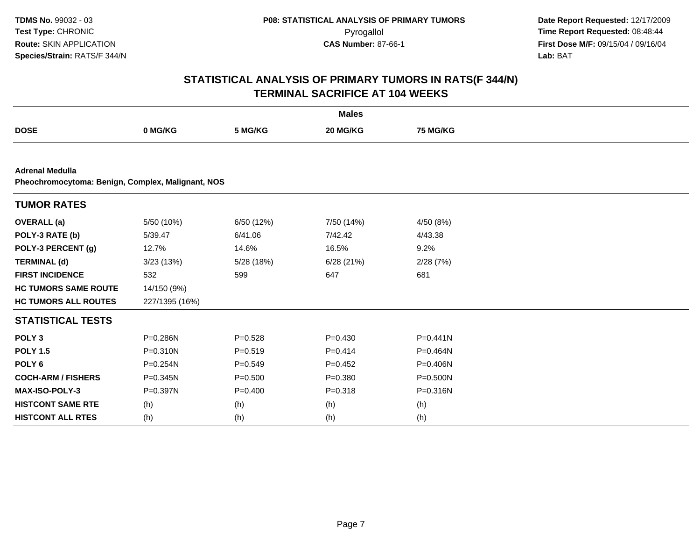|                                                                             |                |             | <b>Males</b> |                 |  |  |  |  |
|-----------------------------------------------------------------------------|----------------|-------------|--------------|-----------------|--|--|--|--|
| <b>DOSE</b>                                                                 | 0 MG/KG        | 5 MG/KG     | 20 MG/KG     | <b>75 MG/KG</b> |  |  |  |  |
|                                                                             |                |             |              |                 |  |  |  |  |
| <b>Adrenal Medulla</b><br>Pheochromocytoma: Benign, Complex, Malignant, NOS |                |             |              |                 |  |  |  |  |
| <b>TUMOR RATES</b>                                                          |                |             |              |                 |  |  |  |  |
| <b>OVERALL</b> (a)                                                          | 5/50 (10%)     | 6/50 (12%)  | 7/50 (14%)   | 4/50 (8%)       |  |  |  |  |
| POLY-3 RATE (b)                                                             | 5/39.47        | 6/41.06     | 7/42.42      | 4/43.38         |  |  |  |  |
| POLY-3 PERCENT (g)                                                          | 12.7%          | 14.6%       | 16.5%        | 9.2%            |  |  |  |  |
| <b>TERMINAL (d)</b>                                                         | 3/23(13%)      | 5/28 (18%)  | 6/28(21%)    | 2/28(7%)        |  |  |  |  |
| <b>FIRST INCIDENCE</b>                                                      | 532            | 599         | 647          | 681             |  |  |  |  |
| <b>HC TUMORS SAME ROUTE</b>                                                 | 14/150 (9%)    |             |              |                 |  |  |  |  |
| <b>HC TUMORS ALL ROUTES</b>                                                 | 227/1395 (16%) |             |              |                 |  |  |  |  |
| <b>STATISTICAL TESTS</b>                                                    |                |             |              |                 |  |  |  |  |
| POLY <sub>3</sub>                                                           | P=0.286N       | $P = 0.528$ | $P=0.430$    | $P=0.441N$      |  |  |  |  |
| <b>POLY 1.5</b>                                                             | P=0.310N       | $P = 0.519$ | $P=0.414$    | P=0.464N        |  |  |  |  |
| POLY <sub>6</sub>                                                           | $P = 0.254N$   | $P=0.549$   | $P=0.452$    | P=0.406N        |  |  |  |  |
| <b>COCH-ARM / FISHERS</b>                                                   | P=0.345N       | $P = 0.500$ | $P = 0.380$  | $P = 0.500N$    |  |  |  |  |
| <b>MAX-ISO-POLY-3</b>                                                       | P=0.397N       | $P=0.400$   | $P = 0.318$  | P=0.316N        |  |  |  |  |
| <b>HISTCONT SAME RTE</b>                                                    | (h)            | (h)         | (h)          | (h)             |  |  |  |  |
| <b>HISTCONT ALL RTES</b>                                                    | (h)            | (h)         | (h)          | (h)             |  |  |  |  |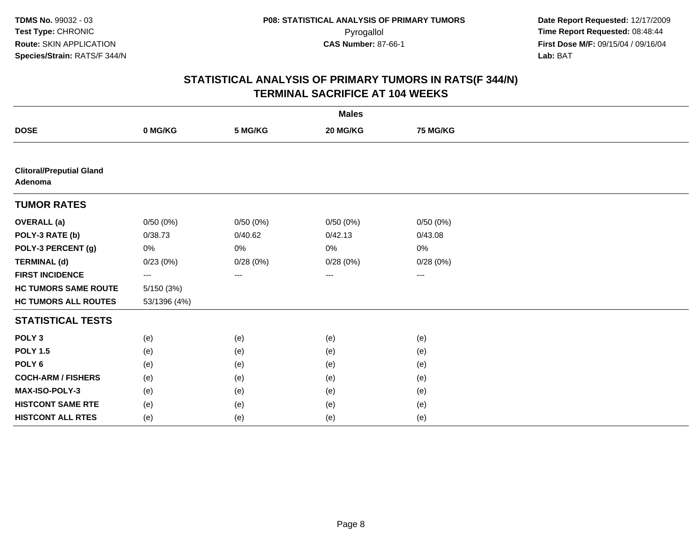|                                            |              |          | <b>Males</b> |                   |  |
|--------------------------------------------|--------------|----------|--------------|-------------------|--|
| <b>DOSE</b>                                | 0 MG/KG      | 5 MG/KG  | 20 MG/KG     | 75 MG/KG          |  |
|                                            |              |          |              |                   |  |
| <b>Clitoral/Preputial Gland</b><br>Adenoma |              |          |              |                   |  |
| <b>TUMOR RATES</b>                         |              |          |              |                   |  |
| <b>OVERALL</b> (a)                         | 0/50(0%)     | 0/50(0%) | 0/50(0%)     | 0/50(0%)          |  |
| POLY-3 RATE (b)                            | 0/38.73      | 0/40.62  | 0/42.13      | 0/43.08           |  |
| POLY-3 PERCENT (g)                         | 0%           | 0%       | 0%           | 0%                |  |
| <b>TERMINAL (d)</b>                        | 0/23(0%)     | 0/28(0%) | 0/28(0%)     | 0/28(0%)          |  |
| <b>FIRST INCIDENCE</b>                     | ---          | $\cdots$ | ---          | $\qquad \qquad -$ |  |
| <b>HC TUMORS SAME ROUTE</b>                | 5/150 (3%)   |          |              |                   |  |
| <b>HC TUMORS ALL ROUTES</b>                | 53/1396 (4%) |          |              |                   |  |
| <b>STATISTICAL TESTS</b>                   |              |          |              |                   |  |
| POLY <sub>3</sub>                          | (e)          | (e)      | (e)          | (e)               |  |
| <b>POLY 1.5</b>                            | (e)          | (e)      | (e)          | (e)               |  |
| POLY <sub>6</sub>                          | (e)          | (e)      | (e)          | (e)               |  |
| <b>COCH-ARM / FISHERS</b>                  | (e)          | (e)      | (e)          | (e)               |  |
| MAX-ISO-POLY-3                             | (e)          | (e)      | (e)          | (e)               |  |
| <b>HISTCONT SAME RTE</b>                   | (e)          | (e)      | (e)          | (e)               |  |
| <b>HISTCONT ALL RTES</b>                   | (e)          | (e)      | (e)          | (e)               |  |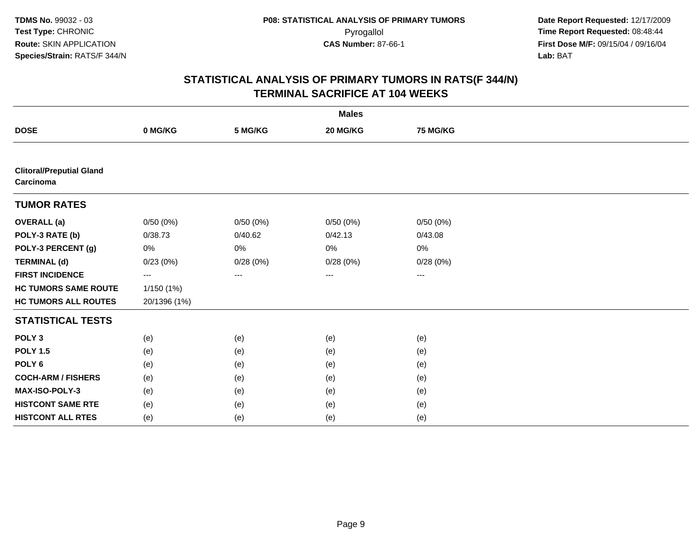|                                              |              |          | <b>Males</b> |                   |  |
|----------------------------------------------|--------------|----------|--------------|-------------------|--|
| <b>DOSE</b>                                  | 0 MG/KG      | 5 MG/KG  | 20 MG/KG     | 75 MG/KG          |  |
|                                              |              |          |              |                   |  |
| <b>Clitoral/Preputial Gland</b><br>Carcinoma |              |          |              |                   |  |
| <b>TUMOR RATES</b>                           |              |          |              |                   |  |
| <b>OVERALL</b> (a)                           | 0/50(0%)     | 0/50(0%) | 0/50(0%)     | 0/50(0%)          |  |
| POLY-3 RATE (b)                              | 0/38.73      | 0/40.62  | 0/42.13      | 0/43.08           |  |
| POLY-3 PERCENT (g)                           | 0%           | 0%       | 0%           | 0%                |  |
| <b>TERMINAL (d)</b>                          | 0/23(0%)     | 0/28(0%) | 0/28(0%)     | 0/28(0%)          |  |
| <b>FIRST INCIDENCE</b>                       | ---          | $\cdots$ | ---          | $\qquad \qquad -$ |  |
| <b>HC TUMORS SAME ROUTE</b>                  | 1/150 (1%)   |          |              |                   |  |
| <b>HC TUMORS ALL ROUTES</b>                  | 20/1396 (1%) |          |              |                   |  |
| <b>STATISTICAL TESTS</b>                     |              |          |              |                   |  |
| POLY <sub>3</sub>                            | (e)          | (e)      | (e)          | (e)               |  |
| <b>POLY 1.5</b>                              | (e)          | (e)      | (e)          | (e)               |  |
| POLY <sub>6</sub>                            | (e)          | (e)      | (e)          | (e)               |  |
| <b>COCH-ARM / FISHERS</b>                    | (e)          | (e)      | (e)          | (e)               |  |
| MAX-ISO-POLY-3                               | (e)          | (e)      | (e)          | (e)               |  |
| <b>HISTCONT SAME RTE</b>                     | (e)          | (e)      | (e)          | (e)               |  |
| <b>HISTCONT ALL RTES</b>                     | (e)          | (e)      | (e)          | (e)               |  |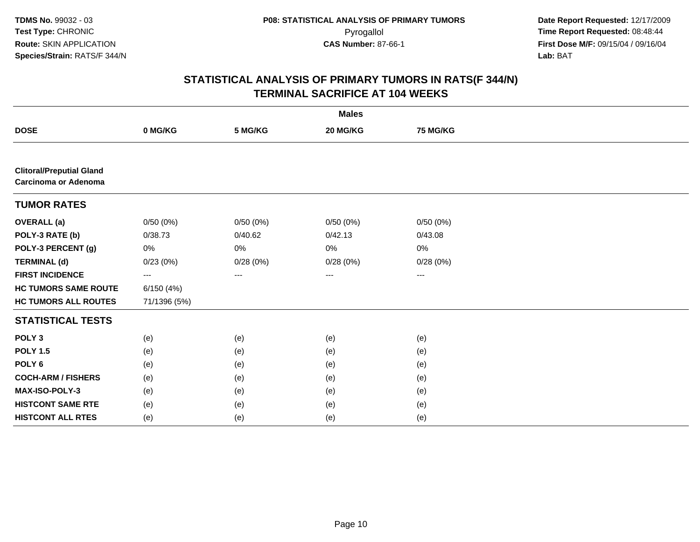|                                                         |              |          | <b>Males</b>      |                   |  |
|---------------------------------------------------------|--------------|----------|-------------------|-------------------|--|
| <b>DOSE</b>                                             | 0 MG/KG      | 5 MG/KG  | 20 MG/KG          | 75 MG/KG          |  |
|                                                         |              |          |                   |                   |  |
| <b>Clitoral/Preputial Gland</b><br>Carcinoma or Adenoma |              |          |                   |                   |  |
| <b>TUMOR RATES</b>                                      |              |          |                   |                   |  |
| <b>OVERALL</b> (a)                                      | 0/50(0%)     | 0/50(0%) | 0/50(0%)          | 0/50(0%)          |  |
| POLY-3 RATE (b)                                         | 0/38.73      | 0/40.62  | 0/42.13           | 0/43.08           |  |
| POLY-3 PERCENT (g)                                      | 0%           | 0%       | 0%                | 0%                |  |
| <b>TERMINAL (d)</b>                                     | 0/23(0%)     | 0/28(0%) | 0/28(0%)          | 0/28(0%)          |  |
| <b>FIRST INCIDENCE</b>                                  | ---          | $\cdots$ | $\qquad \qquad -$ | $\qquad \qquad -$ |  |
| <b>HC TUMORS SAME ROUTE</b>                             | 6/150 (4%)   |          |                   |                   |  |
| <b>HC TUMORS ALL ROUTES</b>                             | 71/1396 (5%) |          |                   |                   |  |
| <b>STATISTICAL TESTS</b>                                |              |          |                   |                   |  |
| POLY <sub>3</sub>                                       | (e)          | (e)      | (e)               | (e)               |  |
| <b>POLY 1.5</b>                                         | (e)          | (e)      | (e)               | (e)               |  |
| POLY <sub>6</sub>                                       | (e)          | (e)      | (e)               | (e)               |  |
| <b>COCH-ARM / FISHERS</b>                               | (e)          | (e)      | (e)               | (e)               |  |
| MAX-ISO-POLY-3                                          | (e)          | (e)      | (e)               | (e)               |  |
| <b>HISTCONT SAME RTE</b>                                | (e)          | (e)      | (e)               | (e)               |  |
| <b>HISTCONT ALL RTES</b>                                | (e)          | (e)      | (e)               | (e)               |  |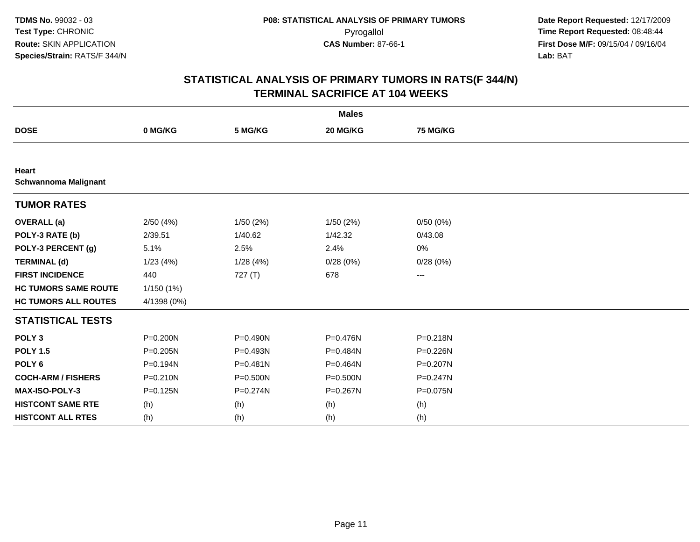|                                      |              |              | <b>Males</b> |                   |  |
|--------------------------------------|--------------|--------------|--------------|-------------------|--|
| <b>DOSE</b>                          | 0 MG/KG      | 5 MG/KG      | 20 MG/KG     | <b>75 MG/KG</b>   |  |
|                                      |              |              |              |                   |  |
| Heart<br><b>Schwannoma Malignant</b> |              |              |              |                   |  |
| <b>TUMOR RATES</b>                   |              |              |              |                   |  |
| <b>OVERALL</b> (a)                   | 2/50(4%)     | 1/50(2%)     | 1/50(2%)     | 0/50(0%)          |  |
| POLY-3 RATE (b)                      | 2/39.51      | 1/40.62      | 1/42.32      | 0/43.08           |  |
| POLY-3 PERCENT (g)                   | 5.1%         | 2.5%         | 2.4%         | 0%                |  |
| <b>TERMINAL (d)</b>                  | 1/23(4%)     | 1/28(4%)     | 0/28(0%)     | 0/28(0%)          |  |
| <b>FIRST INCIDENCE</b>               | 440          | 727(T)       | 678          | $\qquad \qquad -$ |  |
| <b>HC TUMORS SAME ROUTE</b>          | 1/150 (1%)   |              |              |                   |  |
| <b>HC TUMORS ALL ROUTES</b>          | 4/1398 (0%)  |              |              |                   |  |
| <b>STATISTICAL TESTS</b>             |              |              |              |                   |  |
| POLY <sub>3</sub>                    | P=0.200N     | P=0.490N     | P=0.476N     | $P = 0.218N$      |  |
| <b>POLY 1.5</b>                      | $P = 0.205N$ | P=0.493N     | P=0.484N     | $P = 0.226N$      |  |
| POLY <sub>6</sub>                    | P=0.194N     | $P = 0.481N$ | P=0.464N     | P=0.207N          |  |
| <b>COCH-ARM / FISHERS</b>            | $P = 0.210N$ | P=0.500N     | P=0.500N     | P=0.247N          |  |
| MAX-ISO-POLY-3                       | $P = 0.125N$ | $P = 0.274N$ | P=0.267N     | P=0.075N          |  |
| <b>HISTCONT SAME RTE</b>             | (h)          | (h)          | (h)          | (h)               |  |
| <b>HISTCONT ALL RTES</b>             | (h)          | (h)          | (h)          | (h)               |  |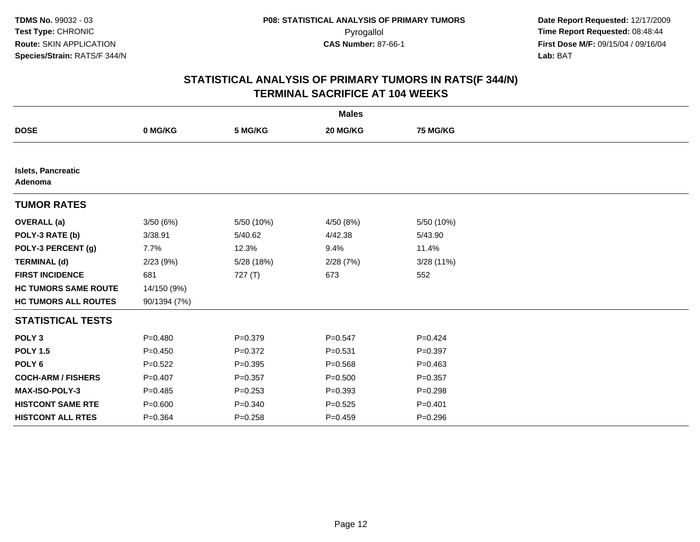|                                      |              |             | <b>Males</b> |                 |  |
|--------------------------------------|--------------|-------------|--------------|-----------------|--|
| <b>DOSE</b>                          | 0 MG/KG      | 5 MG/KG     | 20 MG/KG     | <b>75 MG/KG</b> |  |
|                                      |              |             |              |                 |  |
| <b>Islets, Pancreatic</b><br>Adenoma |              |             |              |                 |  |
| <b>TUMOR RATES</b>                   |              |             |              |                 |  |
| <b>OVERALL</b> (a)                   | 3/50(6%)     | 5/50 (10%)  | 4/50 (8%)    | 5/50 (10%)      |  |
| POLY-3 RATE (b)                      | 3/38.91      | 5/40.62     | 4/42.38      | 5/43.90         |  |
| POLY-3 PERCENT (g)                   | 7.7%         | 12.3%       | 9.4%         | 11.4%           |  |
| <b>TERMINAL (d)</b>                  | 2/23(9%)     | 5/28 (18%)  | 2/28(7%)     | 3/28(11%)       |  |
| <b>FIRST INCIDENCE</b>               | 681          | 727(T)      | 673          | 552             |  |
| <b>HC TUMORS SAME ROUTE</b>          | 14/150 (9%)  |             |              |                 |  |
| <b>HC TUMORS ALL ROUTES</b>          | 90/1394 (7%) |             |              |                 |  |
| <b>STATISTICAL TESTS</b>             |              |             |              |                 |  |
| POLY <sub>3</sub>                    | $P=0.480$    | $P = 0.379$ | $P = 0.547$  | $P=0.424$       |  |
| <b>POLY 1.5</b>                      | $P=0.450$    | $P = 0.372$ | $P = 0.531$  | $P = 0.397$     |  |
| POLY <sub>6</sub>                    | $P=0.522$    | $P = 0.395$ | $P = 0.568$  | $P=0.463$       |  |
| <b>COCH-ARM / FISHERS</b>            | $P=0.407$    | $P=0.357$   | $P = 0.500$  | $P = 0.357$     |  |
| <b>MAX-ISO-POLY-3</b>                | $P = 0.485$  | $P = 0.253$ | $P = 0.393$  | $P = 0.298$     |  |
| <b>HISTCONT SAME RTE</b>             | $P = 0.600$  | $P = 0.340$ | $P = 0.525$  | $P = 0.401$     |  |
| <b>HISTCONT ALL RTES</b>             | $P = 0.364$  | $P = 0.258$ | $P=0.459$    | $P = 0.296$     |  |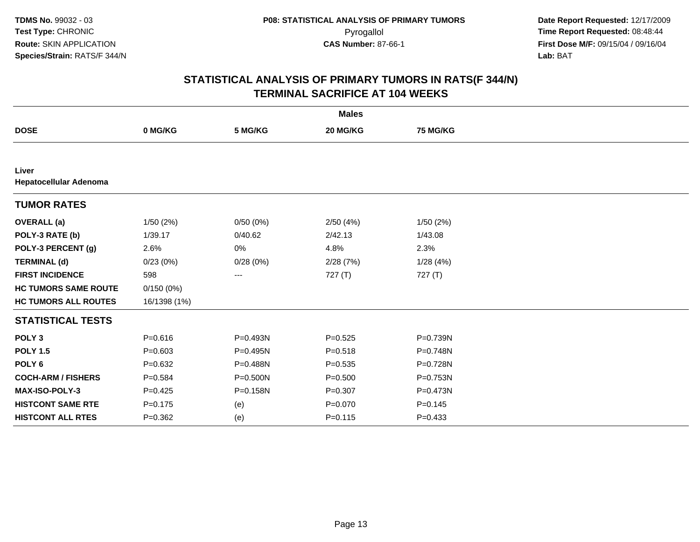|                                 |              |          | <b>Males</b> |             |  |
|---------------------------------|--------------|----------|--------------|-------------|--|
| <b>DOSE</b>                     | 0 MG/KG      | 5 MG/KG  | 20 MG/KG     | 75 MG/KG    |  |
|                                 |              |          |              |             |  |
| Liver<br>Hepatocellular Adenoma |              |          |              |             |  |
| <b>TUMOR RATES</b>              |              |          |              |             |  |
| <b>OVERALL</b> (a)              | 1/50(2%)     | 0/50(0%) | 2/50(4%)     | 1/50(2%)    |  |
| POLY-3 RATE (b)                 | 1/39.17      | 0/40.62  | 2/42.13      | 1/43.08     |  |
| POLY-3 PERCENT (g)              | 2.6%         | 0%       | 4.8%         | 2.3%        |  |
| <b>TERMINAL (d)</b>             | 0/23(0%)     | 0/28(0%) | 2/28(7%)     | 1/28(4%)    |  |
| <b>FIRST INCIDENCE</b>          | 598          | $\cdots$ | 727(T)       | 727(T)      |  |
| <b>HC TUMORS SAME ROUTE</b>     | 0/150(0%)    |          |              |             |  |
| <b>HC TUMORS ALL ROUTES</b>     | 16/1398 (1%) |          |              |             |  |
| <b>STATISTICAL TESTS</b>        |              |          |              |             |  |
| POLY <sub>3</sub>               | $P = 0.616$  | P=0.493N | $P=0.525$    | P=0.739N    |  |
| <b>POLY 1.5</b>                 | $P = 0.603$  | P=0.495N | $P = 0.518$  | P=0.748N    |  |
| POLY <sub>6</sub>               | $P = 0.632$  | P=0.488N | $P = 0.535$  | P=0.728N    |  |
| <b>COCH-ARM / FISHERS</b>       | $P = 0.584$  | P=0.500N | $P = 0.500$  | P=0.753N    |  |
| MAX-ISO-POLY-3                  | $P=0.425$    | P=0.158N | $P = 0.307$  | P=0.473N    |  |
| <b>HISTCONT SAME RTE</b>        | $P = 0.175$  | (e)      | $P = 0.070$  | $P = 0.145$ |  |
| <b>HISTCONT ALL RTES</b>        | $P = 0.362$  | (e)      | $P = 0.115$  | $P = 0.433$ |  |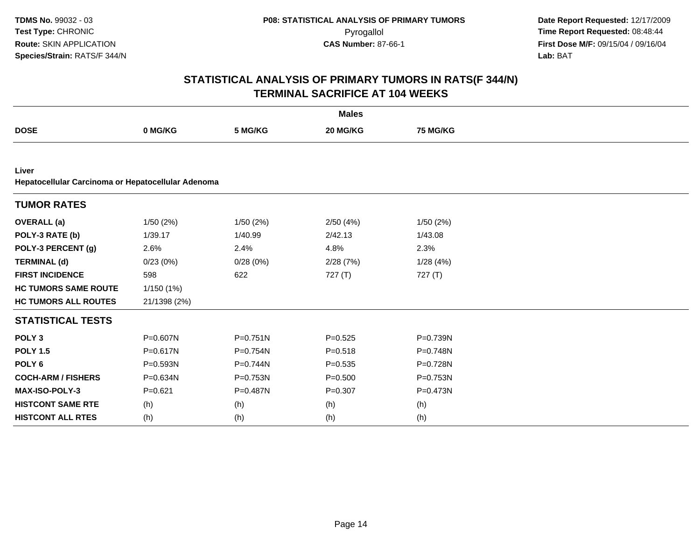|                                                             |              |              | <b>Males</b> |                 |
|-------------------------------------------------------------|--------------|--------------|--------------|-----------------|
| <b>DOSE</b>                                                 | 0 MG/KG      | 5 MG/KG      | 20 MG/KG     | <b>75 MG/KG</b> |
|                                                             |              |              |              |                 |
| Liver<br>Hepatocellular Carcinoma or Hepatocellular Adenoma |              |              |              |                 |
| <b>TUMOR RATES</b>                                          |              |              |              |                 |
| <b>OVERALL</b> (a)                                          | 1/50(2%)     | 1/50(2%)     | 2/50(4%)     | 1/50(2%)        |
| POLY-3 RATE (b)                                             | 1/39.17      | 1/40.99      | 2/42.13      | 1/43.08         |
| POLY-3 PERCENT (g)                                          | 2.6%         | 2.4%         | 4.8%         | 2.3%            |
| <b>TERMINAL (d)</b>                                         | 0/23(0%)     | 0/28(0%)     | 2/28(7%)     | 1/28(4%)        |
| <b>FIRST INCIDENCE</b>                                      | 598          | 622          | 727(T)       | 727(T)          |
| <b>HC TUMORS SAME ROUTE</b>                                 | 1/150(1%)    |              |              |                 |
| <b>HC TUMORS ALL ROUTES</b>                                 | 21/1398 (2%) |              |              |                 |
| <b>STATISTICAL TESTS</b>                                    |              |              |              |                 |
| POLY <sub>3</sub>                                           | P=0.607N     | $P = 0.751N$ | $P=0.525$    | $P = 0.739N$    |
| <b>POLY 1.5</b>                                             | $P = 0.617N$ | P=0.754N     | $P = 0.518$  | P=0.748N        |
| POLY <sub>6</sub>                                           | P=0.593N     | $P=0.744N$   | $P = 0.535$  | P=0.728N        |
| <b>COCH-ARM / FISHERS</b>                                   | P=0.634N     | P=0.753N     | $P = 0.500$  | P=0.753N        |
| MAX-ISO-POLY-3                                              | $P=0.621$    | P=0.487N     | $P = 0.307$  | P=0.473N        |
| <b>HISTCONT SAME RTE</b>                                    | (h)          | (h)          | (h)          | (h)             |
| <b>HISTCONT ALL RTES</b>                                    | (h)          | (h)          | (h)          | (h)             |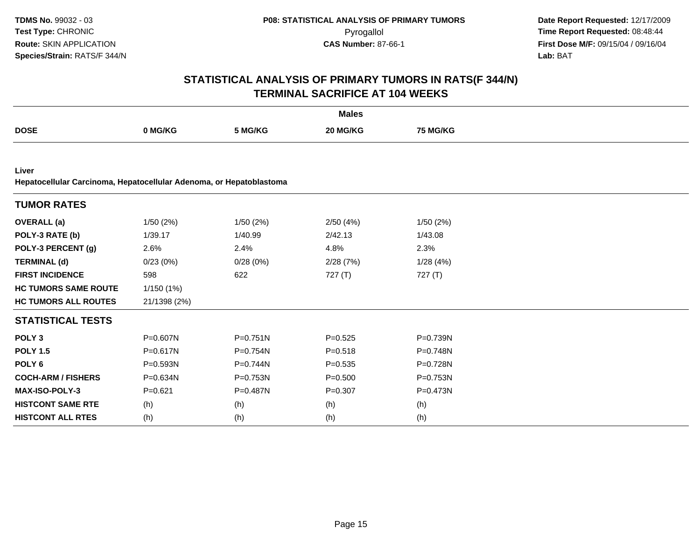|                                                                              |              |              | <b>Males</b> |           |  |
|------------------------------------------------------------------------------|--------------|--------------|--------------|-----------|--|
| <b>DOSE</b>                                                                  | 0 MG/KG      | 5 MG/KG      | 20 MG/KG     | 75 MG/KG  |  |
|                                                                              |              |              |              |           |  |
| Liver<br>Hepatocellular Carcinoma, Hepatocellular Adenoma, or Hepatoblastoma |              |              |              |           |  |
| <b>TUMOR RATES</b>                                                           |              |              |              |           |  |
| <b>OVERALL</b> (a)                                                           | 1/50(2%)     | 1/50(2%)     | 2/50(4%)     | 1/50(2%)  |  |
| POLY-3 RATE (b)                                                              | 1/39.17      | 1/40.99      | 2/42.13      | 1/43.08   |  |
| POLY-3 PERCENT (g)                                                           | 2.6%         | 2.4%         | 4.8%         | 2.3%      |  |
| <b>TERMINAL (d)</b>                                                          | 0/23(0%)     | 0/28(0%)     | 2/28(7%)     | 1/28(4%)  |  |
| <b>FIRST INCIDENCE</b>                                                       | 598          | 622          | 727(T)       | 727 $(T)$ |  |
| <b>HC TUMORS SAME ROUTE</b>                                                  | 1/150(1%)    |              |              |           |  |
| <b>HC TUMORS ALL ROUTES</b>                                                  | 21/1398 (2%) |              |              |           |  |
| <b>STATISTICAL TESTS</b>                                                     |              |              |              |           |  |
| POLY <sub>3</sub>                                                            | P=0.607N     | $P = 0.751N$ | $P = 0.525$  | P=0.739N  |  |
| <b>POLY 1.5</b>                                                              | P=0.617N     | P=0.754N     | $P = 0.518$  | P=0.748N  |  |
| POLY <sub>6</sub>                                                            | P=0.593N     | P=0.744N     | $P = 0.535$  | P=0.728N  |  |
| <b>COCH-ARM / FISHERS</b>                                                    | P=0.634N     | P=0.753N     | $P = 0.500$  | P=0.753N  |  |
| <b>MAX-ISO-POLY-3</b>                                                        | $P = 0.621$  | P=0.487N     | $P = 0.307$  | P=0.473N  |  |
| <b>HISTCONT SAME RTE</b>                                                     | (h)          | (h)          | (h)          | (h)       |  |
| <b>HISTCONT ALL RTES</b>                                                     | (h)          | (h)          | (h)          | (h)       |  |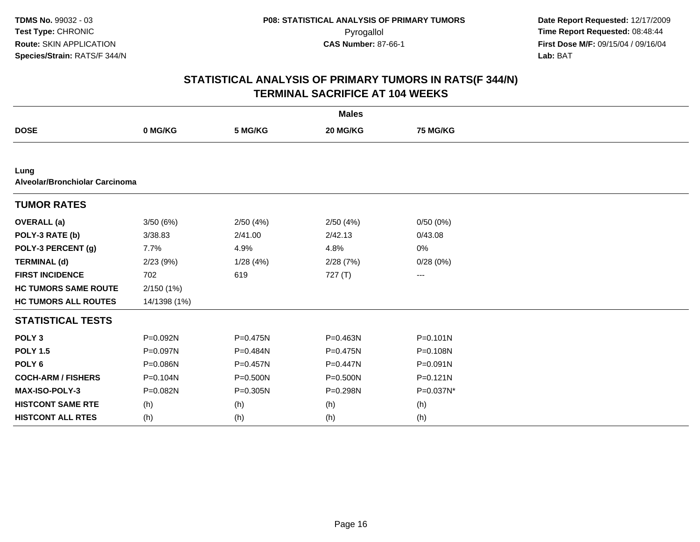|                                        |              |          | <b>Males</b> |                 |  |
|----------------------------------------|--------------|----------|--------------|-----------------|--|
| <b>DOSE</b>                            | 0 MG/KG      | 5 MG/KG  | 20 MG/KG     | <b>75 MG/KG</b> |  |
|                                        |              |          |              |                 |  |
| Lung<br>Alveolar/Bronchiolar Carcinoma |              |          |              |                 |  |
| <b>TUMOR RATES</b>                     |              |          |              |                 |  |
| <b>OVERALL</b> (a)                     | 3/50(6%)     | 2/50(4%) | 2/50(4%)     | 0/50(0%)        |  |
| POLY-3 RATE (b)                        | 3/38.83      | 2/41.00  | 2/42.13      | 0/43.08         |  |
| POLY-3 PERCENT (g)                     | 7.7%         | 4.9%     | 4.8%         | 0%              |  |
| <b>TERMINAL (d)</b>                    | 2/23(9%)     | 1/28(4%) | 2/28(7%)     | 0/28(0%)        |  |
| <b>FIRST INCIDENCE</b>                 | 702          | 619      | 727 (T)      | ---             |  |
| <b>HC TUMORS SAME ROUTE</b>            | 2/150(1%)    |          |              |                 |  |
| <b>HC TUMORS ALL ROUTES</b>            | 14/1398 (1%) |          |              |                 |  |
| <b>STATISTICAL TESTS</b>               |              |          |              |                 |  |
| POLY <sub>3</sub>                      | P=0.092N     | P=0.475N | P=0.463N     | $P = 0.101N$    |  |
| <b>POLY 1.5</b>                        | P=0.097N     | P=0.484N | $P = 0.475N$ | $P = 0.108N$    |  |
| POLY <sub>6</sub>                      | P=0.086N     | P=0.457N | P=0.447N     | $P = 0.091N$    |  |
| <b>COCH-ARM / FISHERS</b>              | P=0.104N     | P=0.500N | $P = 0.500N$ | $P = 0.121N$    |  |
| MAX-ISO-POLY-3                         | P=0.082N     | P=0.305N | P=0.298N     | P=0.037N*       |  |
| <b>HISTCONT SAME RTE</b>               | (h)          | (h)      | (h)          | (h)             |  |
| <b>HISTCONT ALL RTES</b>               | (h)          | (h)      | (h)          | (h)             |  |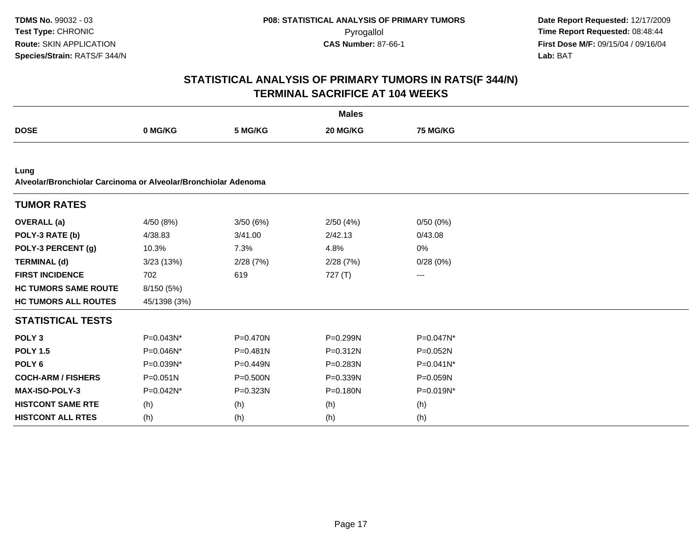|                                                                        |              |              | <b>Males</b> |                 |  |  |  |  |  |
|------------------------------------------------------------------------|--------------|--------------|--------------|-----------------|--|--|--|--|--|
| <b>DOSE</b>                                                            | 0 MG/KG      | 5 MG/KG      | 20 MG/KG     | <b>75 MG/KG</b> |  |  |  |  |  |
|                                                                        |              |              |              |                 |  |  |  |  |  |
| Lung<br>Alveolar/Bronchiolar Carcinoma or Alveolar/Bronchiolar Adenoma |              |              |              |                 |  |  |  |  |  |
| <b>TUMOR RATES</b>                                                     |              |              |              |                 |  |  |  |  |  |
| <b>OVERALL</b> (a)                                                     | 4/50 (8%)    | 3/50(6%)     | 2/50(4%)     | 0/50(0%)        |  |  |  |  |  |
| POLY-3 RATE (b)                                                        | 4/38.83      | 3/41.00      | 2/42.13      | 0/43.08         |  |  |  |  |  |
| POLY-3 PERCENT (g)                                                     | 10.3%        | 7.3%         | 4.8%         | 0%              |  |  |  |  |  |
| <b>TERMINAL (d)</b>                                                    | 3/23(13%)    | 2/28(7%)     | 2/28(7%)     | 0/28(0%)        |  |  |  |  |  |
| <b>FIRST INCIDENCE</b>                                                 | 702          | 619          | 727(T)       | ---             |  |  |  |  |  |
| <b>HC TUMORS SAME ROUTE</b>                                            | 8/150 (5%)   |              |              |                 |  |  |  |  |  |
| <b>HC TUMORS ALL ROUTES</b>                                            | 45/1398 (3%) |              |              |                 |  |  |  |  |  |
| <b>STATISTICAL TESTS</b>                                               |              |              |              |                 |  |  |  |  |  |
| POLY <sub>3</sub>                                                      | P=0.043N*    | P=0.470N     | P=0.299N     | P=0.047N*       |  |  |  |  |  |
| <b>POLY 1.5</b>                                                        | P=0.046N*    | $P = 0.481N$ | $P = 0.312N$ | P=0.052N        |  |  |  |  |  |
| POLY <sub>6</sub>                                                      | P=0.039N*    | P=0.449N     | P=0.283N     | P=0.041N*       |  |  |  |  |  |
| <b>COCH-ARM / FISHERS</b>                                              | $P = 0.051N$ | $P = 0.500N$ | P=0.339N     | P=0.059N        |  |  |  |  |  |
| <b>MAX-ISO-POLY-3</b>                                                  | P=0.042N*    | $P = 0.323N$ | $P = 0.180N$ | P=0.019N*       |  |  |  |  |  |
| <b>HISTCONT SAME RTE</b>                                               | (h)          | (h)          | (h)          | (h)             |  |  |  |  |  |
| <b>HISTCONT ALL RTES</b>                                               | (h)          | (h)          | (h)          | (h)             |  |  |  |  |  |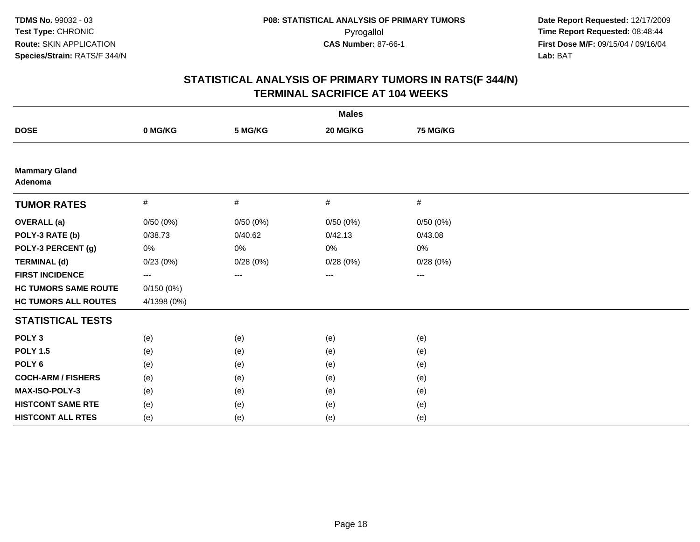| <b>Males</b>                    |             |          |          |                        |  |  |
|---------------------------------|-------------|----------|----------|------------------------|--|--|
| <b>DOSE</b>                     | 0 MG/KG     | 5 MG/KG  | 20 MG/KG | 75 MG/KG               |  |  |
|                                 |             |          |          |                        |  |  |
| <b>Mammary Gland</b><br>Adenoma |             |          |          |                        |  |  |
| <b>TUMOR RATES</b>              | $\#$        | $\#$     | #        | #                      |  |  |
| <b>OVERALL</b> (a)              | 0/50(0%)    | 0/50(0%) | 0/50(0%) | 0/50(0%)               |  |  |
| POLY-3 RATE (b)                 | 0/38.73     | 0/40.62  | 0/42.13  | 0/43.08                |  |  |
| POLY-3 PERCENT (g)              | 0%          | $0\%$    | $0\%$    | 0%                     |  |  |
| <b>TERMINAL (d)</b>             | 0/23(0%)    | 0/28(0%) | 0/28(0%) | 0/28(0%)               |  |  |
| <b>FIRST INCIDENCE</b>          | ---         | $---$    | ---      | $\qquad \qquad \cdots$ |  |  |
| <b>HC TUMORS SAME ROUTE</b>     | 0/150(0%)   |          |          |                        |  |  |
| <b>HC TUMORS ALL ROUTES</b>     | 4/1398 (0%) |          |          |                        |  |  |
| <b>STATISTICAL TESTS</b>        |             |          |          |                        |  |  |
| POLY <sub>3</sub>               | (e)         | (e)      | (e)      | (e)                    |  |  |
| <b>POLY 1.5</b>                 | (e)         | (e)      | (e)      | (e)                    |  |  |
| POLY <sub>6</sub>               | (e)         | (e)      | (e)      | (e)                    |  |  |
| <b>COCH-ARM / FISHERS</b>       | (e)         | (e)      | (e)      | (e)                    |  |  |
| MAX-ISO-POLY-3                  | (e)         | (e)      | (e)      | (e)                    |  |  |
| <b>HISTCONT SAME RTE</b>        | (e)         | (e)      | (e)      | (e)                    |  |  |
| <b>HISTCONT ALL RTES</b>        | (e)         | (e)      | (e)      | (e)                    |  |  |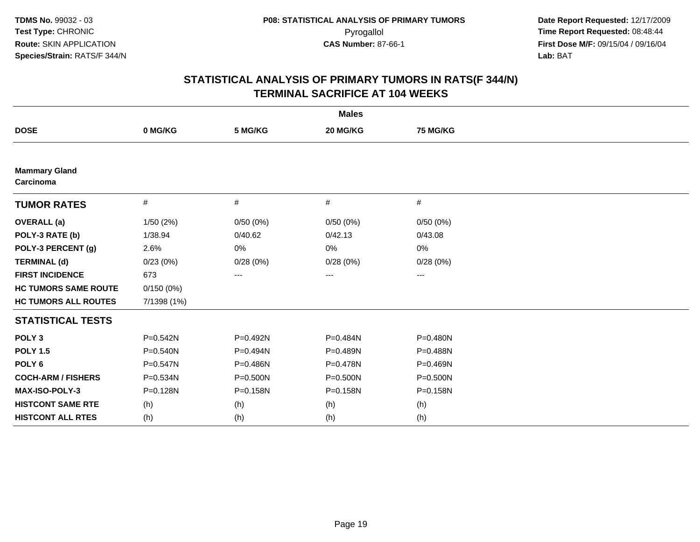|                                   |              |          | <b>Males</b> |                   |  |
|-----------------------------------|--------------|----------|--------------|-------------------|--|
| <b>DOSE</b>                       | 0 MG/KG      | 5 MG/KG  | 20 MG/KG     | 75 MG/KG          |  |
|                                   |              |          |              |                   |  |
| <b>Mammary Gland</b><br>Carcinoma |              |          |              |                   |  |
| <b>TUMOR RATES</b>                | $\#$         | #        | #            | #                 |  |
| <b>OVERALL</b> (a)                | 1/50(2%)     | 0/50(0%) | 0/50(0%)     | 0/50(0%)          |  |
| POLY-3 RATE (b)                   | 1/38.94      | 0/40.62  | 0/42.13      | 0/43.08           |  |
| POLY-3 PERCENT (g)                | 2.6%         | 0%       | 0%           | 0%                |  |
| <b>TERMINAL (d)</b>               | 0/23(0%)     | 0/28(0%) | 0/28(0%)     | 0/28(0%)          |  |
| <b>FIRST INCIDENCE</b>            | 673          | ---      | $\cdots$     | $\qquad \qquad -$ |  |
| <b>HC TUMORS SAME ROUTE</b>       | 0/150(0%)    |          |              |                   |  |
| <b>HC TUMORS ALL ROUTES</b>       | 7/1398 (1%)  |          |              |                   |  |
| <b>STATISTICAL TESTS</b>          |              |          |              |                   |  |
| POLY <sub>3</sub>                 | P=0.542N     | P=0.492N | P=0.484N     | $P = 0.480N$      |  |
| <b>POLY 1.5</b>                   | $P = 0.540N$ | P=0.494N | P=0.489N     | P=0.488N          |  |
| POLY <sub>6</sub>                 | P=0.547N     | P=0.486N | P=0.478N     | P=0.469N          |  |
| <b>COCH-ARM / FISHERS</b>         | P=0.534N     | P=0.500N | P=0.500N     | P=0.500N          |  |
| MAX-ISO-POLY-3                    | P=0.128N     | P=0.158N | P=0.158N     | P=0.158N          |  |
| <b>HISTCONT SAME RTE</b>          | (h)          | (h)      | (h)          | (h)               |  |
| <b>HISTCONT ALL RTES</b>          | (h)          | (h)      | (h)          | (h)               |  |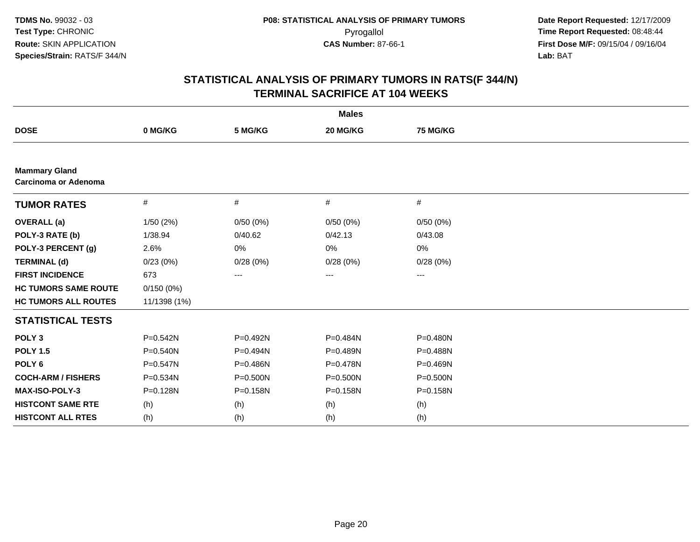|                                                     |              |            | <b>Males</b> |                 |  |
|-----------------------------------------------------|--------------|------------|--------------|-----------------|--|
| <b>DOSE</b>                                         | 0 MG/KG      | 5 MG/KG    | 20 MG/KG     | <b>75 MG/KG</b> |  |
|                                                     |              |            |              |                 |  |
| <b>Mammary Gland</b><br><b>Carcinoma or Adenoma</b> |              |            |              |                 |  |
| <b>TUMOR RATES</b>                                  | $\#$         | #          | #            | #               |  |
| <b>OVERALL</b> (a)                                  | 1/50(2%)     | 0/50(0%)   | 0/50(0%)     | 0/50(0%)        |  |
| POLY-3 RATE (b)                                     | 1/38.94      | 0/40.62    | 0/42.13      | 0/43.08         |  |
| POLY-3 PERCENT (g)                                  | 2.6%         | 0%         | 0%           | 0%              |  |
| <b>TERMINAL (d)</b>                                 | 0/23(0%)     | 0/28(0%)   | 0/28(0%)     | 0/28(0%)        |  |
| <b>FIRST INCIDENCE</b>                              | 673          | ---        | ---          | ---             |  |
| <b>HC TUMORS SAME ROUTE</b>                         | 0/150(0%)    |            |              |                 |  |
| <b>HC TUMORS ALL ROUTES</b>                         | 11/1398 (1%) |            |              |                 |  |
| <b>STATISTICAL TESTS</b>                            |              |            |              |                 |  |
| POLY <sub>3</sub>                                   | $P = 0.542N$ | P=0.492N   | P=0.484N     | P=0.480N        |  |
| <b>POLY 1.5</b>                                     | $P = 0.540N$ | $P=0.494N$ | P=0.489N     | $P = 0.488N$    |  |
| POLY <sub>6</sub>                                   | $P = 0.547N$ | P=0.486N   | P=0.478N     | P=0.469N        |  |
| <b>COCH-ARM / FISHERS</b>                           | P=0.534N     | P=0.500N   | P=0.500N     | P=0.500N        |  |
| MAX-ISO-POLY-3                                      | P=0.128N     | P=0.158N   | P=0.158N     | P=0.158N        |  |
| <b>HISTCONT SAME RTE</b>                            | (h)          | (h)        | (h)          | (h)             |  |
| <b>HISTCONT ALL RTES</b>                            | (h)          | (h)        | (h)          | (h)             |  |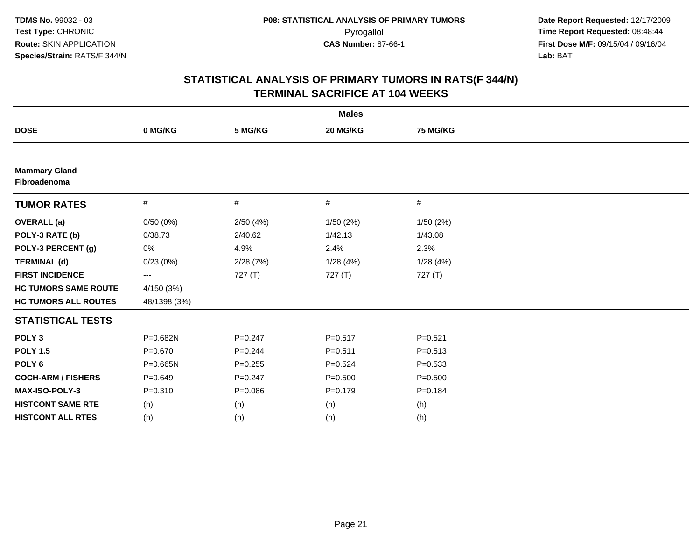|                                      |              |             | <b>Males</b> |             |  |
|--------------------------------------|--------------|-------------|--------------|-------------|--|
| <b>DOSE</b>                          | 0 MG/KG      | 5 MG/KG     | 20 MG/KG     | 75 MG/KG    |  |
|                                      |              |             |              |             |  |
| <b>Mammary Gland</b><br>Fibroadenoma |              |             |              |             |  |
| <b>TUMOR RATES</b>                   | $\#$         | #           | #            | $\#$        |  |
| <b>OVERALL (a)</b>                   | 0/50(0%)     | 2/50(4%)    | 1/50(2%)     | 1/50(2%)    |  |
| POLY-3 RATE (b)                      | 0/38.73      | 2/40.62     | 1/42.13      | 1/43.08     |  |
| POLY-3 PERCENT (g)                   | 0%           | 4.9%        | 2.4%         | 2.3%        |  |
| <b>TERMINAL (d)</b>                  | 0/23(0%)     | 2/28(7%)    | 1/28(4%)     | 1/28(4%)    |  |
| <b>FIRST INCIDENCE</b>               | ---          | 727(T)      | 727 $(T)$    | 727(T)      |  |
| <b>HC TUMORS SAME ROUTE</b>          | 4/150 (3%)   |             |              |             |  |
| <b>HC TUMORS ALL ROUTES</b>          | 48/1398 (3%) |             |              |             |  |
| <b>STATISTICAL TESTS</b>             |              |             |              |             |  |
| POLY <sub>3</sub>                    | P=0.682N     | $P = 0.247$ | $P = 0.517$  | $P = 0.521$ |  |
| <b>POLY 1.5</b>                      | $P = 0.670$  | $P=0.244$   | $P = 0.511$  | $P = 0.513$ |  |
| POLY <sub>6</sub>                    | $P = 0.665N$ | $P = 0.255$ | $P = 0.524$  | $P = 0.533$ |  |
| <b>COCH-ARM / FISHERS</b>            | $P = 0.649$  | $P = 0.247$ | $P = 0.500$  | $P = 0.500$ |  |
| MAX-ISO-POLY-3                       | $P = 0.310$  | $P = 0.086$ | $P = 0.179$  | $P = 0.184$ |  |
| <b>HISTCONT SAME RTE</b>             | (h)          | (h)         | (h)          | (h)         |  |
| <b>HISTCONT ALL RTES</b>             | (h)          | (h)         | (h)          | (h)         |  |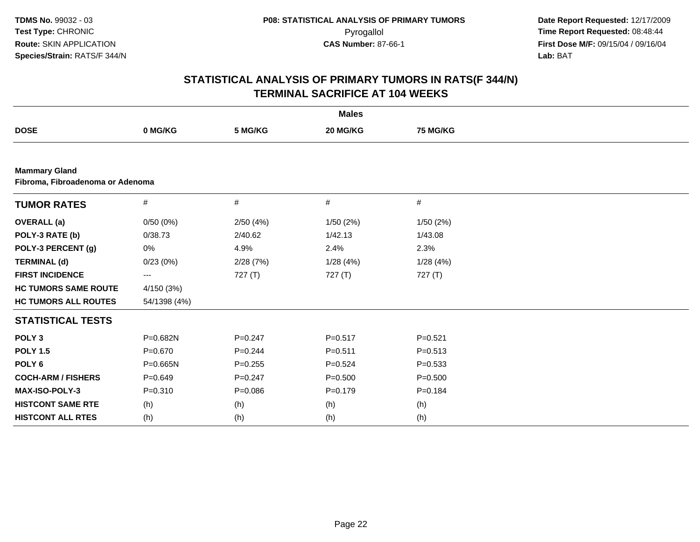| <b>Males</b>                                             |              |             |             |             |  |  |  |  |
|----------------------------------------------------------|--------------|-------------|-------------|-------------|--|--|--|--|
| <b>DOSE</b>                                              | 0 MG/KG      | 5 MG/KG     | 20 MG/KG    | 75 MG/KG    |  |  |  |  |
|                                                          |              |             |             |             |  |  |  |  |
| <b>Mammary Gland</b><br>Fibroma, Fibroadenoma or Adenoma |              |             |             |             |  |  |  |  |
| <b>TUMOR RATES</b>                                       | $\#$         | #           | $\#$        | #           |  |  |  |  |
| <b>OVERALL</b> (a)                                       | 0/50(0%)     | 2/50(4%)    | 1/50(2%)    | 1/50(2%)    |  |  |  |  |
| POLY-3 RATE (b)                                          | 0/38.73      | 2/40.62     | 1/42.13     | 1/43.08     |  |  |  |  |
| POLY-3 PERCENT (g)                                       | 0%           | 4.9%        | 2.4%        | 2.3%        |  |  |  |  |
| <b>TERMINAL (d)</b>                                      | 0/23(0%)     | 2/28(7%)    | 1/28(4%)    | 1/28(4%)    |  |  |  |  |
| <b>FIRST INCIDENCE</b>                                   | ---          | 727(T)      | 727 (T)     | 727 (T)     |  |  |  |  |
| <b>HC TUMORS SAME ROUTE</b>                              | 4/150 (3%)   |             |             |             |  |  |  |  |
| <b>HC TUMORS ALL ROUTES</b>                              | 54/1398 (4%) |             |             |             |  |  |  |  |
| <b>STATISTICAL TESTS</b>                                 |              |             |             |             |  |  |  |  |
| POLY <sub>3</sub>                                        | P=0.682N     | $P = 0.247$ | $P = 0.517$ | $P = 0.521$ |  |  |  |  |
| <b>POLY 1.5</b>                                          | $P = 0.670$  | $P=0.244$   | $P = 0.511$ | $P = 0.513$ |  |  |  |  |
| POLY <sub>6</sub>                                        | $P = 0.665N$ | $P = 0.255$ | $P=0.524$   | $P = 0.533$ |  |  |  |  |
| <b>COCH-ARM / FISHERS</b>                                | $P = 0.649$  | $P = 0.247$ | $P = 0.500$ | $P = 0.500$ |  |  |  |  |
| <b>MAX-ISO-POLY-3</b>                                    | $P = 0.310$  | $P = 0.086$ | $P = 0.179$ | $P = 0.184$ |  |  |  |  |
| <b>HISTCONT SAME RTE</b>                                 | (h)          | (h)         | (h)         | (h)         |  |  |  |  |
| <b>HISTCONT ALL RTES</b>                                 | (h)          | (h)         | (h)         | (h)         |  |  |  |  |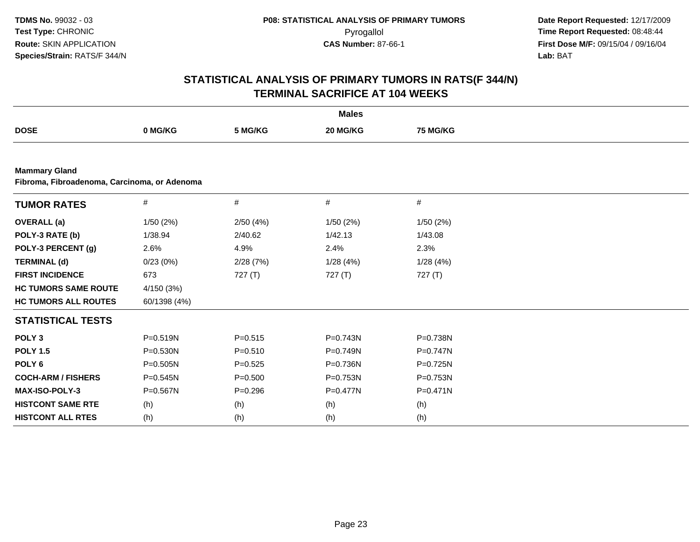|                                                                      | <b>Males</b> |             |                 |                 |  |  |  |  |  |
|----------------------------------------------------------------------|--------------|-------------|-----------------|-----------------|--|--|--|--|--|
| <b>DOSE</b>                                                          | 0 MG/KG      | 5 MG/KG     | <b>20 MG/KG</b> | <b>75 MG/KG</b> |  |  |  |  |  |
|                                                                      |              |             |                 |                 |  |  |  |  |  |
| <b>Mammary Gland</b><br>Fibroma, Fibroadenoma, Carcinoma, or Adenoma |              |             |                 |                 |  |  |  |  |  |
| <b>TUMOR RATES</b>                                                   | $\#$         | #           | $\#$            | $\#$            |  |  |  |  |  |
| <b>OVERALL</b> (a)                                                   | 1/50(2%)     | 2/50(4%)    | 1/50(2%)        | 1/50(2%)        |  |  |  |  |  |
| POLY-3 RATE (b)                                                      | 1/38.94      | 2/40.62     | 1/42.13         | 1/43.08         |  |  |  |  |  |
| POLY-3 PERCENT (g)                                                   | 2.6%         | 4.9%        | 2.4%            | 2.3%            |  |  |  |  |  |
| <b>TERMINAL (d)</b>                                                  | 0/23(0%)     | 2/28(7%)    | 1/28(4%)        | 1/28(4%)        |  |  |  |  |  |
| <b>FIRST INCIDENCE</b>                                               | 673          | 727 $(T)$   | 727(T)          | 727(T)          |  |  |  |  |  |
| <b>HC TUMORS SAME ROUTE</b>                                          | 4/150 (3%)   |             |                 |                 |  |  |  |  |  |
| <b>HC TUMORS ALL ROUTES</b>                                          | 60/1398 (4%) |             |                 |                 |  |  |  |  |  |
| <b>STATISTICAL TESTS</b>                                             |              |             |                 |                 |  |  |  |  |  |
| POLY <sub>3</sub>                                                    | $P = 0.519N$ | $P = 0.515$ | $P = 0.743N$    | P=0.738N        |  |  |  |  |  |
| <b>POLY 1.5</b>                                                      | $P = 0.530N$ | $P = 0.510$ | $P = 0.749N$    | $P = 0.747N$    |  |  |  |  |  |
| POLY <sub>6</sub>                                                    | P=0.505N     | $P = 0.525$ | P=0.736N        | P=0.725N        |  |  |  |  |  |
| <b>COCH-ARM / FISHERS</b>                                            | $P = 0.545N$ | $P = 0.500$ | P=0.753N        | P=0.753N        |  |  |  |  |  |
| <b>MAX-ISO-POLY-3</b>                                                | P=0.567N     | $P = 0.296$ | $P = 0.477N$    | $P = 0.471N$    |  |  |  |  |  |
| <b>HISTCONT SAME RTE</b>                                             | (h)          | (h)         | (h)             | (h)             |  |  |  |  |  |
| <b>HISTCONT ALL RTES</b>                                             | (h)          | (h)         | (h)             | (h)             |  |  |  |  |  |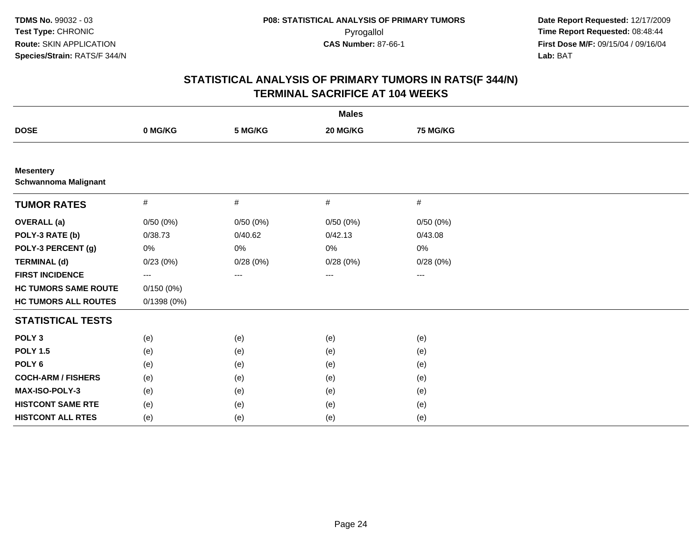|                                                 |            |          | <b>Males</b> |          |  |
|-------------------------------------------------|------------|----------|--------------|----------|--|
| <b>DOSE</b>                                     | 0 MG/KG    | 5 MG/KG  | 20 MG/KG     | 75 MG/KG |  |
|                                                 |            |          |              |          |  |
| <b>Mesentery</b><br><b>Schwannoma Malignant</b> |            |          |              |          |  |
| <b>TUMOR RATES</b>                              | $\#$       | $\#$     | #            | $\#$     |  |
| <b>OVERALL (a)</b>                              | 0/50(0%)   | 0/50(0%) | 0/50(0%)     | 0/50(0%) |  |
| POLY-3 RATE (b)                                 | 0/38.73    | 0/40.62  | 0/42.13      | 0/43.08  |  |
| POLY-3 PERCENT (g)                              | 0%         | 0%       | 0%           | 0%       |  |
| <b>TERMINAL (d)</b>                             | 0/23(0%)   | 0/28(0%) | 0/28(0%)     | 0/28(0%) |  |
| <b>FIRST INCIDENCE</b>                          | ---        | $---$    | ---          | $\cdots$ |  |
| <b>HC TUMORS SAME ROUTE</b>                     | 0/150(0%)  |          |              |          |  |
| <b>HC TUMORS ALL ROUTES</b>                     | 0/1398(0%) |          |              |          |  |
| <b>STATISTICAL TESTS</b>                        |            |          |              |          |  |
| POLY <sub>3</sub>                               | (e)        | (e)      | (e)          | (e)      |  |
| <b>POLY 1.5</b>                                 | (e)        | (e)      | (e)          | (e)      |  |
| POLY <sub>6</sub>                               | (e)        | (e)      | (e)          | (e)      |  |
| <b>COCH-ARM / FISHERS</b>                       | (e)        | (e)      | (e)          | (e)      |  |
| MAX-ISO-POLY-3                                  | (e)        | (e)      | (e)          | (e)      |  |
| <b>HISTCONT SAME RTE</b>                        | (e)        | (e)      | (e)          | (e)      |  |
| <b>HISTCONT ALL RTES</b>                        | (e)        | (e)      | (e)          | (e)      |  |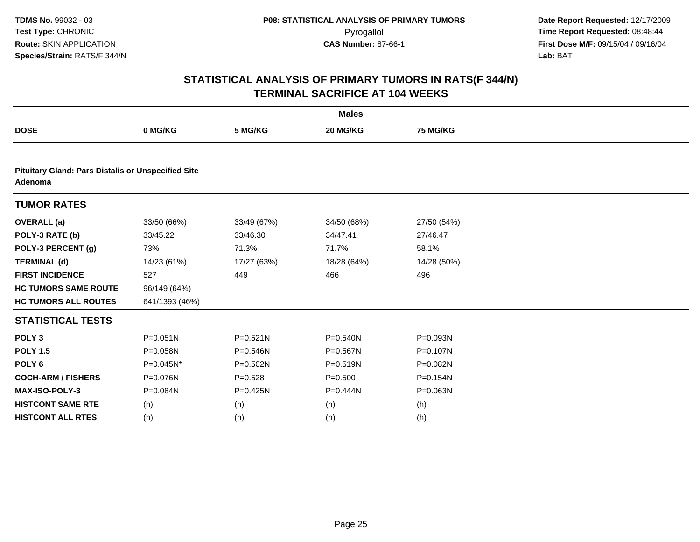|                                                                      | <b>Males</b>   |              |              |                 |  |  |  |  |  |
|----------------------------------------------------------------------|----------------|--------------|--------------|-----------------|--|--|--|--|--|
| <b>DOSE</b>                                                          | 0 MG/KG        | 5 MG/KG      | 20 MG/KG     | <b>75 MG/KG</b> |  |  |  |  |  |
|                                                                      |                |              |              |                 |  |  |  |  |  |
| <b>Pituitary Gland: Pars Distalis or Unspecified Site</b><br>Adenoma |                |              |              |                 |  |  |  |  |  |
| <b>TUMOR RATES</b>                                                   |                |              |              |                 |  |  |  |  |  |
| <b>OVERALL</b> (a)                                                   | 33/50 (66%)    | 33/49 (67%)  | 34/50 (68%)  | 27/50 (54%)     |  |  |  |  |  |
| POLY-3 RATE (b)                                                      | 33/45.22       | 33/46.30     | 34/47.41     | 27/46.47        |  |  |  |  |  |
| POLY-3 PERCENT (g)                                                   | 73%            | 71.3%        | 71.7%        | 58.1%           |  |  |  |  |  |
| <b>TERMINAL (d)</b>                                                  | 14/23 (61%)    | 17/27 (63%)  | 18/28 (64%)  | 14/28 (50%)     |  |  |  |  |  |
| <b>FIRST INCIDENCE</b>                                               | 527            | 449          | 466          | 496             |  |  |  |  |  |
| <b>HC TUMORS SAME ROUTE</b>                                          | 96/149 (64%)   |              |              |                 |  |  |  |  |  |
| <b>HC TUMORS ALL ROUTES</b>                                          | 641/1393 (46%) |              |              |                 |  |  |  |  |  |
| <b>STATISTICAL TESTS</b>                                             |                |              |              |                 |  |  |  |  |  |
| POLY <sub>3</sub>                                                    | $P = 0.051N$   | $P = 0.521N$ | P=0.540N     | P=0.093N        |  |  |  |  |  |
| <b>POLY 1.5</b>                                                      | P=0.058N       | P=0.546N     | P=0.567N     | P=0.107N        |  |  |  |  |  |
| POLY <sub>6</sub>                                                    | P=0.045N*      | P=0.502N     | P=0.519N     | P=0.082N        |  |  |  |  |  |
| <b>COCH-ARM / FISHERS</b>                                            | P=0.076N       | $P = 0.528$  | $P = 0.500$  | P=0.154N        |  |  |  |  |  |
| <b>MAX-ISO-POLY-3</b>                                                | P=0.084N       | P=0.425N     | $P = 0.444N$ | P=0.063N        |  |  |  |  |  |
| <b>HISTCONT SAME RTE</b>                                             | (h)            | (h)          | (h)          | (h)             |  |  |  |  |  |
| <b>HISTCONT ALL RTES</b>                                             | (h)            | (h)          | (h)          | (h)             |  |  |  |  |  |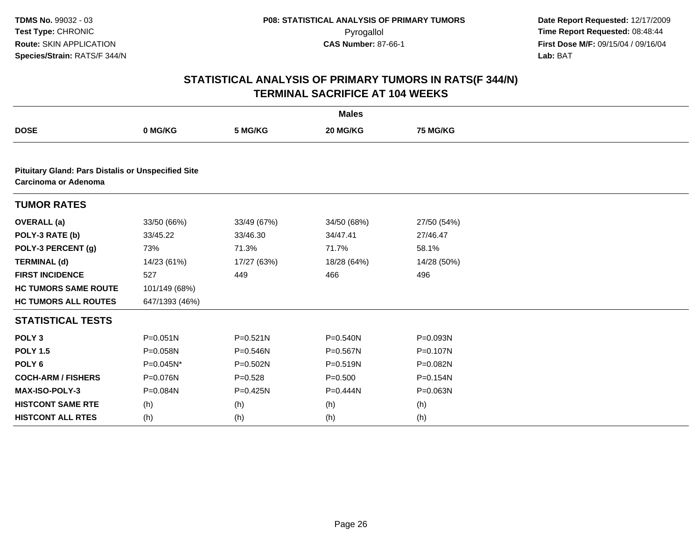| <b>Males</b>                                                                             |                |              |              |             |  |  |  |  |
|------------------------------------------------------------------------------------------|----------------|--------------|--------------|-------------|--|--|--|--|
| <b>DOSE</b>                                                                              | 0 MG/KG        | 5 MG/KG      | 20 MG/KG     | 75 MG/KG    |  |  |  |  |
|                                                                                          |                |              |              |             |  |  |  |  |
| <b>Pituitary Gland: Pars Distalis or Unspecified Site</b><br><b>Carcinoma or Adenoma</b> |                |              |              |             |  |  |  |  |
| <b>TUMOR RATES</b>                                                                       |                |              |              |             |  |  |  |  |
| <b>OVERALL</b> (a)                                                                       | 33/50 (66%)    | 33/49 (67%)  | 34/50 (68%)  | 27/50 (54%) |  |  |  |  |
| POLY-3 RATE (b)                                                                          | 33/45.22       | 33/46.30     | 34/47.41     | 27/46.47    |  |  |  |  |
| POLY-3 PERCENT (g)                                                                       | 73%            | 71.3%        | 71.7%        | 58.1%       |  |  |  |  |
| <b>TERMINAL (d)</b>                                                                      | 14/23 (61%)    | 17/27 (63%)  | 18/28 (64%)  | 14/28 (50%) |  |  |  |  |
| <b>FIRST INCIDENCE</b>                                                                   | 527            | 449          | 466          | 496         |  |  |  |  |
| <b>HC TUMORS SAME ROUTE</b>                                                              | 101/149 (68%)  |              |              |             |  |  |  |  |
| <b>HC TUMORS ALL ROUTES</b>                                                              | 647/1393 (46%) |              |              |             |  |  |  |  |
| <b>STATISTICAL TESTS</b>                                                                 |                |              |              |             |  |  |  |  |
| POLY <sub>3</sub>                                                                        | $P = 0.051N$   | $P = 0.521N$ | $P = 0.540N$ | P=0.093N    |  |  |  |  |
| <b>POLY 1.5</b>                                                                          | P=0.058N       | P=0.546N     | P=0.567N     | P=0.107N    |  |  |  |  |
| POLY <sub>6</sub>                                                                        | P=0.045N*      | P=0.502N     | $P = 0.519N$ | P=0.082N    |  |  |  |  |
| <b>COCH-ARM / FISHERS</b>                                                                | P=0.076N       | $P = 0.528$  | $P = 0.500$  | P=0.154N    |  |  |  |  |
| MAX-ISO-POLY-3                                                                           | P=0.084N       | P=0.425N     | $P=0.444N$   | P=0.063N    |  |  |  |  |
| <b>HISTCONT SAME RTE</b>                                                                 | (h)            | (h)          | (h)          | (h)         |  |  |  |  |
| <b>HISTCONT ALL RTES</b>                                                                 | (h)            | (h)          | (h)          | (h)         |  |  |  |  |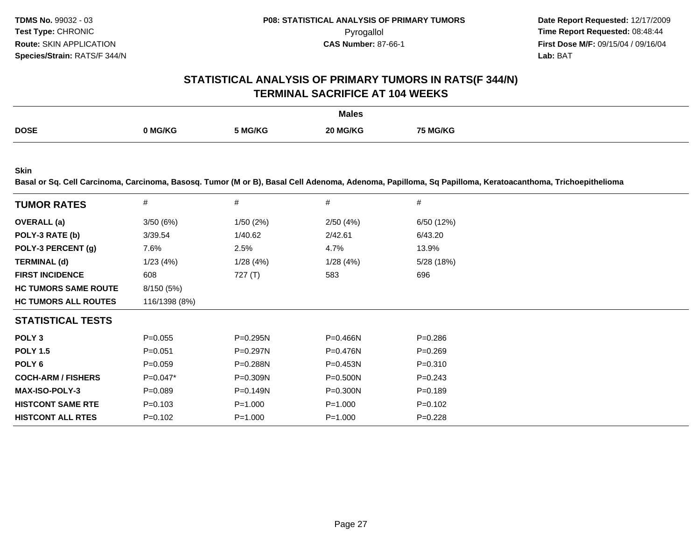# **STATISTICAL ANALYSIS OF PRIMARY TUMORS IN RATS(F 344/N)TERMINAL SACRIFICE AT 104 WEEKS**

|             |         |         | <b>Males</b> |                 |
|-------------|---------|---------|--------------|-----------------|
| <b>DOSE</b> |         |         |              |                 |
|             | 0 MG/KG | 5 MG/KG | 20 MG/KG     | <b>75 MG/KG</b> |
|             |         |         |              |                 |

**Skin**

**Basal or Sq. Cell Carcinoma, Carcinoma, Basosq. Tumor (M or B), Basal Cell Adenoma, Adenoma, Papilloma, Sq Papilloma, Keratoacanthoma, Trichoepithelioma**

| <b>TUMOR RATES</b>          | $\#$          | #            | #            | #           |
|-----------------------------|---------------|--------------|--------------|-------------|
| <b>OVERALL</b> (a)          | 3/50(6%)      | 1/50(2%)     | 2/50(4%)     | 6/50 (12%)  |
| POLY-3 RATE (b)             | 3/39.54       | 1/40.62      | 2/42.61      | 6/43.20     |
| POLY-3 PERCENT (g)          | 7.6%          | 2.5%         | 4.7%         | 13.9%       |
| <b>TERMINAL (d)</b>         | 1/23(4%)      | 1/28(4%)     | 1/28(4%)     | 5/28 (18%)  |
| <b>FIRST INCIDENCE</b>      | 608           | 727 $(T)$    | 583          | 696         |
| <b>HC TUMORS SAME ROUTE</b> | 8/150 (5%)    |              |              |             |
| <b>HC TUMORS ALL ROUTES</b> | 116/1398 (8%) |              |              |             |
| <b>STATISTICAL TESTS</b>    |               |              |              |             |
| POLY <sub>3</sub>           | $P = 0.055$   | $P = 0.295N$ | $P = 0.466N$ | $P = 0.286$ |
| <b>POLY 1.5</b>             | $P = 0.051$   | $P = 0.297N$ | $P = 0.476N$ | $P = 0.269$ |
| POLY <sub>6</sub>           | $P = 0.059$   | $P = 0.288N$ | $P = 0.453N$ | $P = 0.310$ |
| <b>COCH-ARM / FISHERS</b>   | $P=0.047*$    | P=0.309N     | $P = 0.500N$ | $P = 0.243$ |
| <b>MAX-ISO-POLY-3</b>       | $P = 0.089$   | $P = 0.149N$ | $P = 0.300N$ | $P = 0.189$ |
| <b>HISTCONT SAME RTE</b>    | $P = 0.103$   | $P = 1.000$  | $P = 1.000$  | $P = 0.102$ |
| <b>HISTCONT ALL RTES</b>    | $P = 0.102$   | $P = 1.000$  | $P = 1.000$  | $P = 0.228$ |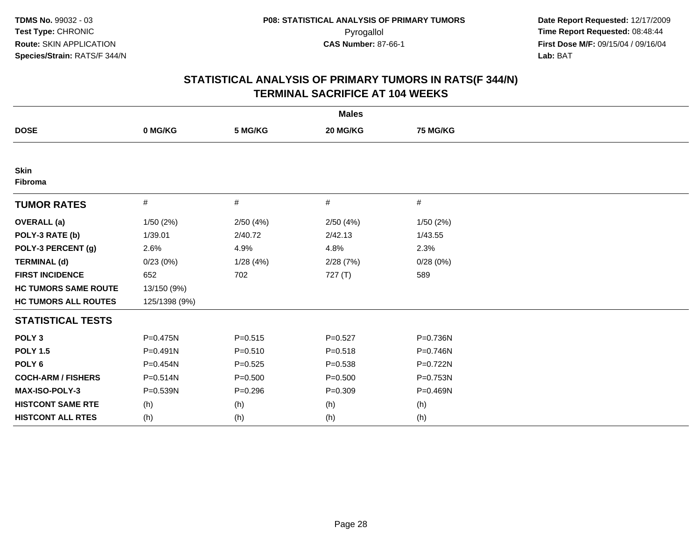| <b>Males</b>                |               |             |             |              |  |  |  |
|-----------------------------|---------------|-------------|-------------|--------------|--|--|--|
| <b>DOSE</b>                 | 0 MG/KG       | 5 MG/KG     | 20 MG/KG    | 75 MG/KG     |  |  |  |
|                             |               |             |             |              |  |  |  |
| <b>Skin</b><br>Fibroma      |               |             |             |              |  |  |  |
| <b>TUMOR RATES</b>          | $\#$          | #           | #           | $\#$         |  |  |  |
| <b>OVERALL</b> (a)          | 1/50(2%)      | 2/50(4%)    | 2/50(4%)    | 1/50(2%)     |  |  |  |
| POLY-3 RATE (b)             | 1/39.01       | 2/40.72     | 2/42.13     | 1/43.55      |  |  |  |
| POLY-3 PERCENT (g)          | 2.6%          | 4.9%        | 4.8%        | 2.3%         |  |  |  |
| <b>TERMINAL (d)</b>         | 0/23(0%)      | 1/28(4%)    | 2/28(7%)    | 0/28(0%)     |  |  |  |
| <b>FIRST INCIDENCE</b>      | 652           | 702         | 727 (T)     | 589          |  |  |  |
| <b>HC TUMORS SAME ROUTE</b> | 13/150 (9%)   |             |             |              |  |  |  |
| <b>HC TUMORS ALL ROUTES</b> | 125/1398 (9%) |             |             |              |  |  |  |
| <b>STATISTICAL TESTS</b>    |               |             |             |              |  |  |  |
| POLY <sub>3</sub>           | P=0.475N      | $P = 0.515$ | $P=0.527$   | P=0.736N     |  |  |  |
| <b>POLY 1.5</b>             | $P = 0.491N$  | $P = 0.510$ | $P = 0.518$ | $P = 0.746N$ |  |  |  |
| POLY <sub>6</sub>           | $P = 0.454N$  | $P = 0.525$ | $P = 0.538$ | P=0.722N     |  |  |  |
| <b>COCH-ARM / FISHERS</b>   | $P = 0.514N$  | $P = 0.500$ | $P = 0.500$ | P=0.753N     |  |  |  |
| <b>MAX-ISO-POLY-3</b>       | P=0.539N      | $P = 0.296$ | $P = 0.309$ | P=0.469N     |  |  |  |
| <b>HISTCONT SAME RTE</b>    | (h)           | (h)         | (h)         | (h)          |  |  |  |
| <b>HISTCONT ALL RTES</b>    | (h)           | (h)         | (h)         | (h)          |  |  |  |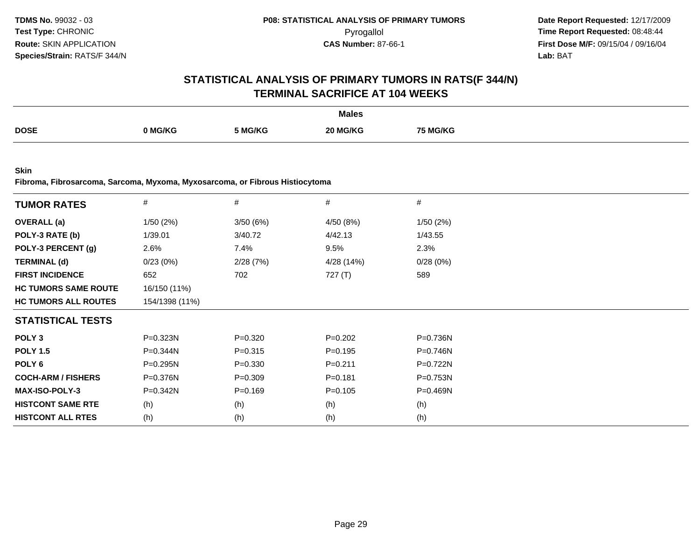# **STATISTICAL ANALYSIS OF PRIMARY TUMORS IN RATS(F 344/N)TERMINAL SACRIFICE AT 104 WEEKS**

|             |         |         | <b>Males</b> |         |
|-------------|---------|---------|--------------|---------|
| <b>DOSE</b> |         |         | ንበ ኪ         |         |
|             | ` MG/KG | 5 MG/KG | IG/KC        | i MG/KG |
|             |         |         |              |         |

**Skin**

**Fibroma, Fibrosarcoma, Sarcoma, Myxoma, Myxosarcoma, or Fibrous Histiocytoma**

| <b>TUMOR RATES</b>          | $\#$           | $\#$        | $\#$        | #        |
|-----------------------------|----------------|-------------|-------------|----------|
| <b>OVERALL</b> (a)          | 1/50(2%)       | 3/50(6%)    | 4/50 (8%)   | 1/50(2%) |
| POLY-3 RATE (b)             | 1/39.01        | 3/40.72     | 4/42.13     | 1/43.55  |
| POLY-3 PERCENT (g)          | 2.6%           | 7.4%        | 9.5%        | 2.3%     |
| <b>TERMINAL (d)</b>         | 0/23(0%)       | 2/28(7%)    | 4/28 (14%)  | 0/28(0%) |
| <b>FIRST INCIDENCE</b>      | 652            | 702         | 727 (T)     | 589      |
| <b>HC TUMORS SAME ROUTE</b> | 16/150 (11%)   |             |             |          |
| <b>HC TUMORS ALL ROUTES</b> | 154/1398 (11%) |             |             |          |
| <b>STATISTICAL TESTS</b>    |                |             |             |          |
| POLY <sub>3</sub>           | P=0.323N       | $P = 0.320$ | $P=0.202$   | P=0.736N |
| <b>POLY 1.5</b>             | P=0.344N       | $P = 0.315$ | $P = 0.195$ | P=0.746N |
| POLY 6                      | P=0.295N       | $P = 0.330$ | $P = 0.211$ | P=0.722N |
| <b>COCH-ARM / FISHERS</b>   | P=0.376N       | $P = 0.309$ | $P = 0.181$ | P=0.753N |
| <b>MAX-ISO-POLY-3</b>       | P=0.342N       | $P=0.169$   | $P = 0.105$ | P=0.469N |
| <b>HISTCONT SAME RTE</b>    | (h)            | (h)         | (h)         | (h)      |
| <b>HISTCONT ALL RTES</b>    | (h)            | (h)         | (h)         | (h)      |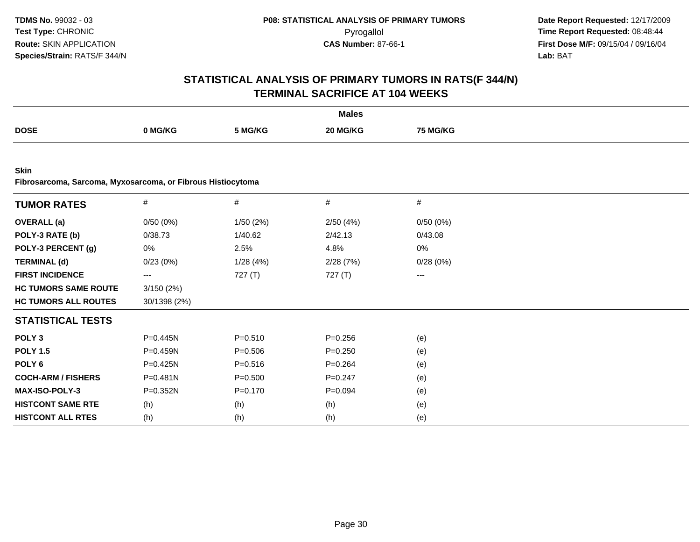|                                                                            |              |             | <b>Males</b> |          |  |
|----------------------------------------------------------------------------|--------------|-------------|--------------|----------|--|
| <b>DOSE</b>                                                                | 0 MG/KG      | 5 MG/KG     | 20 MG/KG     | 75 MG/KG |  |
|                                                                            |              |             |              |          |  |
| <b>Skin</b><br>Fibrosarcoma, Sarcoma, Myxosarcoma, or Fibrous Histiocytoma |              |             |              |          |  |
| <b>TUMOR RATES</b>                                                         | $\#$         | $\#$        | $\#$         | $\#$     |  |
| <b>OVERALL</b> (a)                                                         | 0/50(0%)     | 1/50 (2%)   | 2/50(4%)     | 0/50(0%) |  |
| POLY-3 RATE (b)                                                            | 0/38.73      | 1/40.62     | 2/42.13      | 0/43.08  |  |
| POLY-3 PERCENT (g)                                                         | 0%           | 2.5%        | 4.8%         | 0%       |  |
| <b>TERMINAL (d)</b>                                                        | 0/23(0%)     | 1/28(4%)    | 2/28(7%)     | 0/28(0%) |  |
| <b>FIRST INCIDENCE</b>                                                     | $---$        | 727 (T)     | 727(T)       | $---$    |  |
| <b>HC TUMORS SAME ROUTE</b>                                                | 3/150(2%)    |             |              |          |  |
| <b>HC TUMORS ALL ROUTES</b>                                                | 30/1398 (2%) |             |              |          |  |
| <b>STATISTICAL TESTS</b>                                                   |              |             |              |          |  |
| POLY <sub>3</sub>                                                          | $P = 0.445N$ | $P = 0.510$ | $P = 0.256$  | (e)      |  |
| <b>POLY 1.5</b>                                                            | P=0.459N     | $P = 0.506$ | $P = 0.250$  | (e)      |  |
| POLY <sub>6</sub>                                                          | P=0.425N     | $P = 0.516$ | $P=0.264$    | (e)      |  |
| <b>COCH-ARM / FISHERS</b>                                                  | $P = 0.481N$ | $P = 0.500$ | $P=0.247$    | (e)      |  |
| MAX-ISO-POLY-3                                                             | P=0.352N     | $P = 0.170$ | $P=0.094$    | (e)      |  |
| <b>HISTCONT SAME RTE</b>                                                   | (h)          | (h)         | (h)          | (e)      |  |
| <b>HISTCONT ALL RTES</b>                                                   | (h)          | (h)         | (h)          | (e)      |  |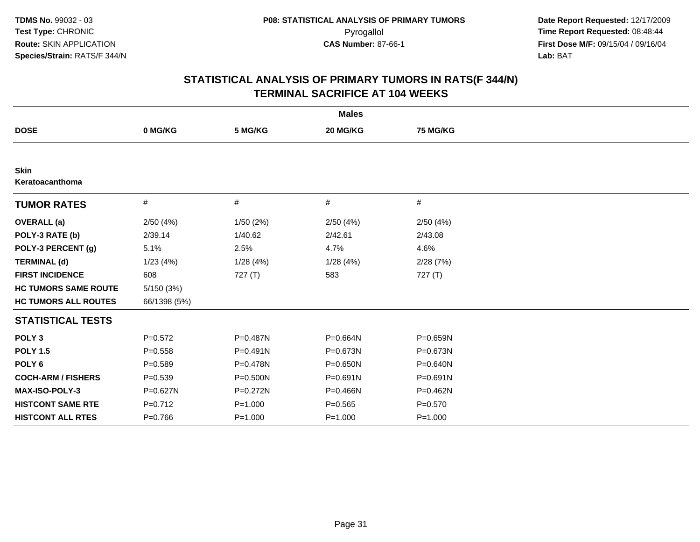| <b>Males</b>                   |              |             |              |              |  |  |  |
|--------------------------------|--------------|-------------|--------------|--------------|--|--|--|
| <b>DOSE</b>                    | 0 MG/KG      | 5 MG/KG     | 20 MG/KG     | 75 MG/KG     |  |  |  |
|                                |              |             |              |              |  |  |  |
| <b>Skin</b><br>Keratoacanthoma |              |             |              |              |  |  |  |
| <b>TUMOR RATES</b>             | #            | #           | #            | #            |  |  |  |
| <b>OVERALL</b> (a)             | 2/50(4%)     | 1/50(2%)    | 2/50(4%)     | 2/50(4%)     |  |  |  |
| POLY-3 RATE (b)                | 2/39.14      | 1/40.62     | 2/42.61      | 2/43.08      |  |  |  |
| POLY-3 PERCENT (g)             | 5.1%         | 2.5%        | 4.7%         | 4.6%         |  |  |  |
| <b>TERMINAL (d)</b>            | 1/23(4%)     | 1/28(4%)    | 1/28(4%)     | 2/28(7%)     |  |  |  |
| <b>FIRST INCIDENCE</b>         | 608          | 727 (T)     | 583          | 727 (T)      |  |  |  |
| <b>HC TUMORS SAME ROUTE</b>    | 5/150(3%)    |             |              |              |  |  |  |
| <b>HC TUMORS ALL ROUTES</b>    | 66/1398 (5%) |             |              |              |  |  |  |
| <b>STATISTICAL TESTS</b>       |              |             |              |              |  |  |  |
| POLY <sub>3</sub>              | $P=0.572$    | P=0.487N    | P=0.664N     | P=0.659N     |  |  |  |
| <b>POLY 1.5</b>                | $P = 0.558$  | P=0.491N    | P=0.673N     | P=0.673N     |  |  |  |
| POLY <sub>6</sub>              | $P=0.589$    | P=0.478N    | $P = 0.650N$ | P=0.640N     |  |  |  |
| <b>COCH-ARM / FISHERS</b>      | $P = 0.539$  | P=0.500N    | $P = 0.691N$ | P=0.691N     |  |  |  |
| MAX-ISO-POLY-3                 | $P = 0.627N$ | P=0.272N    | $P = 0.466N$ | $P = 0.462N$ |  |  |  |
| <b>HISTCONT SAME RTE</b>       | $P=0.712$    | $P = 1.000$ | $P = 0.565$  | $P = 0.570$  |  |  |  |
| <b>HISTCONT ALL RTES</b>       | $P=0.766$    | $P = 1.000$ | $P = 1.000$  | $P = 1.000$  |  |  |  |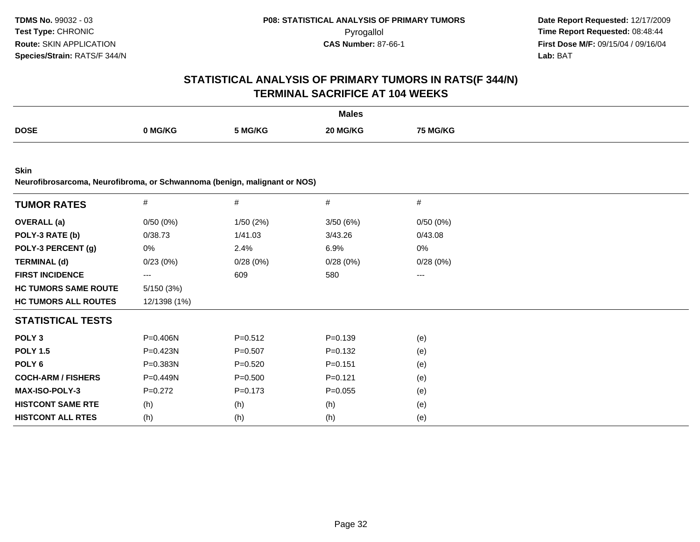| <b>Males</b>                                                                             |                     |             |             |                 |  |  |  |
|------------------------------------------------------------------------------------------|---------------------|-------------|-------------|-----------------|--|--|--|
| <b>DOSE</b>                                                                              | 0 MG/KG             | 5 MG/KG     | 20 MG/KG    | <b>75 MG/KG</b> |  |  |  |
| <b>Skin</b><br>Neurofibrosarcoma, Neurofibroma, or Schwannoma (benign, malignant or NOS) |                     |             |             |                 |  |  |  |
| <b>TUMOR RATES</b>                                                                       | #                   | #           | #           | $\#$            |  |  |  |
| <b>OVERALL</b> (a)                                                                       | 0/50(0%)            | 1/50(2%)    | 3/50 (6%)   | 0/50(0%)        |  |  |  |
| POLY-3 RATE (b)                                                                          | 0/38.73             | 1/41.03     | 3/43.26     | 0/43.08         |  |  |  |
| POLY-3 PERCENT (g)                                                                       | 0%                  | 2.4%        | 6.9%        | 0%              |  |  |  |
| <b>TERMINAL (d)</b>                                                                      | 0/23(0%)            | 0/28(0%)    | 0/28(0%)    | 0/28(0%)        |  |  |  |
| <b>FIRST INCIDENCE</b>                                                                   | $\qquad \qquad - -$ | 609         | 580         | $\cdots$        |  |  |  |
| <b>HC TUMORS SAME ROUTE</b>                                                              | 5/150 (3%)          |             |             |                 |  |  |  |
| <b>HC TUMORS ALL ROUTES</b>                                                              | 12/1398 (1%)        |             |             |                 |  |  |  |
| <b>STATISTICAL TESTS</b>                                                                 |                     |             |             |                 |  |  |  |
| POLY <sub>3</sub>                                                                        | P=0.406N            | $P = 0.512$ | $P = 0.139$ | (e)             |  |  |  |
| <b>POLY 1.5</b>                                                                          | P=0.423N            | $P = 0.507$ | $P = 0.132$ | (e)             |  |  |  |
| POLY <sub>6</sub>                                                                        | P=0.383N            | $P = 0.520$ | $P = 0.151$ | (e)             |  |  |  |
| <b>COCH-ARM / FISHERS</b>                                                                | P=0.449N            | $P = 0.500$ | $P = 0.121$ | (e)             |  |  |  |
| <b>MAX-ISO-POLY-3</b>                                                                    | $P=0.272$           | $P = 0.173$ | $P = 0.055$ | (e)             |  |  |  |
| <b>HISTCONT SAME RTE</b>                                                                 | (h)                 | (h)         | (h)         | (e)             |  |  |  |
| <b>HISTCONT ALL RTES</b>                                                                 | (h)                 | (h)         | (h)         | (e)             |  |  |  |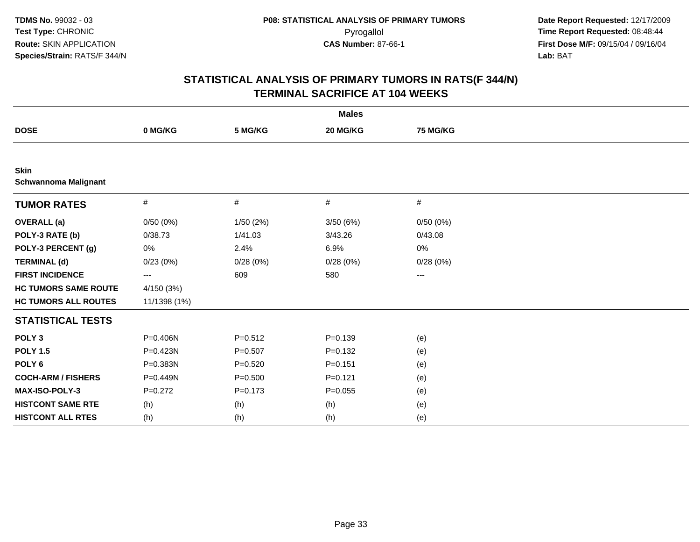| <b>Males</b>                               |              |             |             |          |  |  |  |
|--------------------------------------------|--------------|-------------|-------------|----------|--|--|--|
| <b>DOSE</b>                                | 0 MG/KG      | 5 MG/KG     | 20 MG/KG    | 75 MG/KG |  |  |  |
|                                            |              |             |             |          |  |  |  |
| <b>Skin</b><br><b>Schwannoma Malignant</b> |              |             |             |          |  |  |  |
| <b>TUMOR RATES</b>                         | $\#$         | $\#$        | #           | #        |  |  |  |
| <b>OVERALL (a)</b>                         | 0/50(0%)     | 1/50(2%)    | 3/50(6%)    | 0/50(0%) |  |  |  |
| POLY-3 RATE (b)                            | 0/38.73      | 1/41.03     | 3/43.26     | 0/43.08  |  |  |  |
| POLY-3 PERCENT (g)                         | 0%           | 2.4%        | 6.9%        | 0%       |  |  |  |
| <b>TERMINAL (d)</b>                        | 0/23(0%)     | 0/28(0%)    | 0/28(0%)    | 0/28(0%) |  |  |  |
| <b>FIRST INCIDENCE</b>                     | ---          | 609         | 580         | ---      |  |  |  |
| <b>HC TUMORS SAME ROUTE</b>                | 4/150 (3%)   |             |             |          |  |  |  |
| <b>HC TUMORS ALL ROUTES</b>                | 11/1398 (1%) |             |             |          |  |  |  |
| <b>STATISTICAL TESTS</b>                   |              |             |             |          |  |  |  |
| POLY <sub>3</sub>                          | P=0.406N     | $P=0.512$   | $P = 0.139$ | (e)      |  |  |  |
| <b>POLY 1.5</b>                            | P=0.423N     | $P=0.507$   | $P = 0.132$ | (e)      |  |  |  |
| POLY <sub>6</sub>                          | P=0.383N     | $P = 0.520$ | $P = 0.151$ | (e)      |  |  |  |
| <b>COCH-ARM / FISHERS</b>                  | P=0.449N     | $P = 0.500$ | $P = 0.121$ | (e)      |  |  |  |
| <b>MAX-ISO-POLY-3</b>                      | $P=0.272$    | $P = 0.173$ | $P = 0.055$ | (e)      |  |  |  |
| <b>HISTCONT SAME RTE</b>                   | (h)          | (h)         | (h)         | (e)      |  |  |  |
| <b>HISTCONT ALL RTES</b>                   | (h)          | (h)         | (h)         | (e)      |  |  |  |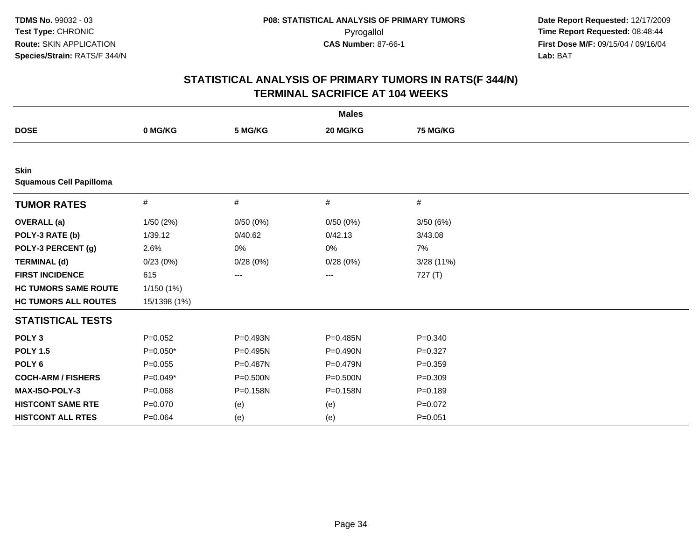| <b>Males</b>                                  |              |          |              |             |  |  |  |
|-----------------------------------------------|--------------|----------|--------------|-------------|--|--|--|
| <b>DOSE</b>                                   | 0 MG/KG      | 5 MG/KG  | 20 MG/KG     | 75 MG/KG    |  |  |  |
|                                               |              |          |              |             |  |  |  |
| <b>Skin</b><br><b>Squamous Cell Papilloma</b> |              |          |              |             |  |  |  |
| <b>TUMOR RATES</b>                            | $\#$         | #        | #            | #           |  |  |  |
| <b>OVERALL</b> (a)                            | 1/50(2%)     | 0/50(0%) | 0/50(0%)     | 3/50(6%)    |  |  |  |
| POLY-3 RATE (b)                               | 1/39.12      | 0/40.62  | 0/42.13      | 3/43.08     |  |  |  |
| POLY-3 PERCENT (g)                            | 2.6%         | 0%       | 0%           | 7%          |  |  |  |
| <b>TERMINAL (d)</b>                           | 0/23(0%)     | 0/28(0%) | 0/28(0%)     | 3/28(11%)   |  |  |  |
| <b>FIRST INCIDENCE</b>                        | 615          | ---      | ---          | 727 (T)     |  |  |  |
| <b>HC TUMORS SAME ROUTE</b>                   | 1/150(1%)    |          |              |             |  |  |  |
| <b>HC TUMORS ALL ROUTES</b>                   | 15/1398 (1%) |          |              |             |  |  |  |
| <b>STATISTICAL TESTS</b>                      |              |          |              |             |  |  |  |
| POLY <sub>3</sub>                             | $P=0.052$    | P=0.493N | $P = 0.485N$ | $P = 0.340$ |  |  |  |
| <b>POLY 1.5</b>                               | $P=0.050*$   | P=0.495N | P=0.490N     | $P=0.327$   |  |  |  |
| POLY <sub>6</sub>                             | $P=0.055$    | P=0.487N | P=0.479N     | $P=0.359$   |  |  |  |
| <b>COCH-ARM / FISHERS</b>                     | $P=0.049*$   | P=0.500N | P=0.500N     | $P = 0.309$ |  |  |  |
| <b>MAX-ISO-POLY-3</b>                         | $P = 0.068$  | P=0.158N | P=0.158N     | $P = 0.189$ |  |  |  |
| <b>HISTCONT SAME RTE</b>                      | $P = 0.070$  | (e)      | (e)          | $P=0.072$   |  |  |  |
| <b>HISTCONT ALL RTES</b>                      | $P=0.064$    | (e)      | (e)          | $P = 0.051$ |  |  |  |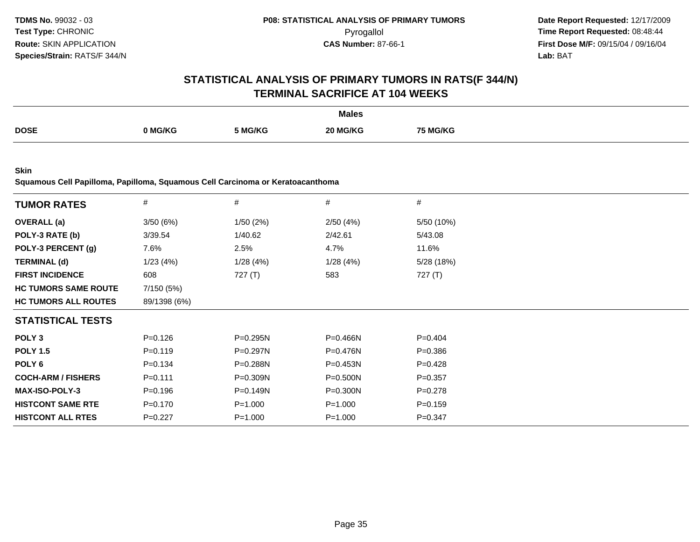# **STATISTICAL ANALYSIS OF PRIMARY TUMORS IN RATS(F 344/N)TERMINAL SACRIFICE AT 104 WEEKS**

|             |         |         | <b>Males</b> |         |
|-------------|---------|---------|--------------|---------|
| <b>DOSE</b> |         |         | ንበ ኪ         |         |
|             | ` MG/KG | 5 MG/KG | IG/KC        | i MG/KG |
|             |         |         |              |         |

**Skin**

**Squamous Cell Papilloma, Papilloma, Squamous Cell Carcinoma or Keratoacanthoma**

| <b>TUMOR RATES</b>          | #            | #            | $\#$         | $\#$        |
|-----------------------------|--------------|--------------|--------------|-------------|
| <b>OVERALL</b> (a)          | 3/50(6%)     | 1/50(2%)     | 2/50(4%)     | 5/50 (10%)  |
| POLY-3 RATE (b)             | 3/39.54      | 1/40.62      | 2/42.61      | 5/43.08     |
| POLY-3 PERCENT (g)          | 7.6%         | 2.5%         | 4.7%         | 11.6%       |
| <b>TERMINAL (d)</b>         | 1/23(4%)     | 1/28(4%)     | 1/28(4%)     | 5/28 (18%)  |
| <b>FIRST INCIDENCE</b>      | 608          | 727(T)       | 583          | 727 $(T)$   |
| <b>HC TUMORS SAME ROUTE</b> | 7/150 (5%)   |              |              |             |
| <b>HC TUMORS ALL ROUTES</b> | 89/1398 (6%) |              |              |             |
| <b>STATISTICAL TESTS</b>    |              |              |              |             |
| POLY <sub>3</sub>           | $P = 0.126$  | $P = 0.295N$ | $P = 0.466N$ | $P=0.404$   |
| <b>POLY 1.5</b>             | $P = 0.119$  | $P=0.297N$   | $P = 0.476N$ | $P = 0.386$ |
| POLY 6                      | $P = 0.134$  | $P = 0.288N$ | $P = 0.453N$ | $P=0.428$   |
| <b>COCH-ARM / FISHERS</b>   | $P = 0.111$  | $P = 0.309N$ | $P = 0.500N$ | $P=0.357$   |
| <b>MAX-ISO-POLY-3</b>       | $P = 0.196$  | $P = 0.149N$ | P=0.300N     | $P = 0.278$ |
| <b>HISTCONT SAME RTE</b>    | $P = 0.170$  | $P = 1.000$  | $P = 1.000$  | $P = 0.159$ |
| <b>HISTCONT ALL RTES</b>    | $P=0.227$    | $P = 1.000$  | $P = 1.000$  | $P = 0.347$ |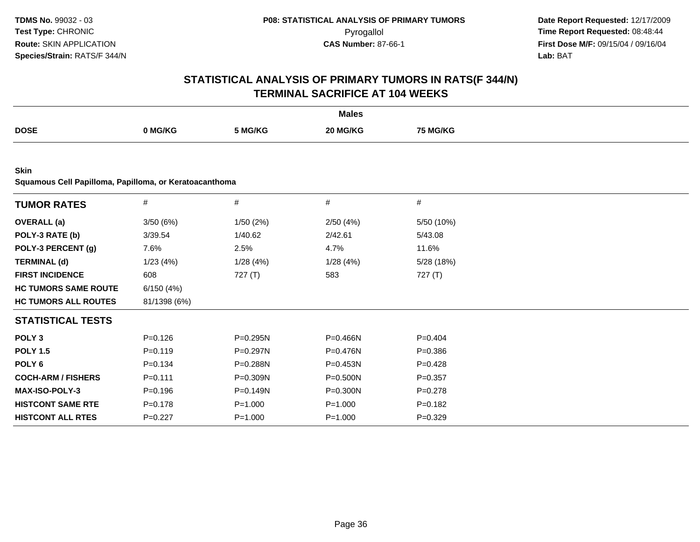|                                                                       |              |              | <b>Males</b> |             |  |
|-----------------------------------------------------------------------|--------------|--------------|--------------|-------------|--|
| <b>DOSE</b>                                                           | 0 MG/KG      | 5 MG/KG      | 20 MG/KG     | 75 MG/KG    |  |
|                                                                       |              |              |              |             |  |
| <b>Skin</b><br>Squamous Cell Papilloma, Papilloma, or Keratoacanthoma |              |              |              |             |  |
| <b>TUMOR RATES</b>                                                    | $\#$         | #            | #            | #           |  |
| <b>OVERALL</b> (a)                                                    | 3/50(6%)     | 1/50(2%)     | 2/50(4%)     | 5/50 (10%)  |  |
| POLY-3 RATE (b)                                                       | 3/39.54      | 1/40.62      | 2/42.61      | 5/43.08     |  |
| POLY-3 PERCENT (g)                                                    | 7.6%         | 2.5%         | 4.7%         | 11.6%       |  |
| <b>TERMINAL (d)</b>                                                   | 1/23(4%)     | 1/28(4%)     | 1/28(4%)     | 5/28 (18%)  |  |
| <b>FIRST INCIDENCE</b>                                                | 608          | 727(T)       | 583          | 727(T)      |  |
| <b>HC TUMORS SAME ROUTE</b>                                           | 6/150(4%)    |              |              |             |  |
| <b>HC TUMORS ALL ROUTES</b>                                           | 81/1398 (6%) |              |              |             |  |
| <b>STATISTICAL TESTS</b>                                              |              |              |              |             |  |
| POLY <sub>3</sub>                                                     | $P=0.126$    | $P = 0.295N$ | P=0.466N     | $P=0.404$   |  |
| <b>POLY 1.5</b>                                                       | $P=0.119$    | P=0.297N     | P=0.476N     | $P = 0.386$ |  |
| POLY <sub>6</sub>                                                     | $P=0.134$    | P=0.288N     | P=0.453N     | $P=0.428$   |  |
| <b>COCH-ARM / FISHERS</b>                                             | $P=0.111$    | P=0.309N     | P=0.500N     | $P=0.357$   |  |
| MAX-ISO-POLY-3                                                        | $P=0.196$    | $P = 0.149N$ | P=0.300N     | $P=0.278$   |  |
| <b>HISTCONT SAME RTE</b>                                              | $P = 0.178$  | $P = 1.000$  | $P = 1.000$  | $P=0.182$   |  |
| <b>HISTCONT ALL RTES</b>                                              | $P=0.227$    | $P = 1.000$  | $P = 1.000$  | $P=0.329$   |  |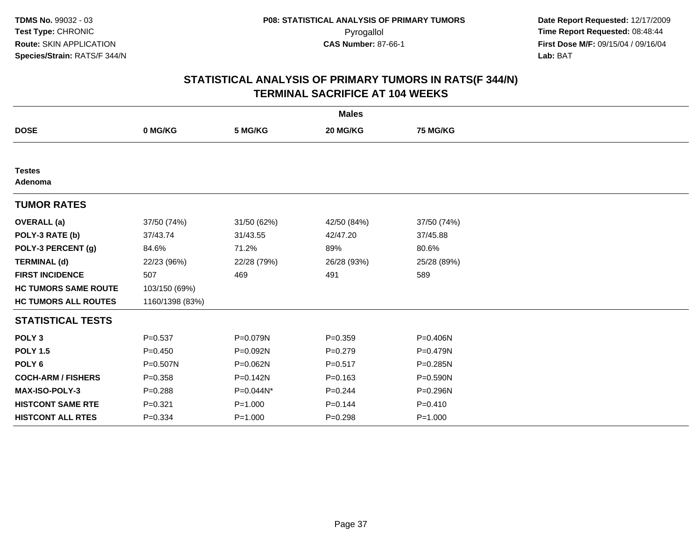| <b>Males</b>                |                 |             |             |              |  |  |
|-----------------------------|-----------------|-------------|-------------|--------------|--|--|
| <b>DOSE</b>                 | 0 MG/KG         | 5 MG/KG     | 20 MG/KG    | 75 MG/KG     |  |  |
|                             |                 |             |             |              |  |  |
| <b>Testes</b><br>Adenoma    |                 |             |             |              |  |  |
| <b>TUMOR RATES</b>          |                 |             |             |              |  |  |
| <b>OVERALL</b> (a)          | 37/50 (74%)     | 31/50 (62%) | 42/50 (84%) | 37/50 (74%)  |  |  |
| POLY-3 RATE (b)             | 37/43.74        | 31/43.55    | 42/47.20    | 37/45.88     |  |  |
| POLY-3 PERCENT (g)          | 84.6%           | 71.2%       | 89%         | 80.6%        |  |  |
| <b>TERMINAL (d)</b>         | 22/23 (96%)     | 22/28 (79%) | 26/28 (93%) | 25/28 (89%)  |  |  |
| <b>FIRST INCIDENCE</b>      | 507             | 469         | 491         | 589          |  |  |
| <b>HC TUMORS SAME ROUTE</b> | 103/150 (69%)   |             |             |              |  |  |
| <b>HC TUMORS ALL ROUTES</b> | 1160/1398 (83%) |             |             |              |  |  |
| <b>STATISTICAL TESTS</b>    |                 |             |             |              |  |  |
| POLY <sub>3</sub>           | $P = 0.537$     | P=0.079N    | $P = 0.359$ | P=0.406N     |  |  |
| <b>POLY 1.5</b>             | $P = 0.450$     | P=0.092N    | $P = 0.279$ | $P = 0.479N$ |  |  |
| POLY <sub>6</sub>           | P=0.507N        | P=0.062N    | $P = 0.517$ | P=0.285N     |  |  |
| <b>COCH-ARM / FISHERS</b>   | $P = 0.358$     | P=0.142N    | $P = 0.163$ | P=0.590N     |  |  |
| MAX-ISO-POLY-3              | $P = 0.288$     | P=0.044N*   | $P=0.244$   | P=0.296N     |  |  |
| <b>HISTCONT SAME RTE</b>    | $P = 0.321$     | $P = 1.000$ | $P = 0.144$ | $P = 0.410$  |  |  |
| <b>HISTCONT ALL RTES</b>    | $P = 0.334$     | $P = 1.000$ | $P = 0.298$ | $P = 1.000$  |  |  |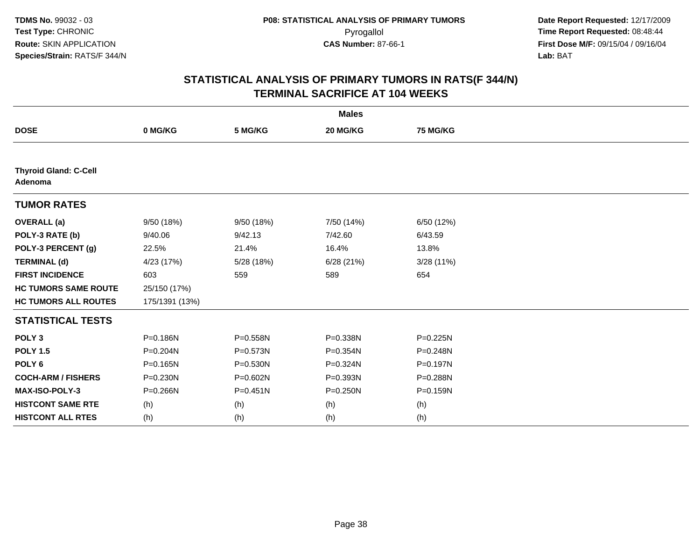| <b>Males</b>                            |                |              |              |                 |  |  |
|-----------------------------------------|----------------|--------------|--------------|-----------------|--|--|
| <b>DOSE</b>                             | 0 MG/KG        | 5 MG/KG      | 20 MG/KG     | <b>75 MG/KG</b> |  |  |
|                                         |                |              |              |                 |  |  |
| <b>Thyroid Gland: C-Cell</b><br>Adenoma |                |              |              |                 |  |  |
| <b>TUMOR RATES</b>                      |                |              |              |                 |  |  |
| <b>OVERALL</b> (a)                      | 9/50 (18%)     | 9/50 (18%)   | 7/50 (14%)   | 6/50 (12%)      |  |  |
| POLY-3 RATE (b)                         | 9/40.06        | 9/42.13      | 7/42.60      | 6/43.59         |  |  |
| POLY-3 PERCENT (g)                      | 22.5%          | 21.4%        | 16.4%        | 13.8%           |  |  |
| <b>TERMINAL (d)</b>                     | 4/23 (17%)     | 5/28 (18%)   | 6/28(21%)    | 3/28(11%)       |  |  |
| <b>FIRST INCIDENCE</b>                  | 603            | 559          | 589          | 654             |  |  |
| <b>HC TUMORS SAME ROUTE</b>             | 25/150 (17%)   |              |              |                 |  |  |
| <b>HC TUMORS ALL ROUTES</b>             | 175/1391 (13%) |              |              |                 |  |  |
| <b>STATISTICAL TESTS</b>                |                |              |              |                 |  |  |
| POLY <sub>3</sub>                       | P=0.186N       | P=0.558N     | P=0.338N     | P=0.225N        |  |  |
| <b>POLY 1.5</b>                         | P=0.204N       | P=0.573N     | P=0.354N     | P=0.248N        |  |  |
| POLY <sub>6</sub>                       | P=0.165N       | $P = 0.530N$ | P=0.324N     | P=0.197N        |  |  |
| <b>COCH-ARM / FISHERS</b>               | P=0.230N       | P=0.602N     | P=0.393N     | P=0.288N        |  |  |
| MAX-ISO-POLY-3                          | P=0.266N       | $P = 0.451N$ | $P = 0.250N$ | P=0.159N        |  |  |
| <b>HISTCONT SAME RTE</b>                | (h)            | (h)          | (h)          | (h)             |  |  |
| <b>HISTCONT ALL RTES</b>                | (h)            | (h)          | (h)          | (h)             |  |  |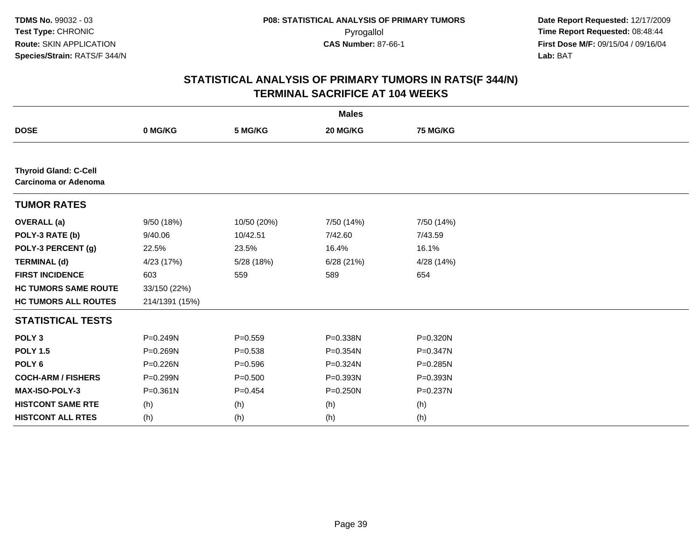| <b>Males</b>                                                |                |             |              |                 |  |  |
|-------------------------------------------------------------|----------------|-------------|--------------|-----------------|--|--|
| <b>DOSE</b>                                                 | 0 MG/KG        | 5 MG/KG     | 20 MG/KG     | <b>75 MG/KG</b> |  |  |
|                                                             |                |             |              |                 |  |  |
| <b>Thyroid Gland: C-Cell</b><br><b>Carcinoma or Adenoma</b> |                |             |              |                 |  |  |
| <b>TUMOR RATES</b>                                          |                |             |              |                 |  |  |
| <b>OVERALL</b> (a)                                          | 9/50 (18%)     | 10/50 (20%) | 7/50 (14%)   | 7/50 (14%)      |  |  |
| POLY-3 RATE (b)                                             | 9/40.06        | 10/42.51    | 7/42.60      | 7/43.59         |  |  |
| POLY-3 PERCENT (g)                                          | 22.5%          | 23.5%       | 16.4%        | 16.1%           |  |  |
| <b>TERMINAL (d)</b>                                         | 4/23 (17%)     | 5/28 (18%)  | 6/28(21%)    | 4/28 (14%)      |  |  |
| <b>FIRST INCIDENCE</b>                                      | 603            | 559         | 589          | 654             |  |  |
| <b>HC TUMORS SAME ROUTE</b>                                 | 33/150 (22%)   |             |              |                 |  |  |
| <b>HC TUMORS ALL ROUTES</b>                                 | 214/1391 (15%) |             |              |                 |  |  |
| <b>STATISTICAL TESTS</b>                                    |                |             |              |                 |  |  |
| POLY <sub>3</sub>                                           | P=0.249N       | $P = 0.559$ | P=0.338N     | P=0.320N        |  |  |
| <b>POLY 1.5</b>                                             | P=0.269N       | $P = 0.538$ | P=0.354N     | $P = 0.347N$    |  |  |
| POLY <sub>6</sub>                                           | P=0.226N       | $P = 0.596$ | P=0.324N     | $P = 0.285N$    |  |  |
| <b>COCH-ARM / FISHERS</b>                                   | P=0.299N       | $P = 0.500$ | P=0.393N     | P=0.393N        |  |  |
| MAX-ISO-POLY-3                                              | $P = 0.361N$   | $P=0.454$   | $P = 0.250N$ | P=0.237N        |  |  |
| <b>HISTCONT SAME RTE</b>                                    | (h)            | (h)         | (h)          | (h)             |  |  |
| <b>HISTCONT ALL RTES</b>                                    | (h)            | (h)         | (h)          | (h)             |  |  |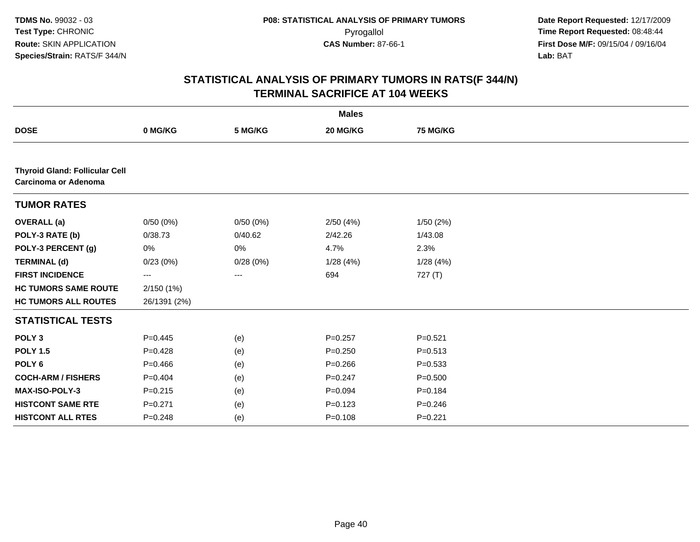|                                                               |              |          | <b>Males</b> |             |  |
|---------------------------------------------------------------|--------------|----------|--------------|-------------|--|
| <b>DOSE</b>                                                   | 0 MG/KG      | 5 MG/KG  | 20 MG/KG     | 75 MG/KG    |  |
|                                                               |              |          |              |             |  |
| <b>Thyroid Gland: Follicular Cell</b><br>Carcinoma or Adenoma |              |          |              |             |  |
| <b>TUMOR RATES</b>                                            |              |          |              |             |  |
| <b>OVERALL</b> (a)                                            | 0/50(0%)     | 0/50(0%) | 2/50(4%)     | 1/50(2%)    |  |
| POLY-3 RATE (b)                                               | 0/38.73      | 0/40.62  | 2/42.26      | 1/43.08     |  |
| POLY-3 PERCENT (g)                                            | 0%           | 0%       | 4.7%         | 2.3%        |  |
| <b>TERMINAL (d)</b>                                           | 0/23(0%)     | 0/28(0%) | 1/28(4%)     | 1/28(4%)    |  |
| <b>FIRST INCIDENCE</b>                                        | ---          | ---      | 694          | 727(T)      |  |
| <b>HC TUMORS SAME ROUTE</b>                                   | 2/150 (1%)   |          |              |             |  |
| <b>HC TUMORS ALL ROUTES</b>                                   | 26/1391 (2%) |          |              |             |  |
| <b>STATISTICAL TESTS</b>                                      |              |          |              |             |  |
| POLY <sub>3</sub>                                             | $P=0.445$    | (e)      | $P=0.257$    | $P = 0.521$ |  |
| <b>POLY 1.5</b>                                               | $P=0.428$    | (e)      | $P = 0.250$  | $P = 0.513$ |  |
| POLY <sub>6</sub>                                             | $P=0.466$    | (e)      | $P = 0.266$  | $P = 0.533$ |  |
| <b>COCH-ARM / FISHERS</b>                                     | $P=0.404$    | (e)      | $P = 0.247$  | $P = 0.500$ |  |
| MAX-ISO-POLY-3                                                | $P = 0.215$  | (e)      | $P = 0.094$  | $P = 0.184$ |  |
| <b>HISTCONT SAME RTE</b>                                      | $P = 0.271$  | (e)      | $P = 0.123$  | $P = 0.246$ |  |
| <b>HISTCONT ALL RTES</b>                                      | $P = 0.248$  | (e)      | $P = 0.108$  | $P=0.221$   |  |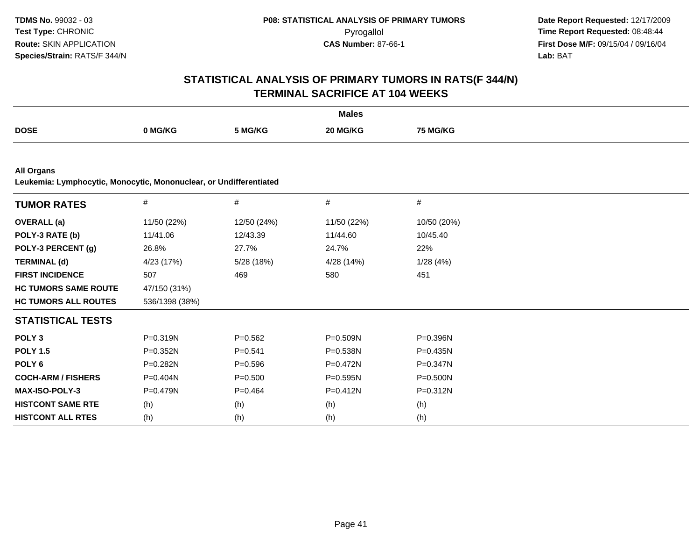| <b>Males</b>                                                                            |                |             |              |              |  |  |
|-----------------------------------------------------------------------------------------|----------------|-------------|--------------|--------------|--|--|
| <b>DOSE</b>                                                                             | 0 MG/KG        | 5 MG/KG     | 20 MG/KG     | 75 MG/KG     |  |  |
|                                                                                         |                |             |              |              |  |  |
| <b>All Organs</b><br>Leukemia: Lymphocytic, Monocytic, Mononuclear, or Undifferentiated |                |             |              |              |  |  |
| <b>TUMOR RATES</b>                                                                      | $\#$           | $\#$        | $\#$         | $\#$         |  |  |
| <b>OVERALL</b> (a)                                                                      | 11/50 (22%)    | 12/50 (24%) | 11/50 (22%)  | 10/50 (20%)  |  |  |
| POLY-3 RATE (b)                                                                         | 11/41.06       | 12/43.39    | 11/44.60     | 10/45.40     |  |  |
| POLY-3 PERCENT (g)                                                                      | 26.8%          | 27.7%       | 24.7%        | 22%          |  |  |
| <b>TERMINAL (d)</b>                                                                     | 4/23 (17%)     | 5/28 (18%)  | 4/28 (14%)   | 1/28(4%)     |  |  |
| <b>FIRST INCIDENCE</b>                                                                  | 507            | 469         | 580          | 451          |  |  |
| <b>HC TUMORS SAME ROUTE</b>                                                             | 47/150 (31%)   |             |              |              |  |  |
| <b>HC TUMORS ALL ROUTES</b>                                                             | 536/1398 (38%) |             |              |              |  |  |
| <b>STATISTICAL TESTS</b>                                                                |                |             |              |              |  |  |
| POLY <sub>3</sub>                                                                       | P=0.319N       | $P = 0.562$ | P=0.509N     | P=0.396N     |  |  |
| <b>POLY 1.5</b>                                                                         | $P = 0.352N$   | $P = 0.541$ | P=0.538N     | $P = 0.435N$ |  |  |
| POLY <sub>6</sub>                                                                       | P=0.282N       | $P = 0.596$ | P=0.472N     | $P = 0.347N$ |  |  |
| <b>COCH-ARM / FISHERS</b>                                                               | $P = 0.404N$   | $P = 0.500$ | $P = 0.595N$ | P=0.500N     |  |  |
| MAX-ISO-POLY-3                                                                          | $P = 0.479N$   | $P = 0.464$ | $P = 0.412N$ | $P = 0.312N$ |  |  |
| <b>HISTCONT SAME RTE</b>                                                                | (h)            | (h)         | (h)          | (h)          |  |  |
| <b>HISTCONT ALL RTES</b>                                                                | (h)            | (h)         | (h)          | (h)          |  |  |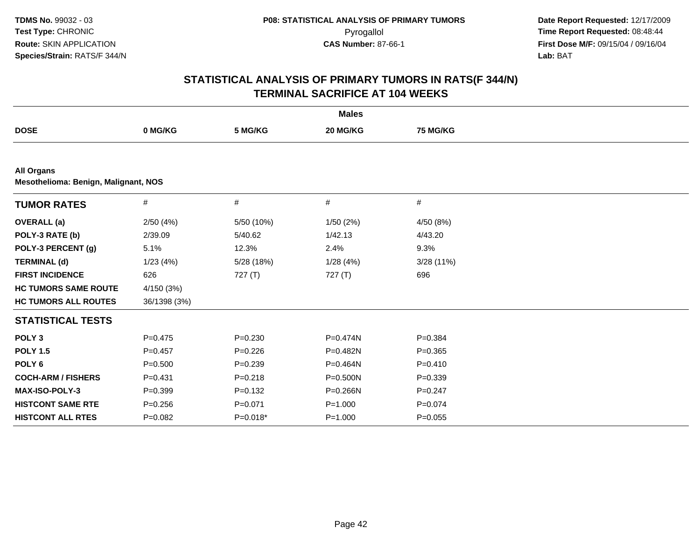|                                                                  |              |             | <b>Males</b> |             |  |  |  |  |
|------------------------------------------------------------------|--------------|-------------|--------------|-------------|--|--|--|--|
| <b>DOSE</b>                                                      | 0 MG/KG      | 5 MG/KG     | 20 MG/KG     | 75 MG/KG    |  |  |  |  |
|                                                                  |              |             |              |             |  |  |  |  |
| <b>All Organs</b><br><b>Mesothelioma: Benign, Malignant, NOS</b> |              |             |              |             |  |  |  |  |
| <b>TUMOR RATES</b>                                               | #            | $\#$        | #            | $\#$        |  |  |  |  |
| <b>OVERALL</b> (a)                                               | 2/50(4%)     | 5/50 (10%)  | 1/50(2%)     | 4/50 (8%)   |  |  |  |  |
| POLY-3 RATE (b)                                                  | 2/39.09      | 5/40.62     | 1/42.13      | 4/43.20     |  |  |  |  |
| POLY-3 PERCENT (g)                                               | 5.1%         | 12.3%       | 2.4%         | 9.3%        |  |  |  |  |
| <b>TERMINAL (d)</b>                                              | 1/23(4%)     | 5/28 (18%)  | 1/28(4%)     | 3/28 (11%)  |  |  |  |  |
| <b>FIRST INCIDENCE</b>                                           | 626          | 727(T)      | 727(T)       | 696         |  |  |  |  |
| <b>HC TUMORS SAME ROUTE</b>                                      | 4/150 (3%)   |             |              |             |  |  |  |  |
| <b>HC TUMORS ALL ROUTES</b>                                      | 36/1398 (3%) |             |              |             |  |  |  |  |
| <b>STATISTICAL TESTS</b>                                         |              |             |              |             |  |  |  |  |
| POLY <sub>3</sub>                                                | $P=0.475$    | $P = 0.230$ | P=0.474N     | $P = 0.384$ |  |  |  |  |
| <b>POLY 1.5</b>                                                  | $P=0.457$    | $P = 0.226$ | P=0.482N     | $P=0.365$   |  |  |  |  |
| POLY <sub>6</sub>                                                | $P = 0.500$  | $P = 0.239$ | P=0.464N     | $P=0.410$   |  |  |  |  |
| <b>COCH-ARM / FISHERS</b>                                        | $P = 0.431$  | $P = 0.218$ | P=0.500N     | $P = 0.339$ |  |  |  |  |
| <b>MAX-ISO-POLY-3</b>                                            | $P = 0.399$  | $P = 0.132$ | P=0.266N     | $P = 0.247$ |  |  |  |  |
| <b>HISTCONT SAME RTE</b>                                         | $P = 0.256$  | $P = 0.071$ | $P = 1.000$  | $P = 0.074$ |  |  |  |  |
| <b>HISTCONT ALL RTES</b>                                         | $P=0.082$    | $P=0.018*$  | $P = 1.000$  | $P=0.055$   |  |  |  |  |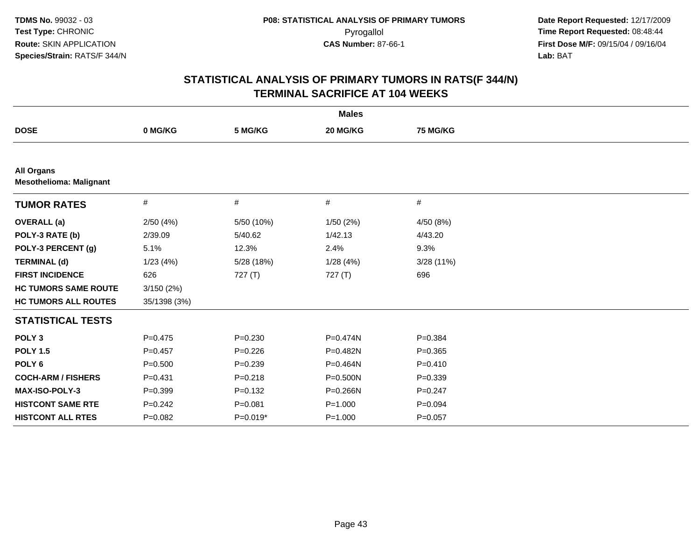| <b>Males</b>                                        |              |             |              |                 |  |  |
|-----------------------------------------------------|--------------|-------------|--------------|-----------------|--|--|
| <b>DOSE</b>                                         | 0 MG/KG      | 5 MG/KG     | 20 MG/KG     | <b>75 MG/KG</b> |  |  |
|                                                     |              |             |              |                 |  |  |
| <b>All Organs</b><br><b>Mesothelioma: Malignant</b> |              |             |              |                 |  |  |
| <b>TUMOR RATES</b>                                  | #            | #           | #            | #               |  |  |
| <b>OVERALL</b> (a)                                  | 2/50(4%)     | 5/50 (10%)  | 1/50(2%)     | 4/50 (8%)       |  |  |
| POLY-3 RATE (b)                                     | 2/39.09      | 5/40.62     | 1/42.13      | 4/43.20         |  |  |
| POLY-3 PERCENT (g)                                  | 5.1%         | 12.3%       | 2.4%         | 9.3%            |  |  |
| <b>TERMINAL (d)</b>                                 | 1/23(4%)     | 5/28 (18%)  | 1/28(4%)     | 3/28(11%)       |  |  |
| <b>FIRST INCIDENCE</b>                              | 626          | 727(T)      | 727(T)       | 696             |  |  |
| <b>HC TUMORS SAME ROUTE</b>                         | 3/150(2%)    |             |              |                 |  |  |
| <b>HC TUMORS ALL ROUTES</b>                         | 35/1398 (3%) |             |              |                 |  |  |
| <b>STATISTICAL TESTS</b>                            |              |             |              |                 |  |  |
| POLY <sub>3</sub>                                   | $P=0.475$    | $P = 0.230$ | P=0.474N     | $P = 0.384$     |  |  |
| <b>POLY 1.5</b>                                     | $P=0.457$    | $P=0.226$   | P=0.482N     | $P = 0.365$     |  |  |
| POLY <sub>6</sub>                                   | $P = 0.500$  | $P = 0.239$ | P=0.464N     | $P = 0.410$     |  |  |
| <b>COCH-ARM / FISHERS</b>                           | $P = 0.431$  | $P = 0.218$ | $P = 0.500N$ | $P = 0.339$     |  |  |
| <b>MAX-ISO-POLY-3</b>                               | $P=0.399$    | $P = 0.132$ | P=0.266N     | $P = 0.247$     |  |  |
| <b>HISTCONT SAME RTE</b>                            | $P=0.242$    | $P = 0.081$ | $P = 1.000$  | $P = 0.094$     |  |  |
| <b>HISTCONT ALL RTES</b>                            | $P=0.082$    | $P=0.019*$  | $P = 1.000$  | $P = 0.057$     |  |  |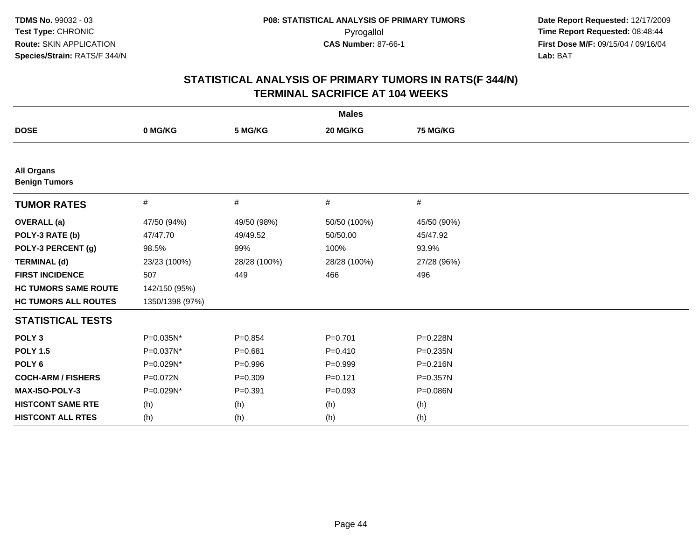| <b>Males</b>                              |                 |              |              |              |  |  |
|-------------------------------------------|-----------------|--------------|--------------|--------------|--|--|
| <b>DOSE</b>                               | 0 MG/KG         | 5 MG/KG      | 20 MG/KG     | 75 MG/KG     |  |  |
|                                           |                 |              |              |              |  |  |
| <b>All Organs</b><br><b>Benign Tumors</b> |                 |              |              |              |  |  |
| <b>TUMOR RATES</b>                        | #               | #            | #            | #            |  |  |
| <b>OVERALL</b> (a)                        | 47/50 (94%)     | 49/50 (98%)  | 50/50 (100%) | 45/50 (90%)  |  |  |
| POLY-3 RATE (b)                           | 47/47.70        | 49/49.52     | 50/50.00     | 45/47.92     |  |  |
| POLY-3 PERCENT (g)                        | 98.5%           | 99%          | 100%         | 93.9%        |  |  |
| <b>TERMINAL (d)</b>                       | 23/23 (100%)    | 28/28 (100%) | 28/28 (100%) | 27/28 (96%)  |  |  |
| <b>FIRST INCIDENCE</b>                    | 507             | 449          | 466          | 496          |  |  |
| <b>HC TUMORS SAME ROUTE</b>               | 142/150 (95%)   |              |              |              |  |  |
| <b>HC TUMORS ALL ROUTES</b>               | 1350/1398 (97%) |              |              |              |  |  |
| <b>STATISTICAL TESTS</b>                  |                 |              |              |              |  |  |
| POLY <sub>3</sub>                         | P=0.035N*       | $P=0.854$    | $P = 0.701$  | P=0.228N     |  |  |
| <b>POLY 1.5</b>                           | P=0.037N*       | $P = 0.681$  | $P=0.410$    | $P = 0.235N$ |  |  |
| POLY <sub>6</sub>                         | P=0.029N*       | $P = 0.996$  | $P=0.999$    | $P = 0.216N$ |  |  |
| <b>COCH-ARM / FISHERS</b>                 | P=0.072N        | $P = 0.309$  | $P = 0.121$  | P=0.357N     |  |  |
| MAX-ISO-POLY-3                            | P=0.029N*       | $P = 0.391$  | $P = 0.093$  | P=0.086N     |  |  |
| <b>HISTCONT SAME RTE</b>                  | (h)             | (h)          | (h)          | (h)          |  |  |
| <b>HISTCONT ALL RTES</b>                  | (h)             | (h)          | (h)          | (h)          |  |  |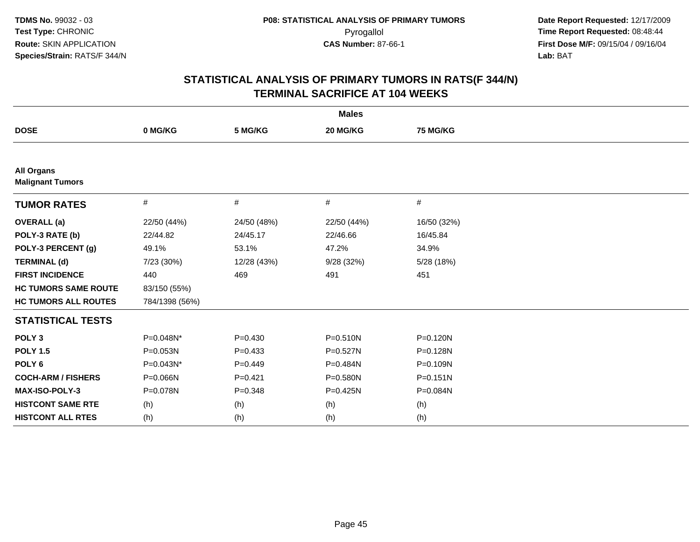| <b>Males</b>                                 |                |             |              |              |  |  |
|----------------------------------------------|----------------|-------------|--------------|--------------|--|--|
| <b>DOSE</b>                                  | 0 MG/KG        | 5 MG/KG     | 20 MG/KG     | 75 MG/KG     |  |  |
|                                              |                |             |              |              |  |  |
| <b>All Organs</b><br><b>Malignant Tumors</b> |                |             |              |              |  |  |
| <b>TUMOR RATES</b>                           | #              | #           | #            | $\#$         |  |  |
| <b>OVERALL (a)</b>                           | 22/50 (44%)    | 24/50 (48%) | 22/50 (44%)  | 16/50 (32%)  |  |  |
| POLY-3 RATE (b)                              | 22/44.82       | 24/45.17    | 22/46.66     | 16/45.84     |  |  |
| POLY-3 PERCENT (g)                           | 49.1%          | 53.1%       | 47.2%        | 34.9%        |  |  |
| <b>TERMINAL (d)</b>                          | 7/23 (30%)     | 12/28 (43%) | 9/28 (32%)   | 5/28 (18%)   |  |  |
| <b>FIRST INCIDENCE</b>                       | 440            | 469         | 491          | 451          |  |  |
| <b>HC TUMORS SAME ROUTE</b>                  | 83/150 (55%)   |             |              |              |  |  |
| <b>HC TUMORS ALL ROUTES</b>                  | 784/1398 (56%) |             |              |              |  |  |
| <b>STATISTICAL TESTS</b>                     |                |             |              |              |  |  |
| POLY <sub>3</sub>                            | P=0.048N*      | $P = 0.430$ | $P = 0.510N$ | $P = 0.120N$ |  |  |
| <b>POLY 1.5</b>                              | P=0.053N       | $P = 0.433$ | $P = 0.527N$ | P=0.128N     |  |  |
| POLY <sub>6</sub>                            | P=0.043N*      | $P=0.449$   | P=0.484N     | P=0.109N     |  |  |
| <b>COCH-ARM / FISHERS</b>                    | P=0.066N       | $P = 0.421$ | P=0.580N     | $P = 0.151N$ |  |  |
| <b>MAX-ISO-POLY-3</b>                        | P=0.078N       | $P = 0.348$ | $P = 0.425N$ | P=0.084N     |  |  |
| <b>HISTCONT SAME RTE</b>                     | (h)            | (h)         | (h)          | (h)          |  |  |
| <b>HISTCONT ALL RTES</b>                     | (h)            | (h)         | (h)          | (h)          |  |  |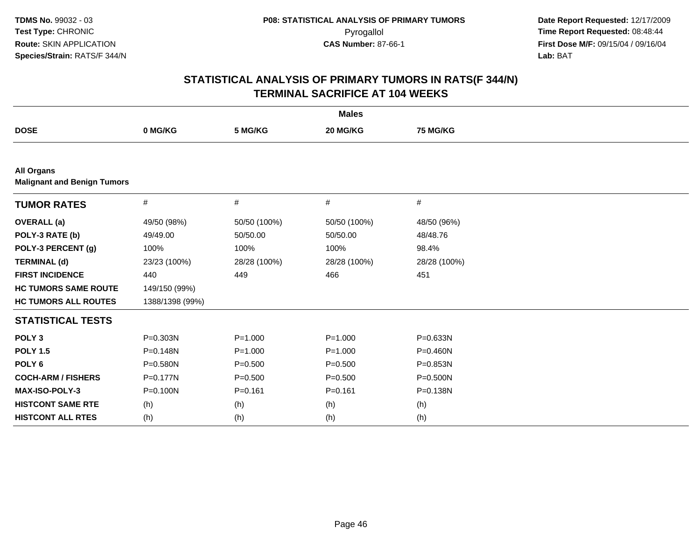| <b>Males</b>                                            |                 |              |              |              |  |  |
|---------------------------------------------------------|-----------------|--------------|--------------|--------------|--|--|
| <b>DOSE</b>                                             | 0 MG/KG         | 5 MG/KG      | 20 MG/KG     | 75 MG/KG     |  |  |
|                                                         |                 |              |              |              |  |  |
| <b>All Organs</b><br><b>Malignant and Benign Tumors</b> |                 |              |              |              |  |  |
| <b>TUMOR RATES</b>                                      | $\#$            | $\#$         | #            | #            |  |  |
| <b>OVERALL</b> (a)                                      | 49/50 (98%)     | 50/50 (100%) | 50/50 (100%) | 48/50 (96%)  |  |  |
| POLY-3 RATE (b)                                         | 49/49.00        | 50/50.00     | 50/50.00     | 48/48.76     |  |  |
| POLY-3 PERCENT (g)                                      | 100%            | 100%         | 100%         | 98.4%        |  |  |
| <b>TERMINAL (d)</b>                                     | 23/23 (100%)    | 28/28 (100%) | 28/28 (100%) | 28/28 (100%) |  |  |
| <b>FIRST INCIDENCE</b>                                  | 440             | 449          | 466          | 451          |  |  |
| <b>HC TUMORS SAME ROUTE</b>                             | 149/150 (99%)   |              |              |              |  |  |
| <b>HC TUMORS ALL ROUTES</b>                             | 1388/1398 (99%) |              |              |              |  |  |
| <b>STATISTICAL TESTS</b>                                |                 |              |              |              |  |  |
| POLY <sub>3</sub>                                       | P=0.303N        | $P = 1.000$  | $P = 1.000$  | $P = 0.633N$ |  |  |
| <b>POLY 1.5</b>                                         | P=0.148N        | $P = 1.000$  | $P = 1.000$  | $P = 0.460N$ |  |  |
| POLY <sub>6</sub>                                       | P=0.580N        | $P = 0.500$  | $P = 0.500$  | P=0.853N     |  |  |
| <b>COCH-ARM / FISHERS</b>                               | P=0.177N        | $P = 0.500$  | $P = 0.500$  | $P = 0.500N$ |  |  |
| <b>MAX-ISO-POLY-3</b>                                   | P=0.100N        | $P = 0.161$  | $P = 0.161$  | P=0.138N     |  |  |
| <b>HISTCONT SAME RTE</b>                                | (h)             | (h)          | (h)          | (h)          |  |  |
| <b>HISTCONT ALL RTES</b>                                | (h)             | (h)          | (h)          | (h)          |  |  |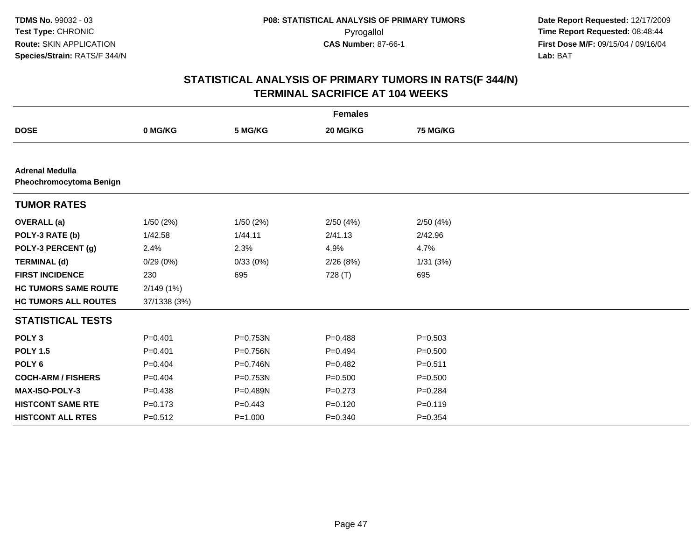| <b>Females</b>                                    |              |             |             |             |  |  |
|---------------------------------------------------|--------------|-------------|-------------|-------------|--|--|
| <b>DOSE</b>                                       | 0 MG/KG      | 5 MG/KG     | 20 MG/KG    | 75 MG/KG    |  |  |
|                                                   |              |             |             |             |  |  |
| <b>Adrenal Medulla</b><br>Pheochromocytoma Benign |              |             |             |             |  |  |
| <b>TUMOR RATES</b>                                |              |             |             |             |  |  |
| <b>OVERALL</b> (a)                                | 1/50(2%)     | 1/50(2%)    | 2/50(4%)    | 2/50(4%)    |  |  |
| POLY-3 RATE (b)                                   | 1/42.58      | 1/44.11     | 2/41.13     | 2/42.96     |  |  |
| POLY-3 PERCENT (g)                                | 2.4%         | 2.3%        | 4.9%        | 4.7%        |  |  |
| <b>TERMINAL (d)</b>                               | 0/29(0%)     | 0/33(0%)    | 2/26(8%)    | 1/31(3%)    |  |  |
| <b>FIRST INCIDENCE</b>                            | 230          | 695         | 728 (T)     | 695         |  |  |
| <b>HC TUMORS SAME ROUTE</b>                       | 2/149 (1%)   |             |             |             |  |  |
| <b>HC TUMORS ALL ROUTES</b>                       | 37/1338 (3%) |             |             |             |  |  |
| <b>STATISTICAL TESTS</b>                          |              |             |             |             |  |  |
| POLY <sub>3</sub>                                 | $P = 0.401$  | P=0.753N    | $P = 0.488$ | $P = 0.503$ |  |  |
| <b>POLY 1.5</b>                                   | $P = 0.401$  | P=0.756N    | $P=0.494$   | $P = 0.500$ |  |  |
| POLY <sub>6</sub>                                 | $P=0.404$    | P=0.746N    | $P=0.482$   | $P = 0.511$ |  |  |
| <b>COCH-ARM / FISHERS</b>                         | $P=0.404$    | P=0.753N    | $P = 0.500$ | $P = 0.500$ |  |  |
| MAX-ISO-POLY-3                                    | $P=0.438$    | P=0.489N    | $P=0.273$   | $P = 0.284$ |  |  |
| <b>HISTCONT SAME RTE</b>                          | $P = 0.173$  | $P=0.443$   | $P = 0.120$ | $P = 0.119$ |  |  |
| <b>HISTCONT ALL RTES</b>                          | $P = 0.512$  | $P = 1.000$ | $P = 0.340$ | $P = 0.354$ |  |  |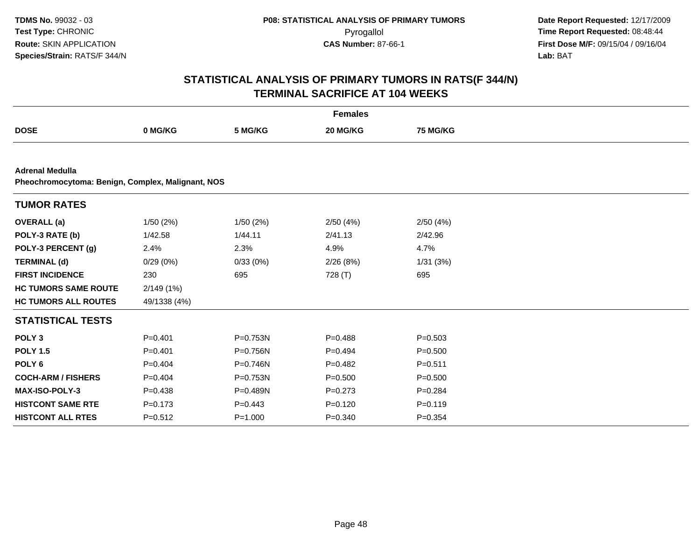|                                                                             |              |             | <b>Females</b> |             |  |  |  |  |
|-----------------------------------------------------------------------------|--------------|-------------|----------------|-------------|--|--|--|--|
| <b>DOSE</b>                                                                 | 0 MG/KG      | 5 MG/KG     | 20 MG/KG       | 75 MG/KG    |  |  |  |  |
|                                                                             |              |             |                |             |  |  |  |  |
| <b>Adrenal Medulla</b><br>Pheochromocytoma: Benign, Complex, Malignant, NOS |              |             |                |             |  |  |  |  |
| <b>TUMOR RATES</b>                                                          |              |             |                |             |  |  |  |  |
| <b>OVERALL</b> (a)                                                          | 1/50(2%)     | 1/50(2%)    | 2/50(4%)       | 2/50(4%)    |  |  |  |  |
| POLY-3 RATE (b)                                                             | 1/42.58      | 1/44.11     | 2/41.13        | 2/42.96     |  |  |  |  |
| POLY-3 PERCENT (g)                                                          | 2.4%         | 2.3%        | 4.9%           | 4.7%        |  |  |  |  |
| <b>TERMINAL (d)</b>                                                         | 0/29(0%)     | 0/33(0%)    | 2/26(8%)       | 1/31(3%)    |  |  |  |  |
| <b>FIRST INCIDENCE</b>                                                      | 230          | 695         | 728 (T)        | 695         |  |  |  |  |
| <b>HC TUMORS SAME ROUTE</b>                                                 | 2/149(1%)    |             |                |             |  |  |  |  |
| <b>HC TUMORS ALL ROUTES</b>                                                 | 49/1338 (4%) |             |                |             |  |  |  |  |
| <b>STATISTICAL TESTS</b>                                                    |              |             |                |             |  |  |  |  |
| POLY <sub>3</sub>                                                           | $P = 0.401$  | P=0.753N    | $P = 0.488$    | $P = 0.503$ |  |  |  |  |
| <b>POLY 1.5</b>                                                             | $P = 0.401$  | P=0.756N    | $P=0.494$      | $P = 0.500$ |  |  |  |  |
| POLY <sub>6</sub>                                                           | $P=0.404$    | P=0.746N    | $P=0.482$      | $P = 0.511$ |  |  |  |  |
| <b>COCH-ARM / FISHERS</b>                                                   | $P=0.404$    | P=0.753N    | $P = 0.500$    | $P = 0.500$ |  |  |  |  |
| <b>MAX-ISO-POLY-3</b>                                                       | $P = 0.438$  | P=0.489N    | $P = 0.273$    | $P=0.284$   |  |  |  |  |
| <b>HISTCONT SAME RTE</b>                                                    | $P = 0.173$  | $P=0.443$   | $P=0.120$      | $P = 0.119$ |  |  |  |  |
| <b>HISTCONT ALL RTES</b>                                                    | $P = 0.512$  | $P = 1.000$ | $P = 0.340$    | $P = 0.354$ |  |  |  |  |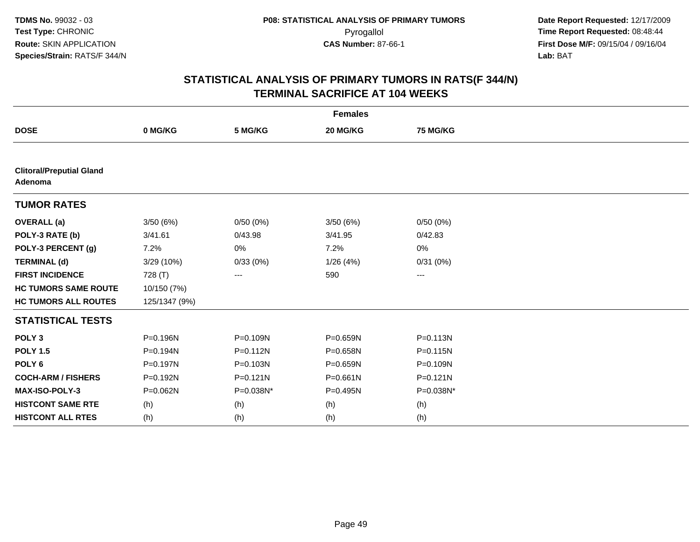| <b>Females</b>                             |               |              |              |                 |  |  |  |
|--------------------------------------------|---------------|--------------|--------------|-----------------|--|--|--|
| <b>DOSE</b>                                | 0 MG/KG       | 5 MG/KG      | 20 MG/KG     | <b>75 MG/KG</b> |  |  |  |
|                                            |               |              |              |                 |  |  |  |
| <b>Clitoral/Preputial Gland</b><br>Adenoma |               |              |              |                 |  |  |  |
| <b>TUMOR RATES</b>                         |               |              |              |                 |  |  |  |
| <b>OVERALL</b> (a)                         | 3/50(6%)      | 0/50(0%)     | 3/50(6%)     | 0/50(0%)        |  |  |  |
| POLY-3 RATE (b)                            | 3/41.61       | 0/43.98      | 3/41.95      | 0/42.83         |  |  |  |
| POLY-3 PERCENT (g)                         | 7.2%          | 0%           | 7.2%         | 0%              |  |  |  |
| <b>TERMINAL (d)</b>                        | 3/29 (10%)    | 0/33(0%)     | 1/26(4%)     | 0/31(0%)        |  |  |  |
| <b>FIRST INCIDENCE</b>                     | 728 (T)       | ---          | 590          | ---             |  |  |  |
| <b>HC TUMORS SAME ROUTE</b>                | 10/150 (7%)   |              |              |                 |  |  |  |
| <b>HC TUMORS ALL ROUTES</b>                | 125/1347 (9%) |              |              |                 |  |  |  |
| <b>STATISTICAL TESTS</b>                   |               |              |              |                 |  |  |  |
| POLY <sub>3</sub>                          | P=0.196N      | P=0.109N     | P=0.659N     | $P = 0.113N$    |  |  |  |
| <b>POLY 1.5</b>                            | P=0.194N      | $P = 0.112N$ | P=0.658N     | $P = 0.115N$    |  |  |  |
| POLY <sub>6</sub>                          | $P = 0.197N$  | P=0.103N     | $P = 0.659N$ | P=0.109N        |  |  |  |
| <b>COCH-ARM / FISHERS</b>                  | P=0.192N      | $P = 0.121N$ | $P = 0.661N$ | $P = 0.121N$    |  |  |  |
| MAX-ISO-POLY-3                             | P=0.062N      | P=0.038N*    | P=0.495N     | P=0.038N*       |  |  |  |
| <b>HISTCONT SAME RTE</b>                   | (h)           | (h)          | (h)          | (h)             |  |  |  |
| <b>HISTCONT ALL RTES</b>                   | (h)           | (h)          | (h)          | (h)             |  |  |  |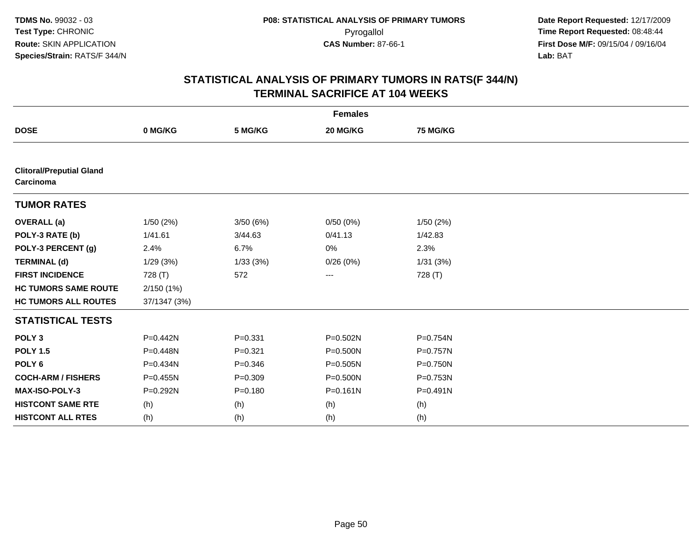| <b>Females</b>                               |              |             |              |                 |  |  |
|----------------------------------------------|--------------|-------------|--------------|-----------------|--|--|
| <b>DOSE</b>                                  | 0 MG/KG      | 5 MG/KG     | 20 MG/KG     | <b>75 MG/KG</b> |  |  |
|                                              |              |             |              |                 |  |  |
| <b>Clitoral/Preputial Gland</b><br>Carcinoma |              |             |              |                 |  |  |
| <b>TUMOR RATES</b>                           |              |             |              |                 |  |  |
| <b>OVERALL</b> (a)                           | 1/50(2%)     | 3/50(6%)    | 0/50(0%)     | 1/50 (2%)       |  |  |
| POLY-3 RATE (b)                              | 1/41.61      | 3/44.63     | 0/41.13      | 1/42.83         |  |  |
| POLY-3 PERCENT (g)                           | 2.4%         | 6.7%        | 0%           | 2.3%            |  |  |
| <b>TERMINAL (d)</b>                          | 1/29(3%)     | 1/33(3%)    | 0/26(0%)     | 1/31(3%)        |  |  |
| <b>FIRST INCIDENCE</b>                       | 728 (T)      | 572         | ---          | 728 (T)         |  |  |
| <b>HC TUMORS SAME ROUTE</b>                  | 2/150(1%)    |             |              |                 |  |  |
| <b>HC TUMORS ALL ROUTES</b>                  | 37/1347 (3%) |             |              |                 |  |  |
| <b>STATISTICAL TESTS</b>                     |              |             |              |                 |  |  |
| POLY <sub>3</sub>                            | P=0.442N     | $P = 0.331$ | P=0.502N     | P=0.754N        |  |  |
| <b>POLY 1.5</b>                              | P=0.448N     | $P = 0.321$ | P=0.500N     | P=0.757N        |  |  |
| POLY <sub>6</sub>                            | P=0.434N     | $P = 0.346$ | P=0.505N     | $P = 0.750N$    |  |  |
| <b>COCH-ARM / FISHERS</b>                    | P=0.455N     | $P = 0.309$ | P=0.500N     | P=0.753N        |  |  |
| MAX-ISO-POLY-3                               | P=0.292N     | $P = 0.180$ | $P = 0.161N$ | P=0.491N        |  |  |
| <b>HISTCONT SAME RTE</b>                     | (h)          | (h)         | (h)          | (h)             |  |  |
| <b>HISTCONT ALL RTES</b>                     | (h)          | (h)         | (h)          | (h)             |  |  |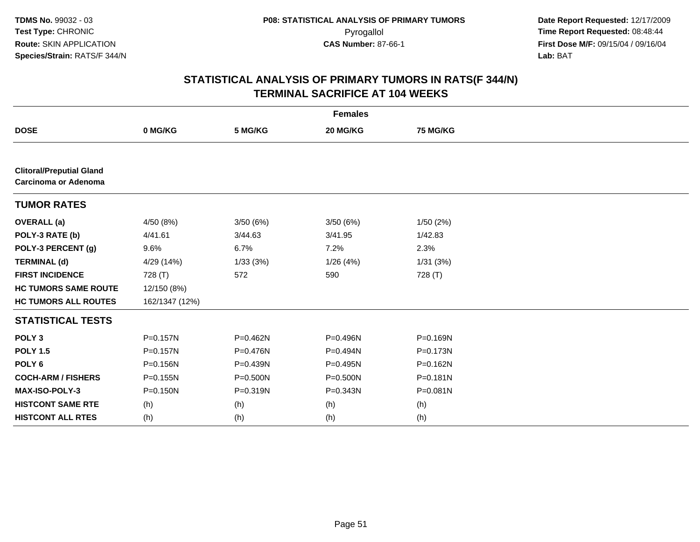| <b>Females</b>                                                 |                |          |           |              |  |  |
|----------------------------------------------------------------|----------------|----------|-----------|--------------|--|--|
| <b>DOSE</b>                                                    | 0 MG/KG        | 5 MG/KG  | 20 MG/KG  | 75 MG/KG     |  |  |
|                                                                |                |          |           |              |  |  |
| <b>Clitoral/Preputial Gland</b><br><b>Carcinoma or Adenoma</b> |                |          |           |              |  |  |
| <b>TUMOR RATES</b>                                             |                |          |           |              |  |  |
| <b>OVERALL</b> (a)                                             | 4/50 (8%)      | 3/50(6%) | 3/50 (6%) | 1/50(2%)     |  |  |
| POLY-3 RATE (b)                                                | 4/41.61        | 3/44.63  | 3/41.95   | 1/42.83      |  |  |
| POLY-3 PERCENT (g)                                             | 9.6%           | 6.7%     | 7.2%      | 2.3%         |  |  |
| <b>TERMINAL (d)</b>                                            | 4/29 (14%)     | 1/33(3%) | 1/26(4%)  | 1/31(3%)     |  |  |
| <b>FIRST INCIDENCE</b>                                         | 728 (T)        | 572      | 590       | 728 (T)      |  |  |
| <b>HC TUMORS SAME ROUTE</b>                                    | 12/150 (8%)    |          |           |              |  |  |
| <b>HC TUMORS ALL ROUTES</b>                                    | 162/1347 (12%) |          |           |              |  |  |
| <b>STATISTICAL TESTS</b>                                       |                |          |           |              |  |  |
| POLY <sub>3</sub>                                              | P=0.157N       | P=0.462N | P=0.496N  | P=0.169N     |  |  |
| <b>POLY 1.5</b>                                                | P=0.157N       | P=0.476N | P=0.494N  | P=0.173N     |  |  |
| POLY <sub>6</sub>                                              | $P = 0.156N$   | P=0.439N | P=0.495N  | P=0.162N     |  |  |
| <b>COCH-ARM / FISHERS</b>                                      | P=0.155N       | P=0.500N | P=0.500N  | $P = 0.181N$ |  |  |
| MAX-ISO-POLY-3                                                 | $P = 0.150N$   | P=0.319N | P=0.343N  | P=0.081N     |  |  |
| <b>HISTCONT SAME RTE</b>                                       | (h)            | (h)      | (h)       | (h)          |  |  |
| <b>HISTCONT ALL RTES</b>                                       | (h)            | (h)      | (h)       | (h)          |  |  |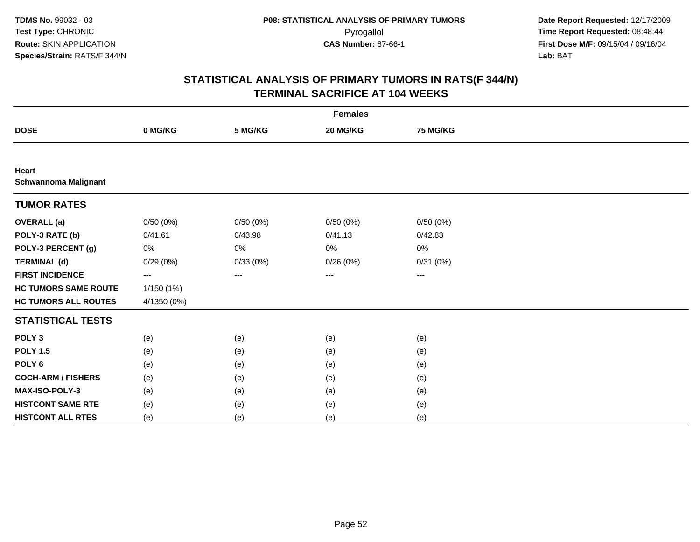| <b>Females</b>                       |             |          |                   |                   |  |  |  |
|--------------------------------------|-------------|----------|-------------------|-------------------|--|--|--|
| <b>DOSE</b>                          | 0 MG/KG     | 5 MG/KG  | 20 MG/KG          | <b>75 MG/KG</b>   |  |  |  |
|                                      |             |          |                   |                   |  |  |  |
| Heart<br><b>Schwannoma Malignant</b> |             |          |                   |                   |  |  |  |
| <b>TUMOR RATES</b>                   |             |          |                   |                   |  |  |  |
| <b>OVERALL (a)</b>                   | 0/50(0%)    | 0/50(0%) | 0/50(0%)          | 0/50(0%)          |  |  |  |
| POLY-3 RATE (b)                      | 0/41.61     | 0/43.98  | 0/41.13           | 0/42.83           |  |  |  |
| POLY-3 PERCENT (g)                   | 0%          | 0%       | 0%                | 0%                |  |  |  |
| <b>TERMINAL (d)</b>                  | 0/29(0%)    | 0/33(0%) | 0/26(0%)          | 0/31(0%)          |  |  |  |
| <b>FIRST INCIDENCE</b>               | ---         | $\cdots$ | $\qquad \qquad -$ | $\qquad \qquad -$ |  |  |  |
| <b>HC TUMORS SAME ROUTE</b>          | 1/150 (1%)  |          |                   |                   |  |  |  |
| <b>HC TUMORS ALL ROUTES</b>          | 4/1350 (0%) |          |                   |                   |  |  |  |
| <b>STATISTICAL TESTS</b>             |             |          |                   |                   |  |  |  |
| POLY <sub>3</sub>                    | (e)         | (e)      | (e)               | (e)               |  |  |  |
| <b>POLY 1.5</b>                      | (e)         | (e)      | (e)               | (e)               |  |  |  |
| POLY <sub>6</sub>                    | (e)         | (e)      | (e)               | (e)               |  |  |  |
| <b>COCH-ARM / FISHERS</b>            | (e)         | (e)      | (e)               | (e)               |  |  |  |
| MAX-ISO-POLY-3                       | (e)         | (e)      | (e)               | (e)               |  |  |  |
| <b>HISTCONT SAME RTE</b>             | (e)         | (e)      | (e)               | (e)               |  |  |  |
| <b>HISTCONT ALL RTES</b>             | (e)         | (e)      | (e)               | (e)               |  |  |  |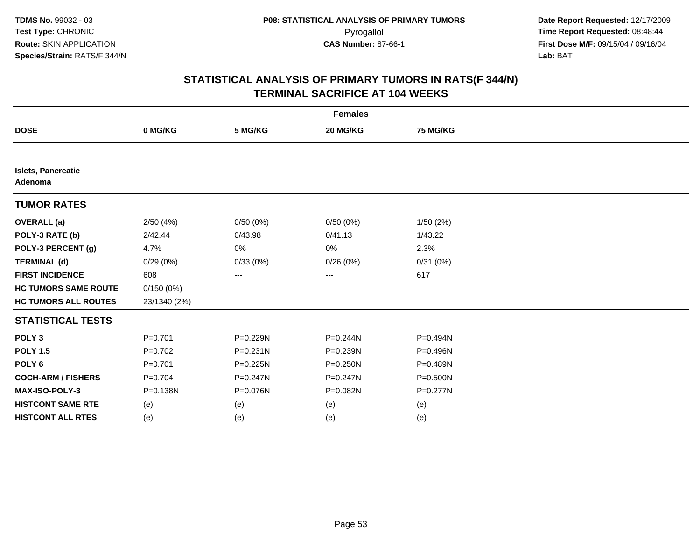| <b>Females</b>                       |              |              |              |          |  |  |
|--------------------------------------|--------------|--------------|--------------|----------|--|--|
| <b>DOSE</b>                          | 0 MG/KG      | 5 MG/KG      | 20 MG/KG     | 75 MG/KG |  |  |
|                                      |              |              |              |          |  |  |
| <b>Islets, Pancreatic</b><br>Adenoma |              |              |              |          |  |  |
| <b>TUMOR RATES</b>                   |              |              |              |          |  |  |
| <b>OVERALL</b> (a)                   | 2/50(4%)     | 0/50(0%)     | 0/50(0%)     | 1/50(2%) |  |  |
| POLY-3 RATE (b)                      | 2/42.44      | 0/43.98      | 0/41.13      | 1/43.22  |  |  |
| POLY-3 PERCENT (g)                   | 4.7%         | 0%           | 0%           | 2.3%     |  |  |
| <b>TERMINAL (d)</b>                  | 0/29(0%)     | 0/33(0%)     | 0/26(0%)     | 0/31(0%) |  |  |
| <b>FIRST INCIDENCE</b>               | 608          | ---          | ---          | 617      |  |  |
| <b>HC TUMORS SAME ROUTE</b>          | 0/150(0%)    |              |              |          |  |  |
| <b>HC TUMORS ALL ROUTES</b>          | 23/1340 (2%) |              |              |          |  |  |
| <b>STATISTICAL TESTS</b>             |              |              |              |          |  |  |
| POLY <sub>3</sub>                    | $P = 0.701$  | P=0.229N     | $P = 0.244N$ | P=0.494N |  |  |
| <b>POLY 1.5</b>                      | $P=0.702$    | P=0.231N     | P=0.239N     | P=0.496N |  |  |
| POLY <sub>6</sub>                    | $P = 0.701$  | $P = 0.225N$ | $P = 0.250N$ | P=0.489N |  |  |
| <b>COCH-ARM / FISHERS</b>            | $P = 0.704$  | P=0.247N     | P=0.247N     | P=0.500N |  |  |
| MAX-ISO-POLY-3                       | P=0.138N     | P=0.076N     | P=0.082N     | P=0.277N |  |  |
| <b>HISTCONT SAME RTE</b>             | (e)          | (e)          | (e)          | (e)      |  |  |
| <b>HISTCONT ALL RTES</b>             | (e)          | (e)          | (e)          | (e)      |  |  |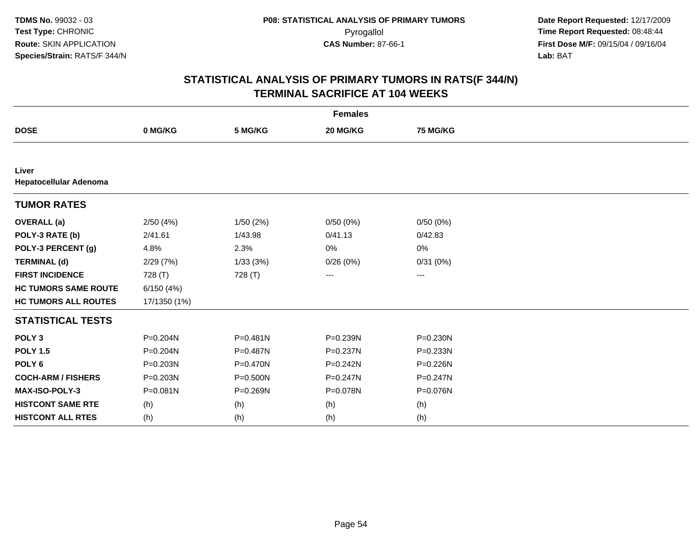| <b>Females</b>                  |              |              |              |                 |  |  |
|---------------------------------|--------------|--------------|--------------|-----------------|--|--|
| <b>DOSE</b>                     | 0 MG/KG      | 5 MG/KG      | 20 MG/KG     | <b>75 MG/KG</b> |  |  |
|                                 |              |              |              |                 |  |  |
| Liver<br>Hepatocellular Adenoma |              |              |              |                 |  |  |
| <b>TUMOR RATES</b>              |              |              |              |                 |  |  |
| <b>OVERALL</b> (a)              | 2/50(4%)     | 1/50(2%)     | 0/50(0%)     | 0/50(0%)        |  |  |
| POLY-3 RATE (b)                 | 2/41.61      | 1/43.98      | 0/41.13      | 0/42.83         |  |  |
| POLY-3 PERCENT (g)              | 4.8%         | 2.3%         | 0%           | 0%              |  |  |
| <b>TERMINAL (d)</b>             | 2/29(7%)     | 1/33(3%)     | 0/26(0%)     | 0/31(0%)        |  |  |
| <b>FIRST INCIDENCE</b>          | 728 (T)      | 728 (T)      | ---          | ---             |  |  |
| <b>HC TUMORS SAME ROUTE</b>     | 6/150(4%)    |              |              |                 |  |  |
| <b>HC TUMORS ALL ROUTES</b>     | 17/1350 (1%) |              |              |                 |  |  |
| <b>STATISTICAL TESTS</b>        |              |              |              |                 |  |  |
| POLY <sub>3</sub>               | P=0.204N     | $P = 0.481N$ | P=0.239N     | P=0.230N        |  |  |
| <b>POLY 1.5</b>                 | P=0.204N     | P=0.487N     | P=0.237N     | P=0.233N        |  |  |
| POLY <sub>6</sub>               | $P = 0.203N$ | P=0.470N     | $P = 0.242N$ | P=0.226N        |  |  |
| <b>COCH-ARM / FISHERS</b>       | $P = 0.203N$ | $P = 0.500N$ | P=0.247N     | $P = 0.247N$    |  |  |
| <b>MAX-ISO-POLY-3</b>           | P=0.081N     | P=0.269N     | P=0.078N     | P=0.076N        |  |  |
| <b>HISTCONT SAME RTE</b>        | (h)          | (h)          | (h)          | (h)             |  |  |
| <b>HISTCONT ALL RTES</b>        | (h)          | (h)          | (h)          | (h)             |  |  |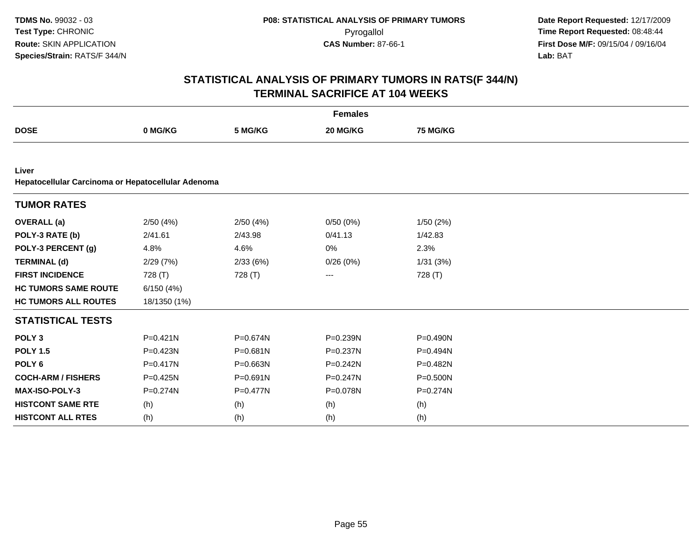|                                                             |              |              | <b>Females</b> |              |
|-------------------------------------------------------------|--------------|--------------|----------------|--------------|
| <b>DOSE</b>                                                 | 0 MG/KG      | 5 MG/KG      | 20 MG/KG       | 75 MG/KG     |
|                                                             |              |              |                |              |
| Liver<br>Hepatocellular Carcinoma or Hepatocellular Adenoma |              |              |                |              |
| <b>TUMOR RATES</b>                                          |              |              |                |              |
| <b>OVERALL</b> (a)                                          | 2/50(4%)     | 2/50(4%)     | 0/50(0%)       | 1/50(2%)     |
| POLY-3 RATE (b)                                             | 2/41.61      | 2/43.98      | 0/41.13        | 1/42.83      |
| POLY-3 PERCENT (g)                                          | 4.8%         | 4.6%         | 0%             | 2.3%         |
| <b>TERMINAL (d)</b>                                         | 2/29(7%)     | 2/33(6%)     | 0/26(0%)       | 1/31(3%)     |
| <b>FIRST INCIDENCE</b>                                      | 728 (T)      | 728 (T)      | ---            | 728 (T)      |
| <b>HC TUMORS SAME ROUTE</b>                                 | 6/150(4%)    |              |                |              |
| <b>HC TUMORS ALL ROUTES</b>                                 | 18/1350 (1%) |              |                |              |
| <b>STATISTICAL TESTS</b>                                    |              |              |                |              |
| POLY <sub>3</sub>                                           | $P = 0.421N$ | $P = 0.674N$ | P=0.239N       | P=0.490N     |
| <b>POLY 1.5</b>                                             | P=0.423N     | P=0.681N     | P=0.237N       | P=0.494N     |
| POLY <sub>6</sub>                                           | $P = 0.417N$ | P=0.663N     | $P = 0.242N$   | P=0.482N     |
| <b>COCH-ARM / FISHERS</b>                                   | P=0.425N     | $P = 0.691N$ | $P = 0.247N$   | P=0.500N     |
| <b>MAX-ISO-POLY-3</b>                                       | $P = 0.274N$ | $P = 0.477N$ | P=0.078N       | $P = 0.274N$ |
| <b>HISTCONT SAME RTE</b>                                    | (h)          | (h)          | (h)            | (h)          |
| <b>HISTCONT ALL RTES</b>                                    | (h)          | (h)          | (h)            | (h)          |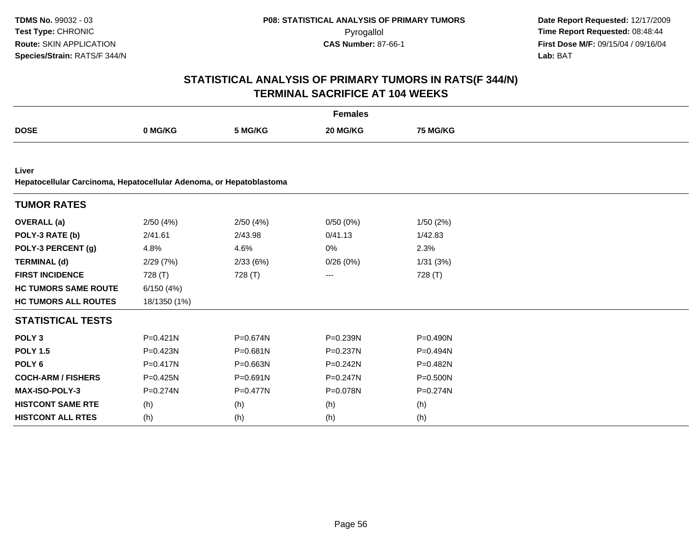|                                                                              |              |              | <b>Females</b> |                 |  |
|------------------------------------------------------------------------------|--------------|--------------|----------------|-----------------|--|
| <b>DOSE</b>                                                                  | 0 MG/KG      | 5 MG/KG      | 20 MG/KG       | <b>75 MG/KG</b> |  |
|                                                                              |              |              |                |                 |  |
| Liver<br>Hepatocellular Carcinoma, Hepatocellular Adenoma, or Hepatoblastoma |              |              |                |                 |  |
| <b>TUMOR RATES</b>                                                           |              |              |                |                 |  |
| <b>OVERALL</b> (a)                                                           | 2/50(4%)     | 2/50(4%)     | 0/50(0%)       | 1/50(2%)        |  |
| POLY-3 RATE (b)                                                              | 2/41.61      | 2/43.98      | 0/41.13        | 1/42.83         |  |
| POLY-3 PERCENT (g)                                                           | 4.8%         | 4.6%         | 0%             | 2.3%            |  |
| <b>TERMINAL (d)</b>                                                          | 2/29(7%)     | 2/33(6%)     | 0/26(0%)       | 1/31(3%)        |  |
| <b>FIRST INCIDENCE</b>                                                       | 728 (T)      | 728 (T)      | ---            | 728 (T)         |  |
| <b>HC TUMORS SAME ROUTE</b>                                                  | 6/150(4%)    |              |                |                 |  |
| <b>HC TUMORS ALL ROUTES</b>                                                  | 18/1350 (1%) |              |                |                 |  |
| <b>STATISTICAL TESTS</b>                                                     |              |              |                |                 |  |
| POLY <sub>3</sub>                                                            | $P = 0.421N$ | $P = 0.674N$ | P=0.239N       | P=0.490N        |  |
| <b>POLY 1.5</b>                                                              | $P = 0.423N$ | $P = 0.681N$ | P=0.237N       | P=0.494N        |  |
| POLY <sub>6</sub>                                                            | $P = 0.417N$ | $P = 0.663N$ | $P = 0.242N$   | P=0.482N        |  |
| <b>COCH-ARM / FISHERS</b>                                                    | P=0.425N     | $P = 0.691N$ | $P = 0.247N$   | P=0.500N        |  |
| MAX-ISO-POLY-3                                                               | P=0.274N     | $P = 0.477N$ | P=0.078N       | P=0.274N        |  |
| <b>HISTCONT SAME RTE</b>                                                     | (h)          | (h)          | (h)            | (h)             |  |
| <b>HISTCONT ALL RTES</b>                                                     | (h)          | (h)          | (h)            | (h)             |  |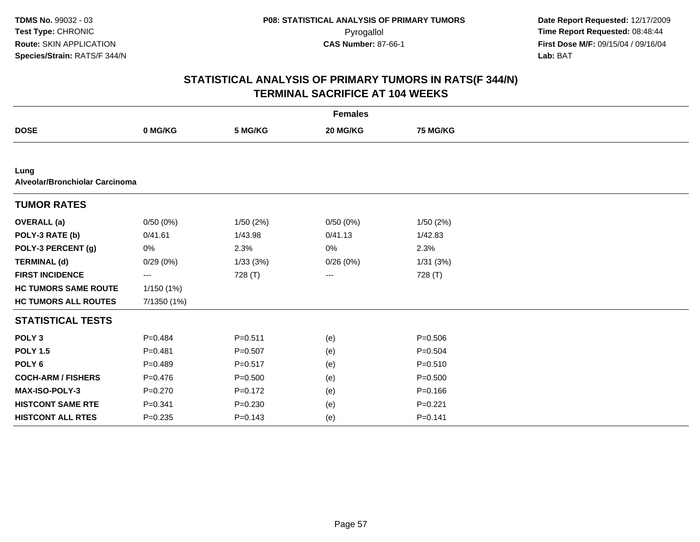| <b>Females</b>                         |             |             |          |                 |  |  |
|----------------------------------------|-------------|-------------|----------|-----------------|--|--|
| <b>DOSE</b>                            | 0 MG/KG     | 5 MG/KG     | 20 MG/KG | <b>75 MG/KG</b> |  |  |
|                                        |             |             |          |                 |  |  |
| Lung<br>Alveolar/Bronchiolar Carcinoma |             |             |          |                 |  |  |
| <b>TUMOR RATES</b>                     |             |             |          |                 |  |  |
| <b>OVERALL</b> (a)                     | 0/50(0%)    | 1/50(2%)    | 0/50(0%) | 1/50(2%)        |  |  |
| POLY-3 RATE (b)                        | 0/41.61     | 1/43.98     | 0/41.13  | 1/42.83         |  |  |
| POLY-3 PERCENT (g)                     | 0%          | 2.3%        | 0%       | 2.3%            |  |  |
| <b>TERMINAL (d)</b>                    | 0/29(0%)    | 1/33(3%)    | 0/26(0%) | 1/31(3%)        |  |  |
| <b>FIRST INCIDENCE</b>                 | ---         | 728 (T)     | ---      | 728 (T)         |  |  |
| <b>HC TUMORS SAME ROUTE</b>            | 1/150(1%)   |             |          |                 |  |  |
| <b>HC TUMORS ALL ROUTES</b>            | 7/1350 (1%) |             |          |                 |  |  |
| <b>STATISTICAL TESTS</b>               |             |             |          |                 |  |  |
| POLY <sub>3</sub>                      | $P = 0.484$ | $P = 0.511$ | (e)      | $P = 0.506$     |  |  |
| <b>POLY 1.5</b>                        | $P = 0.481$ | $P = 0.507$ | (e)      | $P = 0.504$     |  |  |
| POLY <sub>6</sub>                      | $P=0.489$   | $P = 0.517$ | (e)      | $P = 0.510$     |  |  |
| <b>COCH-ARM / FISHERS</b>              | $P = 0.476$ | $P = 0.500$ | (e)      | $P = 0.500$     |  |  |
| <b>MAX-ISO-POLY-3</b>                  | $P = 0.270$ | $P = 0.172$ | (e)      | $P = 0.166$     |  |  |
| <b>HISTCONT SAME RTE</b>               | $P = 0.341$ | $P = 0.230$ | (e)      | $P=0.221$       |  |  |
| <b>HISTCONT ALL RTES</b>               | $P = 0.235$ | $P = 0.143$ | (e)      | $P = 0.141$     |  |  |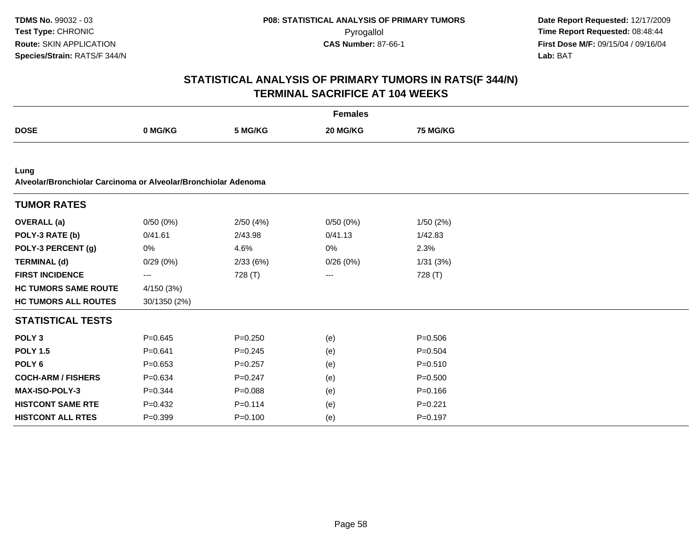|                                                                        |                         |             | <b>Females</b> |             |  |
|------------------------------------------------------------------------|-------------------------|-------------|----------------|-------------|--|
| <b>DOSE</b>                                                            | 0 MG/KG                 | 5 MG/KG     | 20 MG/KG       | 75 MG/KG    |  |
|                                                                        |                         |             |                |             |  |
| Lung<br>Alveolar/Bronchiolar Carcinoma or Alveolar/Bronchiolar Adenoma |                         |             |                |             |  |
| <b>TUMOR RATES</b>                                                     |                         |             |                |             |  |
| <b>OVERALL</b> (a)                                                     | 0/50(0%)                | 2/50(4%)    | 0/50(0%)       | 1/50(2%)    |  |
| POLY-3 RATE (b)                                                        | 0/41.61                 | 2/43.98     | 0/41.13        | 1/42.83     |  |
| POLY-3 PERCENT (g)                                                     | 0%                      | 4.6%        | 0%             | 2.3%        |  |
| <b>TERMINAL (d)</b>                                                    | 0/29(0%)                | 2/33(6%)    | 0/26(0%)       | 1/31(3%)    |  |
| <b>FIRST INCIDENCE</b>                                                 | $\qquad \qquad -\qquad$ | 728 (T)     | ---            | 728 (T)     |  |
| <b>HC TUMORS SAME ROUTE</b>                                            | 4/150(3%)               |             |                |             |  |
| <b>HC TUMORS ALL ROUTES</b>                                            | 30/1350 (2%)            |             |                |             |  |
| <b>STATISTICAL TESTS</b>                                               |                         |             |                |             |  |
| POLY <sub>3</sub>                                                      | $P = 0.645$             | $P = 0.250$ | (e)            | $P = 0.506$ |  |
| <b>POLY 1.5</b>                                                        | $P = 0.641$             | $P = 0.245$ | (e)            | $P = 0.504$ |  |
| POLY <sub>6</sub>                                                      | $P = 0.653$             | $P = 0.257$ | (e)            | $P = 0.510$ |  |
| <b>COCH-ARM / FISHERS</b>                                              | $P = 0.634$             | $P = 0.247$ | (e)            | $P = 0.500$ |  |
| <b>MAX-ISO-POLY-3</b>                                                  | $P = 0.344$             | $P = 0.088$ | (e)            | $P = 0.166$ |  |
| <b>HISTCONT SAME RTE</b>                                               | $P=0.432$               | $P = 0.114$ | (e)            | $P = 0.221$ |  |
| <b>HISTCONT ALL RTES</b>                                               | $P = 0.399$             | $P = 0.100$ | (e)            | $P = 0.197$ |  |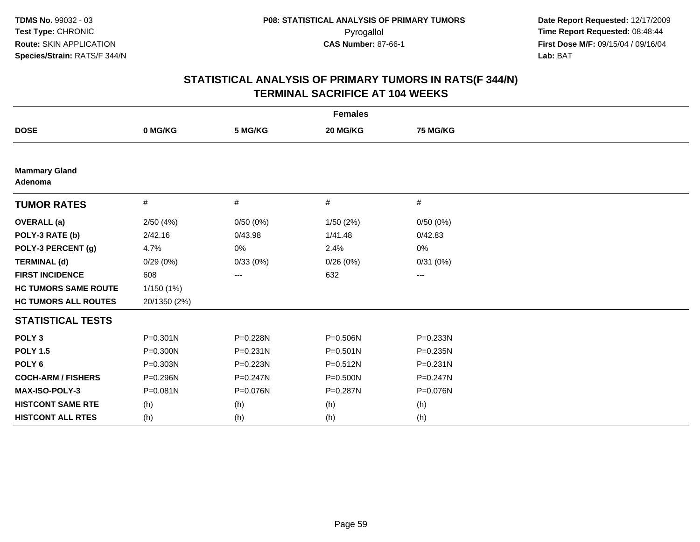| <b>Females</b>                  |              |              |              |                   |  |  |
|---------------------------------|--------------|--------------|--------------|-------------------|--|--|
| <b>DOSE</b>                     | 0 MG/KG      | 5 MG/KG      | 20 MG/KG     | 75 MG/KG          |  |  |
|                                 |              |              |              |                   |  |  |
| <b>Mammary Gland</b><br>Adenoma |              |              |              |                   |  |  |
| <b>TUMOR RATES</b>              | #            | $\#$         | #            | $\#$              |  |  |
| <b>OVERALL (a)</b>              | 2/50(4%)     | 0/50(0%)     | 1/50(2%)     | 0/50(0%)          |  |  |
| POLY-3 RATE (b)                 | 2/42.16      | 0/43.98      | 1/41.48      | 0/42.83           |  |  |
| POLY-3 PERCENT (g)              | 4.7%         | 0%           | 2.4%         | 0%                |  |  |
| <b>TERMINAL (d)</b>             | 0/29(0%)     | 0/33(0%)     | 0/26(0%)     | 0/31(0%)          |  |  |
| <b>FIRST INCIDENCE</b>          | 608          | ---          | 632          | $\qquad \qquad -$ |  |  |
| <b>HC TUMORS SAME ROUTE</b>     | 1/150(1%)    |              |              |                   |  |  |
| <b>HC TUMORS ALL ROUTES</b>     | 20/1350 (2%) |              |              |                   |  |  |
| <b>STATISTICAL TESTS</b>        |              |              |              |                   |  |  |
| POLY <sub>3</sub>               | $P = 0.301N$ | P=0.228N     | P=0.506N     | P=0.233N          |  |  |
| <b>POLY 1.5</b>                 | $P = 0.300N$ | $P = 0.231N$ | $P = 0.501N$ | P=0.235N          |  |  |
| POLY <sub>6</sub>               | P=0.303N     | $P = 0.223N$ | $P = 0.512N$ | $P = 0.231N$      |  |  |
| <b>COCH-ARM / FISHERS</b>       | P=0.296N     | $P = 0.247N$ | P=0.500N     | $P = 0.247N$      |  |  |
| MAX-ISO-POLY-3                  | $P = 0.081N$ | P=0.076N     | P=0.287N     | P=0.076N          |  |  |
| <b>HISTCONT SAME RTE</b>        | (h)          | (h)          | (h)          | (h)               |  |  |
| <b>HISTCONT ALL RTES</b>        | (h)          | (h)          | (h)          | (h)               |  |  |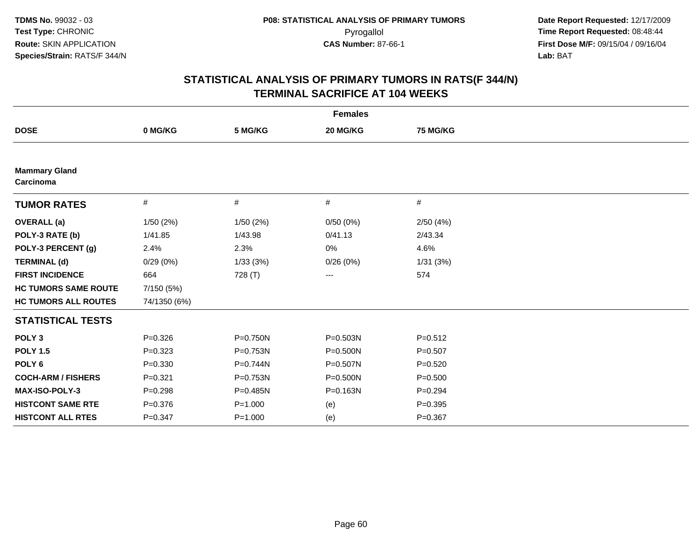| <b>Females</b>                    |              |             |              |             |  |  |
|-----------------------------------|--------------|-------------|--------------|-------------|--|--|
| <b>DOSE</b>                       | 0 MG/KG      | 5 MG/KG     | 20 MG/KG     | 75 MG/KG    |  |  |
|                                   |              |             |              |             |  |  |
| <b>Mammary Gland</b><br>Carcinoma |              |             |              |             |  |  |
| <b>TUMOR RATES</b>                | $\#$         | #           | $\#$         | #           |  |  |
| <b>OVERALL</b> (a)                | 1/50(2%)     | 1/50(2%)    | 0/50(0%)     | 2/50(4%)    |  |  |
| POLY-3 RATE (b)                   | 1/41.85      | 1/43.98     | 0/41.13      | 2/43.34     |  |  |
| POLY-3 PERCENT (g)                | 2.4%         | 2.3%        | 0%           | 4.6%        |  |  |
| <b>TERMINAL (d)</b>               | 0/29(0%)     | 1/33(3%)    | 0/26(0%)     | 1/31(3%)    |  |  |
| <b>FIRST INCIDENCE</b>            | 664          | 728 (T)     | ---          | 574         |  |  |
| <b>HC TUMORS SAME ROUTE</b>       | 7/150 (5%)   |             |              |             |  |  |
| <b>HC TUMORS ALL ROUTES</b>       | 74/1350 (6%) |             |              |             |  |  |
| <b>STATISTICAL TESTS</b>          |              |             |              |             |  |  |
| POLY <sub>3</sub>                 | $P = 0.326$  | P=0.750N    | P=0.503N     | $P = 0.512$ |  |  |
| <b>POLY 1.5</b>                   | $P = 0.323$  | P=0.753N    | $P = 0.500N$ | $P = 0.507$ |  |  |
| POLY <sub>6</sub>                 | $P = 0.330$  | P=0.744N    | P=0.507N     | $P = 0.520$ |  |  |
| <b>COCH-ARM / FISHERS</b>         | $P = 0.321$  | P=0.753N    | $P = 0.500N$ | $P = 0.500$ |  |  |
| MAX-ISO-POLY-3                    | $P = 0.298$  | P=0.485N    | P=0.163N     | $P = 0.294$ |  |  |
| <b>HISTCONT SAME RTE</b>          | $P = 0.376$  | $P = 1.000$ | (e)          | $P = 0.395$ |  |  |
| <b>HISTCONT ALL RTES</b>          | $P = 0.347$  | $P = 1.000$ | (e)          | $P = 0.367$ |  |  |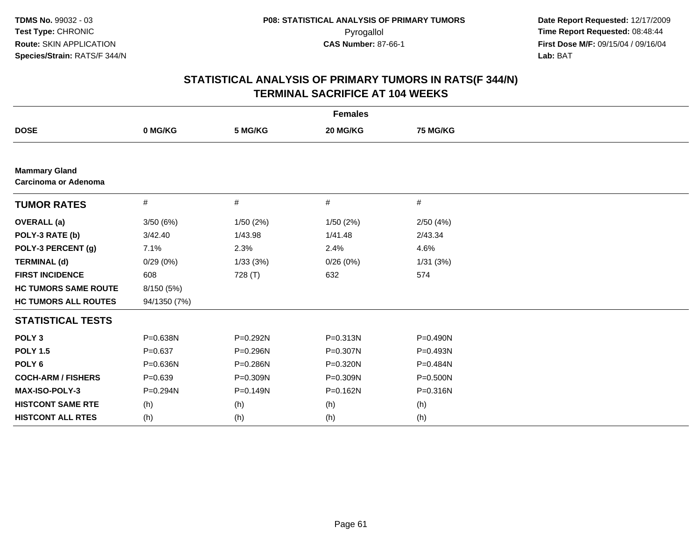|                                                     |              |          | <b>Females</b> |          |  |
|-----------------------------------------------------|--------------|----------|----------------|----------|--|
| <b>DOSE</b>                                         | 0 MG/KG      | 5 MG/KG  | 20 MG/KG       | 75 MG/KG |  |
|                                                     |              |          |                |          |  |
| <b>Mammary Gland</b><br><b>Carcinoma or Adenoma</b> |              |          |                |          |  |
| <b>TUMOR RATES</b>                                  | $\#$         | #        | $\#$           | #        |  |
| <b>OVERALL</b> (a)                                  | 3/50(6%)     | 1/50(2%) | 1/50(2%)       | 2/50(4%) |  |
| POLY-3 RATE (b)                                     | 3/42.40      | 1/43.98  | 1/41.48        | 2/43.34  |  |
| POLY-3 PERCENT (g)                                  | 7.1%         | 2.3%     | 2.4%           | 4.6%     |  |
| <b>TERMINAL (d)</b>                                 | 0/29(0%)     | 1/33(3%) | 0/26(0%)       | 1/31(3%) |  |
| <b>FIRST INCIDENCE</b>                              | 608          | 728 (T)  | 632            | 574      |  |
| <b>HC TUMORS SAME ROUTE</b>                         | 8/150 (5%)   |          |                |          |  |
| <b>HC TUMORS ALL ROUTES</b>                         | 94/1350 (7%) |          |                |          |  |
| <b>STATISTICAL TESTS</b>                            |              |          |                |          |  |
| POLY <sub>3</sub>                                   | P=0.638N     | P=0.292N | P=0.313N       | P=0.490N |  |
| <b>POLY 1.5</b>                                     | $P = 0.637$  | P=0.296N | P=0.307N       | P=0.493N |  |
| POLY <sub>6</sub>                                   | $P = 0.636N$ | P=0.286N | P=0.320N       | P=0.484N |  |
| <b>COCH-ARM / FISHERS</b>                           | $P=0.639$    | P=0.309N | P=0.309N       | P=0.500N |  |
| MAX-ISO-POLY-3                                      | P=0.294N     | P=0.149N | P=0.162N       | P=0.316N |  |
| <b>HISTCONT SAME RTE</b>                            | (h)          | (h)      | (h)            | (h)      |  |
| <b>HISTCONT ALL RTES</b>                            | (h)          | (h)      | (h)            | (h)      |  |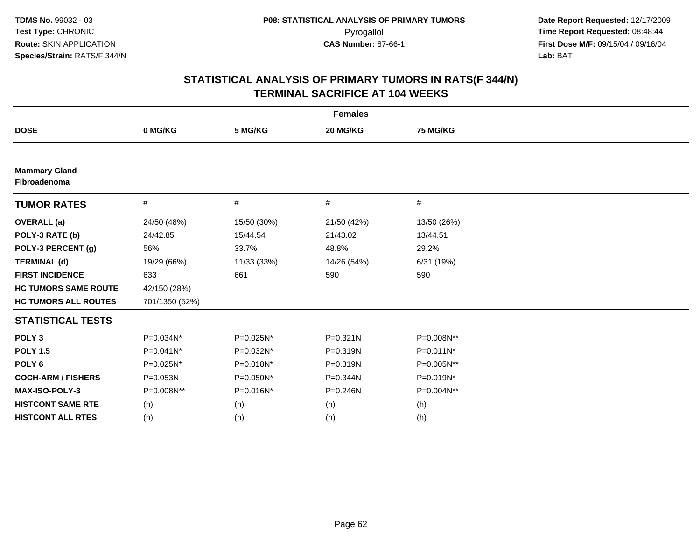| <b>Females</b>                       |                |             |              |                 |  |  |
|--------------------------------------|----------------|-------------|--------------|-----------------|--|--|
| <b>DOSE</b>                          | 0 MG/KG        | 5 MG/KG     | 20 MG/KG     | <b>75 MG/KG</b> |  |  |
|                                      |                |             |              |                 |  |  |
| <b>Mammary Gland</b><br>Fibroadenoma |                |             |              |                 |  |  |
| <b>TUMOR RATES</b>                   | #              | #           | #            | #               |  |  |
| <b>OVERALL</b> (a)                   | 24/50 (48%)    | 15/50 (30%) | 21/50 (42%)  | 13/50 (26%)     |  |  |
| POLY-3 RATE (b)                      | 24/42.85       | 15/44.54    | 21/43.02     | 13/44.51        |  |  |
| POLY-3 PERCENT (g)                   | 56%            | 33.7%       | 48.8%        | 29.2%           |  |  |
| <b>TERMINAL (d)</b>                  | 19/29 (66%)    | 11/33 (33%) | 14/26 (54%)  | 6/31 (19%)      |  |  |
| <b>FIRST INCIDENCE</b>               | 633            | 661         | 590          | 590             |  |  |
| <b>HC TUMORS SAME ROUTE</b>          | 42/150 (28%)   |             |              |                 |  |  |
| <b>HC TUMORS ALL ROUTES</b>          | 701/1350 (52%) |             |              |                 |  |  |
| <b>STATISTICAL TESTS</b>             |                |             |              |                 |  |  |
| POLY <sub>3</sub>                    | P=0.034N*      | P=0.025N*   | $P = 0.321N$ | P=0.008N**      |  |  |
| <b>POLY 1.5</b>                      | P=0.041N*      | P=0.032N*   | $P = 0.319N$ | P=0.011N*       |  |  |
| POLY <sub>6</sub>                    | P=0.025N*      | P=0.018N*   | P=0.319N     | P=0.005N**      |  |  |
| <b>COCH-ARM / FISHERS</b>            | P=0.053N       | P=0.050N*   | P=0.344N     | P=0.019N*       |  |  |
| <b>MAX-ISO-POLY-3</b>                | P=0.008N**     | P=0.016N*   | $P = 0.246N$ | P=0.004N**      |  |  |
| <b>HISTCONT SAME RTE</b>             | (h)            | (h)         | (h)          | (h)             |  |  |
| <b>HISTCONT ALL RTES</b>             | (h)            | (h)         | (h)          | (h)             |  |  |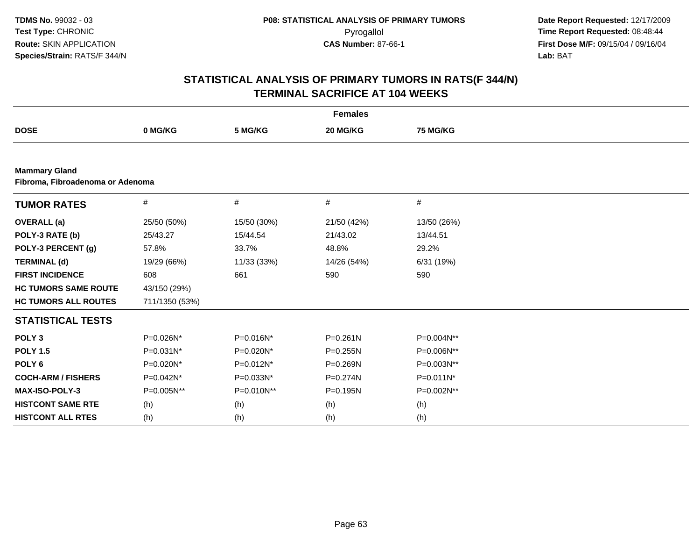|                                                          | <b>Females</b> |             |              |              |  |  |  |
|----------------------------------------------------------|----------------|-------------|--------------|--------------|--|--|--|
| <b>DOSE</b>                                              | 0 MG/KG        | 5 MG/KG     | 20 MG/KG     | 75 MG/KG     |  |  |  |
|                                                          |                |             |              |              |  |  |  |
| <b>Mammary Gland</b><br>Fibroma, Fibroadenoma or Adenoma |                |             |              |              |  |  |  |
| <b>TUMOR RATES</b>                                       | #              | #           | #            | #            |  |  |  |
| <b>OVERALL</b> (a)                                       | 25/50 (50%)    | 15/50 (30%) | 21/50 (42%)  | 13/50 (26%)  |  |  |  |
| POLY-3 RATE (b)                                          | 25/43.27       | 15/44.54    | 21/43.02     | 13/44.51     |  |  |  |
| POLY-3 PERCENT (g)                                       | 57.8%          | 33.7%       | 48.8%        | 29.2%        |  |  |  |
| <b>TERMINAL (d)</b>                                      | 19/29 (66%)    | 11/33 (33%) | 14/26 (54%)  | 6/31 (19%)   |  |  |  |
| <b>FIRST INCIDENCE</b>                                   | 608            | 661         | 590          | 590          |  |  |  |
| <b>HC TUMORS SAME ROUTE</b>                              | 43/150 (29%)   |             |              |              |  |  |  |
| <b>HC TUMORS ALL ROUTES</b>                              | 711/1350 (53%) |             |              |              |  |  |  |
| <b>STATISTICAL TESTS</b>                                 |                |             |              |              |  |  |  |
| POLY <sub>3</sub>                                        | P=0.026N*      | P=0.016N*   | $P = 0.261N$ | P=0.004N**   |  |  |  |
| <b>POLY 1.5</b>                                          | $P=0.031N^*$   | P=0.020N*   | $P = 0.255N$ | P=0.006N**   |  |  |  |
| POLY <sub>6</sub>                                        | P=0.020N*      | P=0.012N*   | P=0.269N     | P=0.003N**   |  |  |  |
| <b>COCH-ARM / FISHERS</b>                                | P=0.042N*      | P=0.033N*   | P=0.274N     | $P=0.011N^*$ |  |  |  |
| MAX-ISO-POLY-3                                           | P=0.005N**     | P=0.010N**  | $P = 0.195N$ | P=0.002N**   |  |  |  |
| <b>HISTCONT SAME RTE</b>                                 | (h)            | (h)         | (h)          | (h)          |  |  |  |
| <b>HISTCONT ALL RTES</b>                                 | (h)            | (h)         | (h)          | (h)          |  |  |  |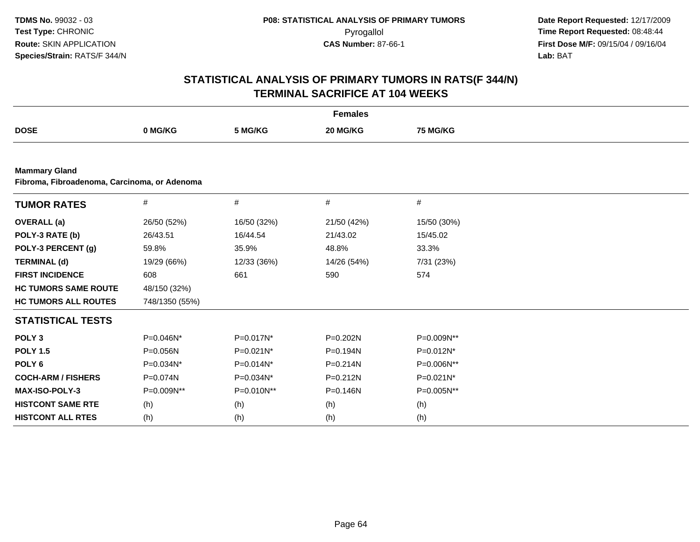|                                                                      | <b>Females</b> |             |              |                 |  |  |  |  |
|----------------------------------------------------------------------|----------------|-------------|--------------|-----------------|--|--|--|--|
| <b>DOSE</b>                                                          | 0 MG/KG        | 5 MG/KG     | 20 MG/KG     | <b>75 MG/KG</b> |  |  |  |  |
|                                                                      |                |             |              |                 |  |  |  |  |
| <b>Mammary Gland</b><br>Fibroma, Fibroadenoma, Carcinoma, or Adenoma |                |             |              |                 |  |  |  |  |
| <b>TUMOR RATES</b>                                                   | #              | #           | $\#$         | #               |  |  |  |  |
| <b>OVERALL</b> (a)                                                   | 26/50 (52%)    | 16/50 (32%) | 21/50 (42%)  | 15/50 (30%)     |  |  |  |  |
| POLY-3 RATE (b)                                                      | 26/43.51       | 16/44.54    | 21/43.02     | 15/45.02        |  |  |  |  |
| POLY-3 PERCENT (g)                                                   | 59.8%          | 35.9%       | 48.8%        | 33.3%           |  |  |  |  |
| <b>TERMINAL (d)</b>                                                  | 19/29 (66%)    | 12/33 (36%) | 14/26 (54%)  | 7/31 (23%)      |  |  |  |  |
| <b>FIRST INCIDENCE</b>                                               | 608            | 661         | 590          | 574             |  |  |  |  |
| <b>HC TUMORS SAME ROUTE</b>                                          | 48/150 (32%)   |             |              |                 |  |  |  |  |
| <b>HC TUMORS ALL ROUTES</b>                                          | 748/1350 (55%) |             |              |                 |  |  |  |  |
| <b>STATISTICAL TESTS</b>                                             |                |             |              |                 |  |  |  |  |
| POLY <sub>3</sub>                                                    | P=0.046N*      | P=0.017N*   | P=0.202N     | P=0.009N**      |  |  |  |  |
| <b>POLY 1.5</b>                                                      | P=0.056N       | P=0.021N*   | P=0.194N     | P=0.012N*       |  |  |  |  |
| POLY <sub>6</sub>                                                    | P=0.034N*      | P=0.014N*   | $P = 0.214N$ | P=0.006N**      |  |  |  |  |
| <b>COCH-ARM / FISHERS</b>                                            | P=0.074N       | P=0.034N*   | P=0.212N     | P=0.021N*       |  |  |  |  |
| MAX-ISO-POLY-3                                                       | P=0.009N**     | P=0.010N**  | $P = 0.146N$ | P=0.005N**      |  |  |  |  |
| <b>HISTCONT SAME RTE</b>                                             | (h)            | (h)         | (h)          | (h)             |  |  |  |  |
| <b>HISTCONT ALL RTES</b>                                             | (h)            | (h)         | (h)          | (h)             |  |  |  |  |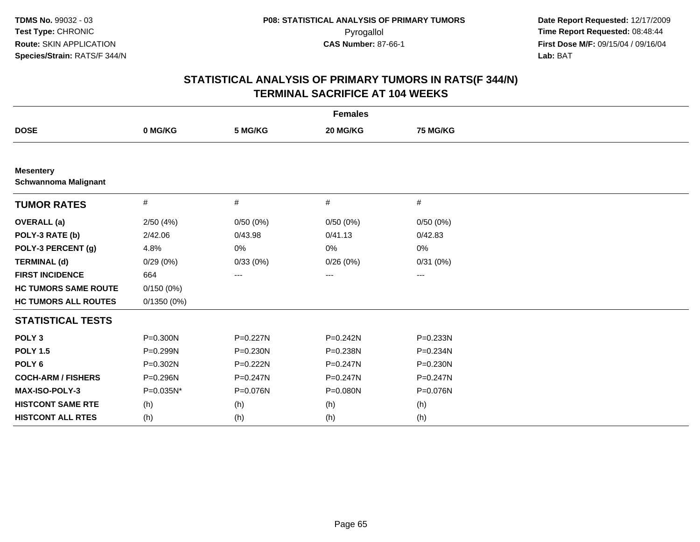|                                                 |              |              | <b>Females</b> |                 |  |
|-------------------------------------------------|--------------|--------------|----------------|-----------------|--|
| <b>DOSE</b>                                     | 0 MG/KG      | 5 MG/KG      | 20 MG/KG       | <b>75 MG/KG</b> |  |
|                                                 |              |              |                |                 |  |
| <b>Mesentery</b><br><b>Schwannoma Malignant</b> |              |              |                |                 |  |
| <b>TUMOR RATES</b>                              | #            | #            | $\#$           | #               |  |
| <b>OVERALL</b> (a)                              | 2/50(4%)     | 0/50(0%)     | 0/50(0%)       | 0/50(0%)        |  |
| POLY-3 RATE (b)                                 | 2/42.06      | 0/43.98      | 0/41.13        | 0/42.83         |  |
| POLY-3 PERCENT (g)                              | 4.8%         | 0%           | 0%             | 0%              |  |
| <b>TERMINAL (d)</b>                             | 0/29(0%)     | 0/33(0%)     | 0/26(0%)       | 0/31(0%)        |  |
| <b>FIRST INCIDENCE</b>                          | 664          | ---          | ---            | ---             |  |
| <b>HC TUMORS SAME ROUTE</b>                     | 0/150(0%)    |              |                |                 |  |
| <b>HC TUMORS ALL ROUTES</b>                     | 0/1350(0%)   |              |                |                 |  |
| <b>STATISTICAL TESTS</b>                        |              |              |                |                 |  |
| POLY <sub>3</sub>                               | P=0.300N     | P=0.227N     | $P = 0.242N$   | P=0.233N        |  |
| <b>POLY 1.5</b>                                 | P=0.299N     | P=0.230N     | P=0.238N       | P=0.234N        |  |
| POLY <sub>6</sub>                               | $P = 0.302N$ | P=0.222N     | $P = 0.247N$   | P=0.230N        |  |
| <b>COCH-ARM / FISHERS</b>                       | P=0.296N     | $P = 0.247N$ | $P = 0.247N$   | $P = 0.247N$    |  |
| MAX-ISO-POLY-3                                  | P=0.035N*    | P=0.076N     | P=0.080N       | P=0.076N        |  |
| <b>HISTCONT SAME RTE</b>                        | (h)          | (h)          | (h)            | (h)             |  |
| <b>HISTCONT ALL RTES</b>                        | (h)          | (h)          | (h)            | (h)             |  |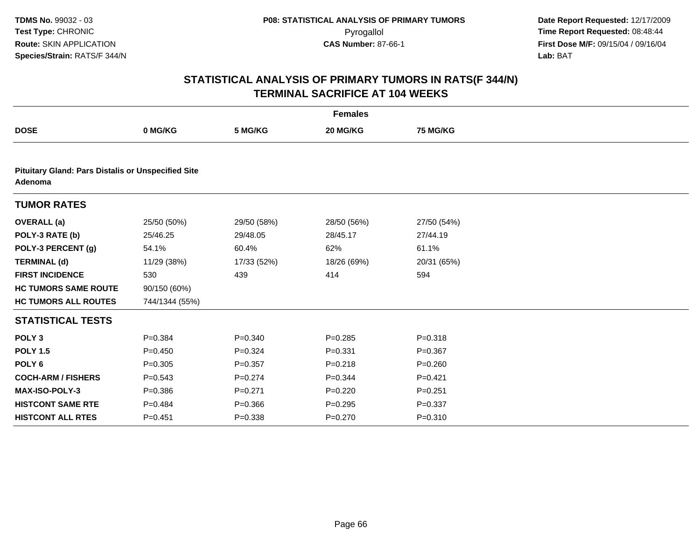|                                                                      |                |             | <b>Females</b> |                 |  |  |  |  |
|----------------------------------------------------------------------|----------------|-------------|----------------|-----------------|--|--|--|--|
| <b>DOSE</b>                                                          | 0 MG/KG        | 5 MG/KG     | 20 MG/KG       | <b>75 MG/KG</b> |  |  |  |  |
|                                                                      |                |             |                |                 |  |  |  |  |
| <b>Pituitary Gland: Pars Distalis or Unspecified Site</b><br>Adenoma |                |             |                |                 |  |  |  |  |
| <b>TUMOR RATES</b>                                                   |                |             |                |                 |  |  |  |  |
| <b>OVERALL</b> (a)                                                   | 25/50 (50%)    | 29/50 (58%) | 28/50 (56%)    | 27/50 (54%)     |  |  |  |  |
| POLY-3 RATE (b)                                                      | 25/46.25       | 29/48.05    | 28/45.17       | 27/44.19        |  |  |  |  |
| POLY-3 PERCENT (g)                                                   | 54.1%          | 60.4%       | 62%            | 61.1%           |  |  |  |  |
| <b>TERMINAL (d)</b>                                                  | 11/29 (38%)    | 17/33 (52%) | 18/26 (69%)    | 20/31 (65%)     |  |  |  |  |
| <b>FIRST INCIDENCE</b>                                               | 530            | 439         | 414            | 594             |  |  |  |  |
| <b>HC TUMORS SAME ROUTE</b>                                          | 90/150 (60%)   |             |                |                 |  |  |  |  |
| <b>HC TUMORS ALL ROUTES</b>                                          | 744/1344 (55%) |             |                |                 |  |  |  |  |
| <b>STATISTICAL TESTS</b>                                             |                |             |                |                 |  |  |  |  |
| POLY <sub>3</sub>                                                    | $P = 0.384$    | $P = 0.340$ | $P = 0.285$    | $P = 0.318$     |  |  |  |  |
| <b>POLY 1.5</b>                                                      | $P = 0.450$    | $P = 0.324$ | $P = 0.331$    | $P = 0.367$     |  |  |  |  |
| POLY <sub>6</sub>                                                    | $P = 0.305$    | $P = 0.357$ | $P = 0.218$    | $P = 0.260$     |  |  |  |  |
| <b>COCH-ARM / FISHERS</b>                                            | $P = 0.543$    | $P=0.274$   | $P = 0.344$    | $P=0.421$       |  |  |  |  |
| <b>MAX-ISO-POLY-3</b>                                                | $P = 0.386$    | $P = 0.271$ | $P = 0.220$    | $P=0.251$       |  |  |  |  |
| <b>HISTCONT SAME RTE</b>                                             | $P = 0.484$    | $P = 0.366$ | $P = 0.295$    | $P = 0.337$     |  |  |  |  |
| <b>HISTCONT ALL RTES</b>                                             | $P = 0.451$    | $P = 0.338$ | $P = 0.270$    | $P = 0.310$     |  |  |  |  |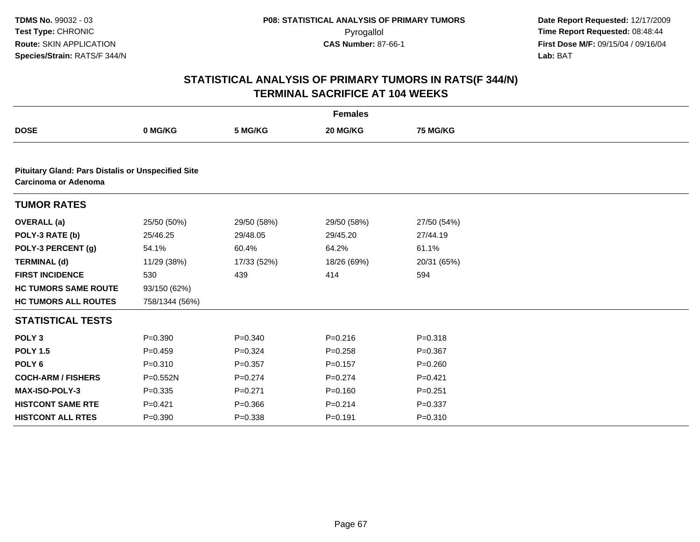|                                                                                          |                |             | <b>Females</b> |             |  |  |  |  |
|------------------------------------------------------------------------------------------|----------------|-------------|----------------|-------------|--|--|--|--|
| <b>DOSE</b>                                                                              | 0 MG/KG        | 5 MG/KG     | 20 MG/KG       | 75 MG/KG    |  |  |  |  |
|                                                                                          |                |             |                |             |  |  |  |  |
| <b>Pituitary Gland: Pars Distalis or Unspecified Site</b><br><b>Carcinoma or Adenoma</b> |                |             |                |             |  |  |  |  |
| <b>TUMOR RATES</b>                                                                       |                |             |                |             |  |  |  |  |
| <b>OVERALL</b> (a)                                                                       | 25/50 (50%)    | 29/50 (58%) | 29/50 (58%)    | 27/50 (54%) |  |  |  |  |
| POLY-3 RATE (b)                                                                          | 25/46.25       | 29/48.05    | 29/45.20       | 27/44.19    |  |  |  |  |
| POLY-3 PERCENT (g)                                                                       | 54.1%          | 60.4%       | 64.2%          | 61.1%       |  |  |  |  |
| <b>TERMINAL (d)</b>                                                                      | 11/29 (38%)    | 17/33 (52%) | 18/26 (69%)    | 20/31 (65%) |  |  |  |  |
| <b>FIRST INCIDENCE</b>                                                                   | 530            | 439         | 414            | 594         |  |  |  |  |
| <b>HC TUMORS SAME ROUTE</b>                                                              | 93/150 (62%)   |             |                |             |  |  |  |  |
| <b>HC TUMORS ALL ROUTES</b>                                                              | 758/1344 (56%) |             |                |             |  |  |  |  |
| <b>STATISTICAL TESTS</b>                                                                 |                |             |                |             |  |  |  |  |
| POLY <sub>3</sub>                                                                        | $P = 0.390$    | $P = 0.340$ | $P = 0.216$    | $P = 0.318$ |  |  |  |  |
| <b>POLY 1.5</b>                                                                          | $P=0.459$      | $P = 0.324$ | $P = 0.258$    | $P = 0.367$ |  |  |  |  |
| POLY <sub>6</sub>                                                                        | $P = 0.310$    | $P = 0.357$ | $P=0.157$      | $P = 0.260$ |  |  |  |  |
| <b>COCH-ARM / FISHERS</b>                                                                | $P = 0.552N$   | $P=0.274$   | $P=0.274$      | $P=0.421$   |  |  |  |  |
| MAX-ISO-POLY-3                                                                           | $P = 0.335$    | $P = 0.271$ | $P = 0.160$    | $P = 0.251$ |  |  |  |  |
| <b>HISTCONT SAME RTE</b>                                                                 | $P=0.421$      | $P = 0.366$ | $P = 0.214$    | $P = 0.337$ |  |  |  |  |
| <b>HISTCONT ALL RTES</b>                                                                 | $P = 0.390$    | $P = 0.338$ | $P = 0.191$    | $P = 0.310$ |  |  |  |  |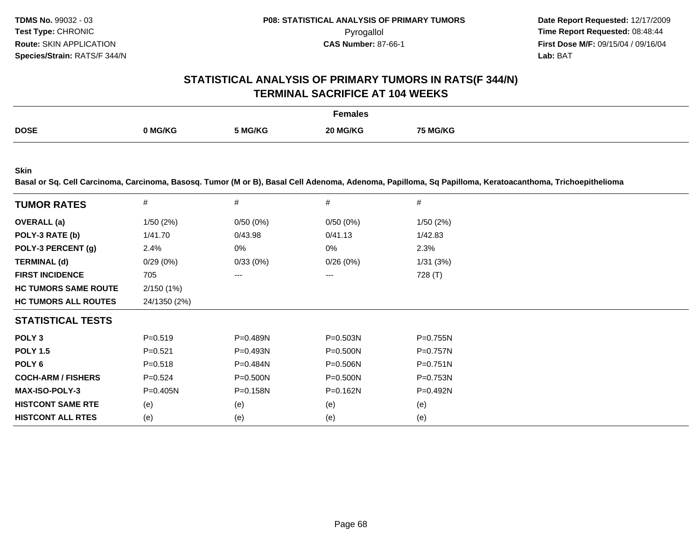## **STATISTICAL ANALYSIS OF PRIMARY TUMORS IN RATS(F 344/N)TERMINAL SACRIFICE AT 104 WEEKS**

|             |         |         | Females  |                 |
|-------------|---------|---------|----------|-----------------|
| <b>DOSE</b> | າ MG/KG | 5 MG/KG | 20 MG/KG | <b>75 MG/KG</b> |

**Skin**

**Basal or Sq. Cell Carcinoma, Carcinoma, Basosq. Tumor (M or B), Basal Cell Adenoma, Adenoma, Papilloma, Sq Papilloma, Keratoacanthoma, Trichoepithelioma**

| <b>TUMOR RATES</b>          | #            | #            | #            | #            |
|-----------------------------|--------------|--------------|--------------|--------------|
| <b>OVERALL</b> (a)          | 1/50(2%)     | 0/50(0%)     | 0/50(0%)     | 1/50(2%)     |
| POLY-3 RATE (b)             | 1/41.70      | 0/43.98      | 0/41.13      | 1/42.83      |
| POLY-3 PERCENT (g)          | 2.4%         | 0%           | 0%           | 2.3%         |
| <b>TERMINAL (d)</b>         | 0/29(0%)     | 0/33(0%)     | 0/26(0%)     | 1/31(3%)     |
| <b>FIRST INCIDENCE</b>      | 705          | ---          | ---          | 728 (T)      |
| <b>HC TUMORS SAME ROUTE</b> | 2/150(1%)    |              |              |              |
| <b>HC TUMORS ALL ROUTES</b> | 24/1350 (2%) |              |              |              |
| <b>STATISTICAL TESTS</b>    |              |              |              |              |
| POLY <sub>3</sub>           | $P = 0.519$  | $P = 0.489N$ | $P = 0.503N$ | $P=0.755N$   |
| <b>POLY 1.5</b>             | $P = 0.521$  | $P = 0.493N$ | $P = 0.500N$ | $P=0.757N$   |
| POLY <sub>6</sub>           | $P = 0.518$  | $P = 0.484N$ | $P = 0.506N$ | $P = 0.751N$ |
| <b>COCH-ARM / FISHERS</b>   | $P=0.524$    | $P = 0.500N$ | $P = 0.500N$ | $P = 0.753N$ |
| <b>MAX-ISO-POLY-3</b>       | $P=0.405N$   | $P = 0.158N$ | P=0.162N     | $P=0.492N$   |
| <b>HISTCONT SAME RTE</b>    | (e)          | (e)          | (e)          | (e)          |
| <b>HISTCONT ALL RTES</b>    | (e)          | (e)          | (e)          | (e)          |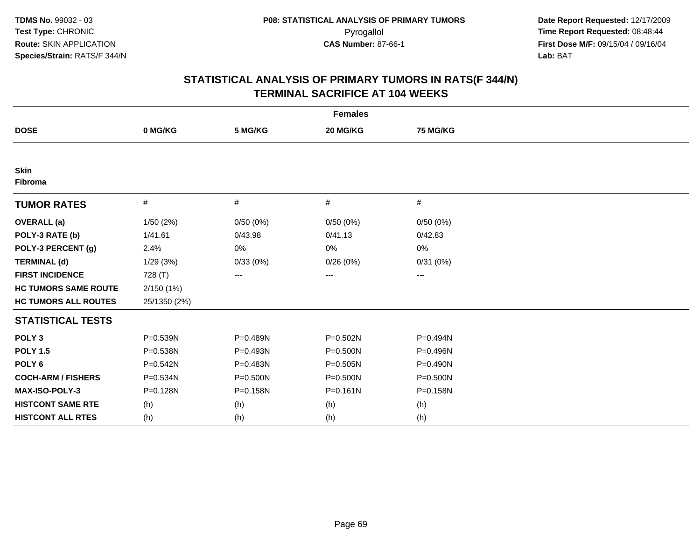| <b>Females</b>              |              |          |              |                   |  |  |
|-----------------------------|--------------|----------|--------------|-------------------|--|--|
| <b>DOSE</b>                 | 0 MG/KG      | 5 MG/KG  | 20 MG/KG     | 75 MG/KG          |  |  |
|                             |              |          |              |                   |  |  |
| <b>Skin</b><br>Fibroma      |              |          |              |                   |  |  |
| <b>TUMOR RATES</b>          | $\#$         | #        | #            | #                 |  |  |
| <b>OVERALL</b> (a)          | 1/50(2%)     | 0/50(0%) | 0/50(0%)     | 0/50(0%)          |  |  |
| POLY-3 RATE (b)             | 1/41.61      | 0/43.98  | 0/41.13      | 0/42.83           |  |  |
| POLY-3 PERCENT (g)          | 2.4%         | 0%       | 0%           | 0%                |  |  |
| <b>TERMINAL (d)</b>         | 1/29(3%)     | 0/33(0%) | 0/26(0%)     | 0/31(0%)          |  |  |
| <b>FIRST INCIDENCE</b>      | 728 (T)      | ---      | ---          | $\qquad \qquad -$ |  |  |
| <b>HC TUMORS SAME ROUTE</b> | 2/150(1%)    |          |              |                   |  |  |
| <b>HC TUMORS ALL ROUTES</b> | 25/1350 (2%) |          |              |                   |  |  |
| <b>STATISTICAL TESTS</b>    |              |          |              |                   |  |  |
| POLY <sub>3</sub>           | P=0.539N     | P=0.489N | $P = 0.502N$ | P=0.494N          |  |  |
| <b>POLY 1.5</b>             | P=0.538N     | P=0.493N | $P = 0.500N$ | P=0.496N          |  |  |
| POLY <sub>6</sub>           | P=0.542N     | P=0.483N | $P = 0.505N$ | $P = 0.490N$      |  |  |
| <b>COCH-ARM / FISHERS</b>   | P=0.534N     | P=0.500N | P=0.500N     | P=0.500N          |  |  |
| <b>MAX-ISO-POLY-3</b>       | P=0.128N     | P=0.158N | $P = 0.161N$ | P=0.158N          |  |  |
| <b>HISTCONT SAME RTE</b>    | (h)          | (h)      | (h)          | (h)               |  |  |
| <b>HISTCONT ALL RTES</b>    | (h)          | (h)      | (h)          | (h)               |  |  |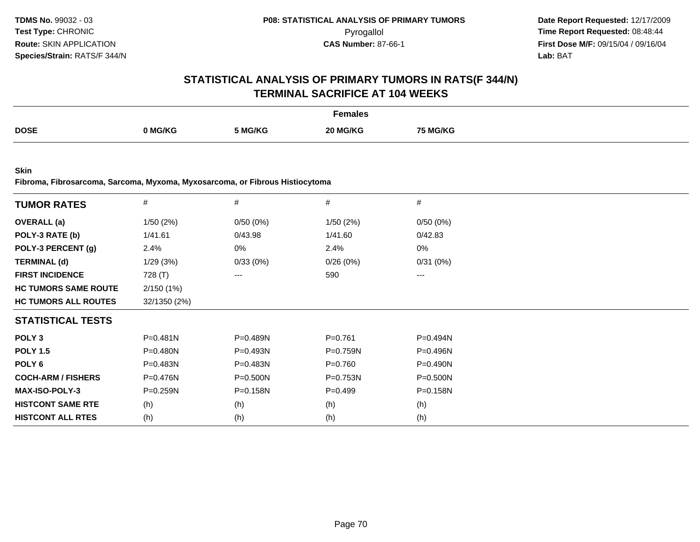# **STATISTICAL ANALYSIS OF PRIMARY TUMORS IN RATS(F 344/N)TERMINAL SACRIFICE AT 104 WEEKS**

|             |       |         | Females              |         |
|-------------|-------|---------|----------------------|---------|
| <b>DOSE</b> | MG/KG | 5 MG/KG | <b>IG/KC</b><br>ንበ ኢ | i MG/KG |

**Skin**

**Fibroma, Fibrosarcoma, Sarcoma, Myxoma, Myxosarcoma, or Fibrous Histiocytoma**

| <b>TUMOR RATES</b>          | #            | $\#$         | $\#$         | #            |
|-----------------------------|--------------|--------------|--------------|--------------|
| <b>OVERALL</b> (a)          | 1/50(2%)     | 0/50(0%)     | 1/50(2%)     | 0/50(0%)     |
| POLY-3 RATE (b)             | 1/41.61      | 0/43.98      | 1/41.60      | 0/42.83      |
| POLY-3 PERCENT (g)          | 2.4%         | 0%           | 2.4%         | 0%           |
| <b>TERMINAL (d)</b>         | 1/29(3%)     | 0/33(0%)     | 0/26(0%)     | 0/31(0%)     |
| <b>FIRST INCIDENCE</b>      | 728 (T)      | ---          | 590          | $\cdots$     |
| <b>HC TUMORS SAME ROUTE</b> | 2/150(1%)    |              |              |              |
| <b>HC TUMORS ALL ROUTES</b> | 32/1350 (2%) |              |              |              |
| <b>STATISTICAL TESTS</b>    |              |              |              |              |
| POLY <sub>3</sub>           | $P = 0.481N$ | $P = 0.489N$ | $P=0.761$    | $P=0.494N$   |
| <b>POLY 1.5</b>             | $P = 0.480N$ | $P = 0.493N$ | $P = 0.759N$ | $P = 0.496N$ |
| POLY 6                      | P=0.483N     | P=0.483N     | $P = 0.760$  | P=0.490N     |
| <b>COCH-ARM / FISHERS</b>   | $P = 0.476N$ | P=0.500N     | P=0.753N     | P=0.500N     |
| <b>MAX-ISO-POLY-3</b>       | P=0.259N     | P=0.158N     | $P=0.499$    | $P = 0.158N$ |
| <b>HISTCONT SAME RTE</b>    | (h)          | (h)          | (h)          | (h)          |
| <b>HISTCONT ALL RTES</b>    | (h)          | (h)          | (h)          | (h)          |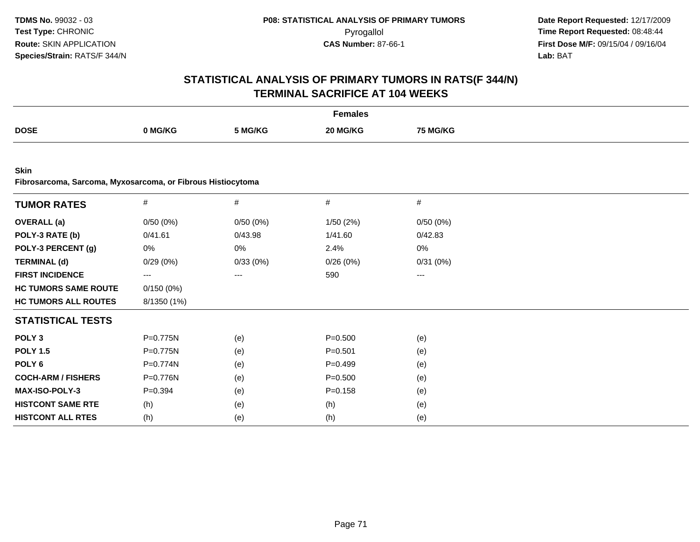| <b>Females</b>                                                             |                        |                   |             |          |  |  |  |  |  |
|----------------------------------------------------------------------------|------------------------|-------------------|-------------|----------|--|--|--|--|--|
| <b>DOSE</b>                                                                | 0 MG/KG                | 5 MG/KG           | 20 MG/KG    | 75 MG/KG |  |  |  |  |  |
|                                                                            |                        |                   |             |          |  |  |  |  |  |
| <b>Skin</b><br>Fibrosarcoma, Sarcoma, Myxosarcoma, or Fibrous Histiocytoma |                        |                   |             |          |  |  |  |  |  |
| <b>TUMOR RATES</b>                                                         | $\#$                   | $\#$              | $\#$        | $\#$     |  |  |  |  |  |
| <b>OVERALL</b> (a)                                                         | 0/50(0%)               | 0/50(0%)          | 1/50(2%)    | 0/50(0%) |  |  |  |  |  |
| POLY-3 RATE (b)                                                            | 0/41.61                | 0/43.98           | 1/41.60     | 0/42.83  |  |  |  |  |  |
| POLY-3 PERCENT (g)                                                         | 0%                     | 0%                | 2.4%        | 0%       |  |  |  |  |  |
| <b>TERMINAL (d)</b>                                                        | 0/29(0%)               | 0/33(0%)          | 0/26(0%)    | 0/31(0%) |  |  |  |  |  |
| <b>FIRST INCIDENCE</b>                                                     | $\qquad \qquad \cdots$ | $\qquad \qquad -$ | 590         | ---      |  |  |  |  |  |
| <b>HC TUMORS SAME ROUTE</b>                                                | 0/150(0%)              |                   |             |          |  |  |  |  |  |
| <b>HC TUMORS ALL ROUTES</b>                                                | 8/1350 (1%)            |                   |             |          |  |  |  |  |  |
| <b>STATISTICAL TESTS</b>                                                   |                        |                   |             |          |  |  |  |  |  |
| POLY <sub>3</sub>                                                          | P=0.775N               | (e)               | $P = 0.500$ | (e)      |  |  |  |  |  |
| <b>POLY 1.5</b>                                                            | $P=0.775N$             | (e)               | $P = 0.501$ | (e)      |  |  |  |  |  |
| POLY <sub>6</sub>                                                          | P=0.774N               | (e)               | $P=0.499$   | (e)      |  |  |  |  |  |
| <b>COCH-ARM / FISHERS</b>                                                  | P=0.776N               | (e)               | $P = 0.500$ | (e)      |  |  |  |  |  |
| MAX-ISO-POLY-3                                                             | $P = 0.394$            | (e)               | $P = 0.158$ | (e)      |  |  |  |  |  |
| <b>HISTCONT SAME RTE</b>                                                   | (h)                    | (e)               | (h)         | (e)      |  |  |  |  |  |
| <b>HISTCONT ALL RTES</b>                                                   | (h)                    | (e)               | (h)         | (e)      |  |  |  |  |  |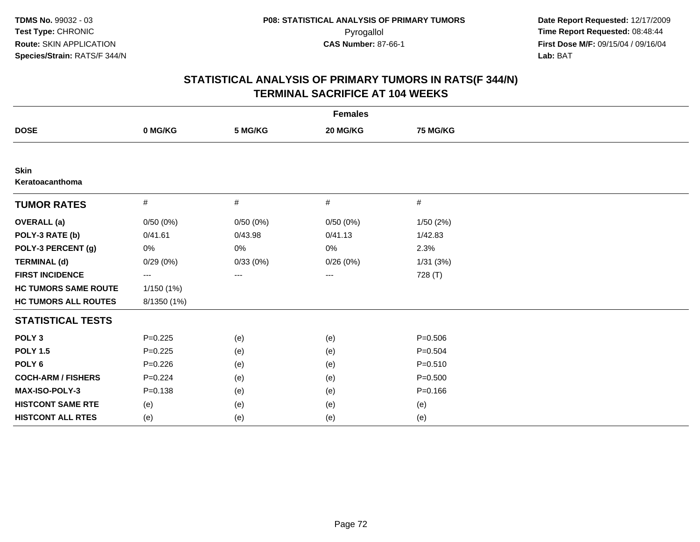| <b>Females</b>                 |             |          |          |             |  |  |  |  |  |
|--------------------------------|-------------|----------|----------|-------------|--|--|--|--|--|
| <b>DOSE</b>                    | 0 MG/KG     | 5 MG/KG  | 20 MG/KG | 75 MG/KG    |  |  |  |  |  |
|                                |             |          |          |             |  |  |  |  |  |
| <b>Skin</b><br>Keratoacanthoma |             |          |          |             |  |  |  |  |  |
| <b>TUMOR RATES</b>             | #           | #        | #        | #           |  |  |  |  |  |
| <b>OVERALL</b> (a)             | 0/50(0%)    | 0/50(0%) | 0/50(0%) | 1/50(2%)    |  |  |  |  |  |
| POLY-3 RATE (b)                | 0/41.61     | 0/43.98  | 0/41.13  | 1/42.83     |  |  |  |  |  |
| POLY-3 PERCENT (g)             | 0%          | 0%       | 0%       | 2.3%        |  |  |  |  |  |
| <b>TERMINAL (d)</b>            | 0/29(0%)    | 0/33(0%) | 0/26(0%) | 1/31(3%)    |  |  |  |  |  |
| <b>FIRST INCIDENCE</b>         | ---         | $---$    | ---      | 728 (T)     |  |  |  |  |  |
| <b>HC TUMORS SAME ROUTE</b>    | 1/150(1%)   |          |          |             |  |  |  |  |  |
| <b>HC TUMORS ALL ROUTES</b>    | 8/1350 (1%) |          |          |             |  |  |  |  |  |
| <b>STATISTICAL TESTS</b>       |             |          |          |             |  |  |  |  |  |
| POLY <sub>3</sub>              | $P=0.225$   | (e)      | (e)      | $P = 0.506$ |  |  |  |  |  |
| <b>POLY 1.5</b>                | $P = 0.225$ | (e)      | (e)      | $P = 0.504$ |  |  |  |  |  |
| POLY <sub>6</sub>              | $P = 0.226$ | (e)      | (e)      | $P = 0.510$ |  |  |  |  |  |
| <b>COCH-ARM / FISHERS</b>      | $P=0.224$   | (e)      | (e)      | $P = 0.500$ |  |  |  |  |  |
| MAX-ISO-POLY-3                 | $P = 0.138$ | (e)      | (e)      | $P = 0.166$ |  |  |  |  |  |
| <b>HISTCONT SAME RTE</b>       | (e)         | (e)      | (e)      | (e)         |  |  |  |  |  |
| <b>HISTCONT ALL RTES</b>       | (e)         | (e)      | (e)      | (e)         |  |  |  |  |  |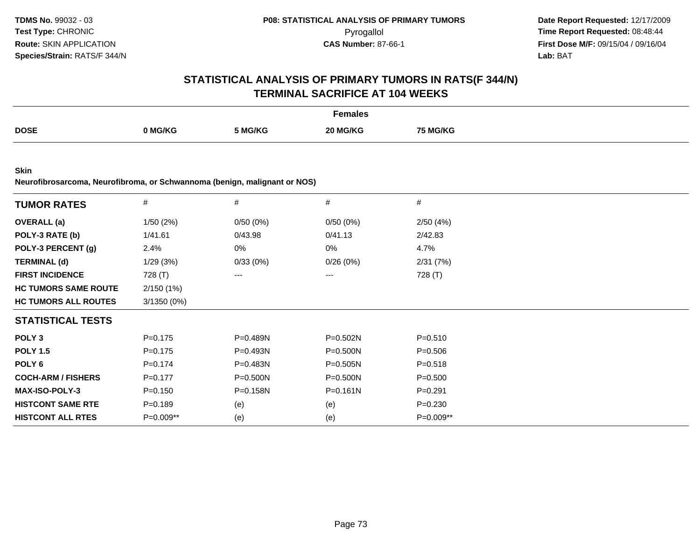|                                                                           | <b>Females</b> |          |              |             |  |  |  |
|---------------------------------------------------------------------------|----------------|----------|--------------|-------------|--|--|--|
| <b>DOSE</b>                                                               | 0 MG/KG        | 5 MG/KG  | 20 MG/KG     | 75 MG/KG    |  |  |  |
| <b>Skin</b>                                                               |                |          |              |             |  |  |  |
| Neurofibrosarcoma, Neurofibroma, or Schwannoma (benign, malignant or NOS) |                |          |              |             |  |  |  |
| <b>TUMOR RATES</b>                                                        | $\#$           | $\#$     | $\#$         | $\#$        |  |  |  |
| <b>OVERALL</b> (a)                                                        | 1/50(2%)       | 0/50(0%) | 0/50(0%)     | 2/50(4%)    |  |  |  |
| POLY-3 RATE (b)                                                           | 1/41.61        | 0/43.98  | 0/41.13      | 2/42.83     |  |  |  |
| POLY-3 PERCENT (g)                                                        | 2.4%           | 0%       | 0%           | 4.7%        |  |  |  |
| <b>TERMINAL (d)</b>                                                       | 1/29(3%)       | 0/33(0%) | 0/26(0%)     | 2/31(7%)    |  |  |  |
| <b>FIRST INCIDENCE</b>                                                    | 728 (T)        | $\cdots$ | ---          | 728 (T)     |  |  |  |
| <b>HC TUMORS SAME ROUTE</b>                                               | 2/150 (1%)     |          |              |             |  |  |  |
| <b>HC TUMORS ALL ROUTES</b>                                               | 3/1350 (0%)    |          |              |             |  |  |  |
| <b>STATISTICAL TESTS</b>                                                  |                |          |              |             |  |  |  |
| POLY <sub>3</sub>                                                         | $P = 0.175$    | P=0.489N | P=0.502N     | $P = 0.510$ |  |  |  |
| <b>POLY 1.5</b>                                                           | $P=0.175$      | P=0.493N | $P = 0.500N$ | $P = 0.506$ |  |  |  |
| POLY <sub>6</sub>                                                         | $P = 0.174$    | P=0.483N | $P = 0.505N$ | $P = 0.518$ |  |  |  |
| <b>COCH-ARM / FISHERS</b>                                                 | $P = 0.177$    | P=0.500N | $P = 0.500N$ | $P = 0.500$ |  |  |  |
| <b>MAX-ISO-POLY-3</b>                                                     | $P=0.150$      | P=0.158N | $P = 0.161N$ | $P = 0.291$ |  |  |  |
| <b>HISTCONT SAME RTE</b>                                                  | $P=0.189$      | (e)      | (e)          | $P = 0.230$ |  |  |  |
| <b>HISTCONT ALL RTES</b>                                                  | P=0.009**      | (e)      | (e)          | P=0.009**   |  |  |  |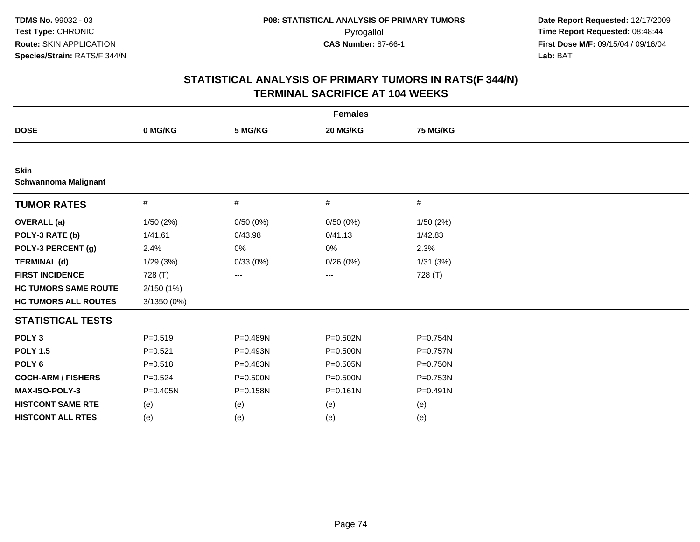| <b>Females</b>                             |             |              |              |                 |  |  |  |
|--------------------------------------------|-------------|--------------|--------------|-----------------|--|--|--|
| <b>DOSE</b>                                | 0 MG/KG     | 5 MG/KG      | 20 MG/KG     | <b>75 MG/KG</b> |  |  |  |
|                                            |             |              |              |                 |  |  |  |
| <b>Skin</b><br><b>Schwannoma Malignant</b> |             |              |              |                 |  |  |  |
| <b>TUMOR RATES</b>                         | $\#$        | $\#$         | #            | $\#$            |  |  |  |
| <b>OVERALL</b> (a)                         | 1/50(2%)    | 0/50(0%)     | 0/50(0%)     | 1/50(2%)        |  |  |  |
| POLY-3 RATE (b)                            | 1/41.61     | 0/43.98      | 0/41.13      | 1/42.83         |  |  |  |
| POLY-3 PERCENT (g)                         | 2.4%        | 0%           | 0%           | 2.3%            |  |  |  |
| <b>TERMINAL (d)</b>                        | 1/29(3%)    | 0/33(0%)     | 0/26(0%)     | 1/31(3%)        |  |  |  |
| <b>FIRST INCIDENCE</b>                     | 728 (T)     | ---          | ---          | 728 (T)         |  |  |  |
| <b>HC TUMORS SAME ROUTE</b>                | 2/150(1%)   |              |              |                 |  |  |  |
| <b>HC TUMORS ALL ROUTES</b>                | 3/1350 (0%) |              |              |                 |  |  |  |
| <b>STATISTICAL TESTS</b>                   |             |              |              |                 |  |  |  |
| POLY <sub>3</sub>                          | $P = 0.519$ | P=0.489N     | $P = 0.502N$ | P=0.754N        |  |  |  |
| <b>POLY 1.5</b>                            | $P = 0.521$ | P=0.493N     | $P = 0.500N$ | P=0.757N        |  |  |  |
| POLY <sub>6</sub>                          | $P = 0.518$ | P=0.483N     | P=0.505N     | P=0.750N        |  |  |  |
| <b>COCH-ARM / FISHERS</b>                  | $P=0.524$   | $P = 0.500N$ | $P = 0.500N$ | P=0.753N        |  |  |  |
| MAX-ISO-POLY-3                             | P=0.405N    | P=0.158N     | $P = 0.161N$ | P=0.491N        |  |  |  |
| <b>HISTCONT SAME RTE</b>                   | (e)         | (e)          | (e)          | (e)             |  |  |  |
| <b>HISTCONT ALL RTES</b>                   | (e)         | (e)          | (e)          | (e)             |  |  |  |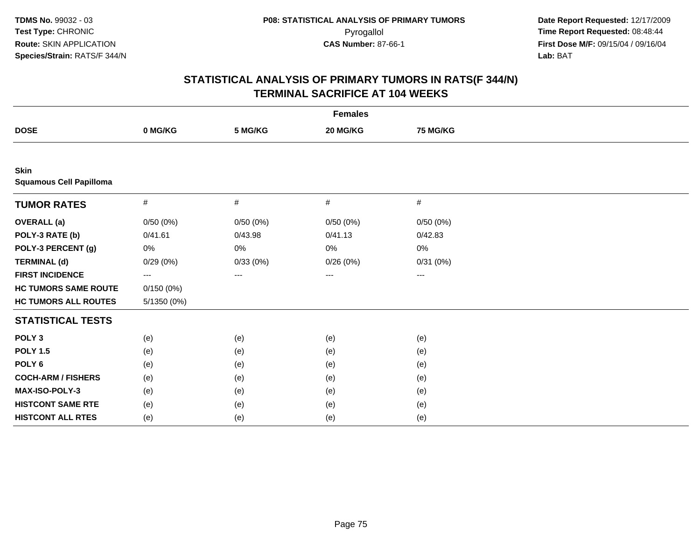| <b>Females</b>                                |             |          |          |                 |  |  |  |
|-----------------------------------------------|-------------|----------|----------|-----------------|--|--|--|
| <b>DOSE</b>                                   | 0 MG/KG     | 5 MG/KG  | 20 MG/KG | <b>75 MG/KG</b> |  |  |  |
|                                               |             |          |          |                 |  |  |  |
| <b>Skin</b><br><b>Squamous Cell Papilloma</b> |             |          |          |                 |  |  |  |
| <b>TUMOR RATES</b>                            | $\#$        | $\#$     | $\#$     | #               |  |  |  |
| <b>OVERALL</b> (a)                            | 0/50(0%)    | 0/50(0%) | 0/50(0%) | 0/50(0%)        |  |  |  |
| POLY-3 RATE (b)                               | 0/41.61     | 0/43.98  | 0/41.13  | 0/42.83         |  |  |  |
| POLY-3 PERCENT (g)                            | $0\%$       | 0%       | $0\%$    | 0%              |  |  |  |
| <b>TERMINAL (d)</b>                           | 0/29(0%)    | 0/33(0%) | 0/26(0%) | 0/31(0%)        |  |  |  |
| <b>FIRST INCIDENCE</b>                        | ---         | ---      | $---$    | $\cdots$        |  |  |  |
| <b>HC TUMORS SAME ROUTE</b>                   | 0/150(0%)   |          |          |                 |  |  |  |
| <b>HC TUMORS ALL ROUTES</b>                   | 5/1350 (0%) |          |          |                 |  |  |  |
| <b>STATISTICAL TESTS</b>                      |             |          |          |                 |  |  |  |
| POLY <sub>3</sub>                             | (e)         | (e)      | (e)      | (e)             |  |  |  |
| <b>POLY 1.5</b>                               | (e)         | (e)      | (e)      | (e)             |  |  |  |
| POLY <sub>6</sub>                             | (e)         | (e)      | (e)      | (e)             |  |  |  |
| <b>COCH-ARM / FISHERS</b>                     | (e)         | (e)      | (e)      | (e)             |  |  |  |
| MAX-ISO-POLY-3                                | (e)         | (e)      | (e)      | (e)             |  |  |  |
| <b>HISTCONT SAME RTE</b>                      | (e)         | (e)      | (e)      | (e)             |  |  |  |
| <b>HISTCONT ALL RTES</b>                      | (e)         | (e)      | (e)      | (e)             |  |  |  |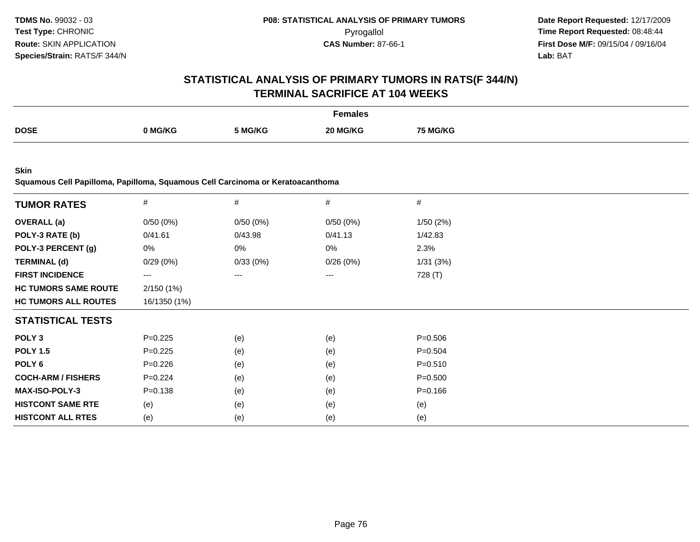## **STATISTICAL ANALYSIS OF PRIMARY TUMORS IN RATS(F 344/N)TERMINAL SACRIFICE AT 104 WEEKS**

|             |                    |         | Females              |          |
|-------------|--------------------|---------|----------------------|----------|
| <b>DOSE</b> | NG/KG <sup>√</sup> | 5 MG/KG | <b>IG/KC</b><br>ንበ ⊾ | 75 MG/KG |

**Skin**

**Squamous Cell Papilloma, Papilloma, Squamous Cell Carcinoma or Keratoacanthoma**

| <b>TUMOR RATES</b>          | $\#$         | $\#$     | $\#$     | #           |
|-----------------------------|--------------|----------|----------|-------------|
| <b>OVERALL</b> (a)          | 0/50(0%)     | 0/50(0%) | 0/50(0%) | 1/50(2%)    |
| POLY-3 RATE (b)             | 0/41.61      | 0/43.98  | 0/41.13  | 1/42.83     |
| POLY-3 PERCENT (g)          | 0%           | 0%       | 0%       | 2.3%        |
| <b>TERMINAL (d)</b>         | 0/29(0%)     | 0/33(0%) | 0/26(0%) | 1/31(3%)    |
| <b>FIRST INCIDENCE</b>      | $---$        | $---$    | $---$    | 728 (T)     |
| <b>HC TUMORS SAME ROUTE</b> | 2/150(1%)    |          |          |             |
| <b>HC TUMORS ALL ROUTES</b> | 16/1350 (1%) |          |          |             |
| <b>STATISTICAL TESTS</b>    |              |          |          |             |
| POLY <sub>3</sub>           | $P=0.225$    | (e)      | (e)      | $P = 0.506$ |
| <b>POLY 1.5</b>             | $P=0.225$    | (e)      | (e)      | $P = 0.504$ |
| POLY 6                      | $P=0.226$    | (e)      | (e)      | $P = 0.510$ |
| <b>COCH-ARM / FISHERS</b>   | $P=0.224$    | (e)      | (e)      | $P = 0.500$ |
| <b>MAX-ISO-POLY-3</b>       | $P = 0.138$  | (e)      | (e)      | $P = 0.166$ |
| <b>HISTCONT SAME RTE</b>    | (e)          | (e)      | (e)      | (e)         |
| <b>HISTCONT ALL RTES</b>    | (e)          | (e)      | (e)      | (e)         |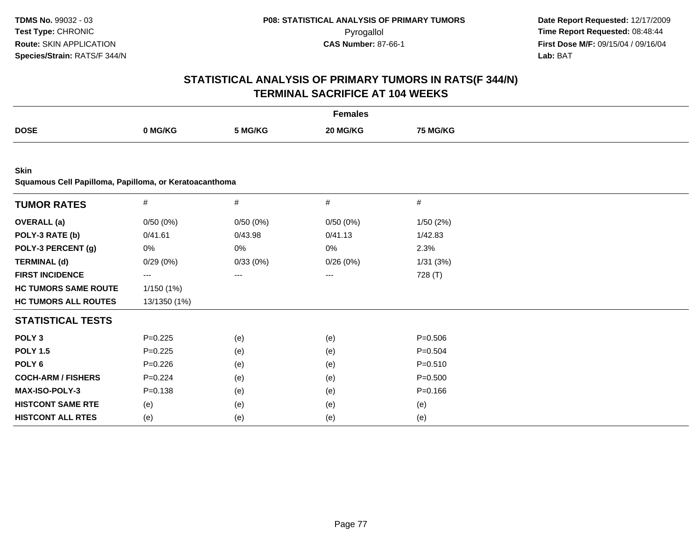|                                                                |              |          | <b>Females</b> |                 |  |
|----------------------------------------------------------------|--------------|----------|----------------|-----------------|--|
| <b>DOSE</b>                                                    | 0 MG/KG      | 5 MG/KG  | 20 MG/KG       | <b>75 MG/KG</b> |  |
|                                                                |              |          |                |                 |  |
| Skin<br>Squamous Cell Papilloma, Papilloma, or Keratoacanthoma |              |          |                |                 |  |
| <b>TUMOR RATES</b>                                             | $\#$         | $\#$     | $\#$           | $\#$            |  |
| <b>OVERALL</b> (a)                                             | 0/50(0%)     | 0/50(0%) | 0/50(0%)       | 1/50(2%)        |  |
| POLY-3 RATE (b)                                                | 0/41.61      | 0/43.98  | 0/41.13        | 1/42.83         |  |
| POLY-3 PERCENT (g)                                             | 0%           | 0%       | 0%             | 2.3%            |  |
| <b>TERMINAL (d)</b>                                            | 0/29(0%)     | 0/33(0%) | 0/26(0%)       | 1/31(3%)        |  |
| <b>FIRST INCIDENCE</b>                                         | ---          | ---      | ---            | 728 (T)         |  |
| <b>HC TUMORS SAME ROUTE</b>                                    | 1/150(1%)    |          |                |                 |  |
| <b>HC TUMORS ALL ROUTES</b>                                    | 13/1350 (1%) |          |                |                 |  |
| <b>STATISTICAL TESTS</b>                                       |              |          |                |                 |  |
| POLY <sub>3</sub>                                              | $P=0.225$    | (e)      | (e)            | $P = 0.506$     |  |
| <b>POLY 1.5</b>                                                | $P=0.225$    | (e)      | (e)            | $P = 0.504$     |  |
| POLY <sub>6</sub>                                              | $P=0.226$    | (e)      | (e)            | $P = 0.510$     |  |
| <b>COCH-ARM / FISHERS</b>                                      | $P=0.224$    | (e)      | (e)            | $P = 0.500$     |  |
| MAX-ISO-POLY-3                                                 | $P = 0.138$  | (e)      | (e)            | $P = 0.166$     |  |
| <b>HISTCONT SAME RTE</b>                                       | (e)          | (e)      | (e)            | (e)             |  |
| <b>HISTCONT ALL RTES</b>                                       | (e)          | (e)      | (e)            | (e)             |  |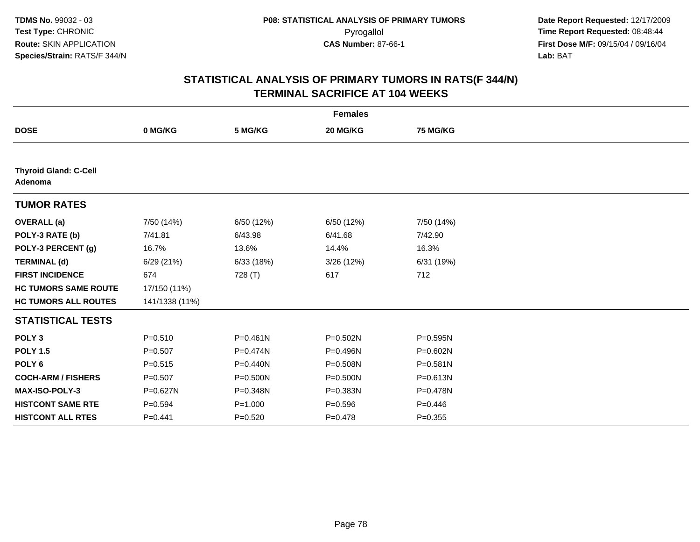| <b>Females</b>                          |                |              |              |                 |  |  |  |
|-----------------------------------------|----------------|--------------|--------------|-----------------|--|--|--|
| <b>DOSE</b>                             | 0 MG/KG        | 5 MG/KG      | 20 MG/KG     | <b>75 MG/KG</b> |  |  |  |
|                                         |                |              |              |                 |  |  |  |
| <b>Thyroid Gland: C-Cell</b><br>Adenoma |                |              |              |                 |  |  |  |
| <b>TUMOR RATES</b>                      |                |              |              |                 |  |  |  |
| <b>OVERALL</b> (a)                      | 7/50 (14%)     | 6/50 (12%)   | 6/50 (12%)   | 7/50 (14%)      |  |  |  |
| POLY-3 RATE (b)                         | 7/41.81        | 6/43.98      | 6/41.68      | 7/42.90         |  |  |  |
| POLY-3 PERCENT (g)                      | 16.7%          | 13.6%        | 14.4%        | 16.3%           |  |  |  |
| <b>TERMINAL (d)</b>                     | 6/29 (21%)     | 6/33(18%)    | 3/26(12%)    | 6/31 (19%)      |  |  |  |
| <b>FIRST INCIDENCE</b>                  | 674            | 728 (T)      | 617          | 712             |  |  |  |
| <b>HC TUMORS SAME ROUTE</b>             | 17/150 (11%)   |              |              |                 |  |  |  |
| <b>HC TUMORS ALL ROUTES</b>             | 141/1338 (11%) |              |              |                 |  |  |  |
| <b>STATISTICAL TESTS</b>                |                |              |              |                 |  |  |  |
| POLY <sub>3</sub>                       | $P = 0.510$    | $P = 0.461N$ | P=0.502N     | $P = 0.595N$    |  |  |  |
| <b>POLY 1.5</b>                         | $P=0.507$      | P=0.474N     | P=0.496N     | $P = 0.602N$    |  |  |  |
| POLY <sub>6</sub>                       | $P = 0.515$    | $P = 0.440N$ | P=0.508N     | $P = 0.581N$    |  |  |  |
| <b>COCH-ARM / FISHERS</b>               | $P = 0.507$    | P=0.500N     | $P = 0.500N$ | P=0.613N        |  |  |  |
| MAX-ISO-POLY-3                          | $P = 0.627N$   | P=0.348N     | P=0.383N     | P=0.478N        |  |  |  |
| <b>HISTCONT SAME RTE</b>                | $P = 0.594$    | $P = 1.000$  | $P = 0.596$  | $P=0.446$       |  |  |  |
| <b>HISTCONT ALL RTES</b>                | $P = 0.441$    | $P = 0.520$  | $P = 0.478$  | $P = 0.355$     |  |  |  |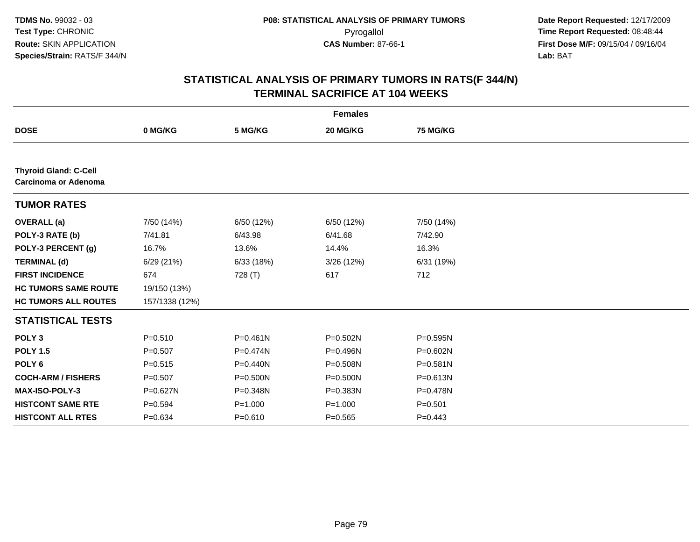|                                                      |                |              | <b>Females</b> |              |
|------------------------------------------------------|----------------|--------------|----------------|--------------|
| <b>DOSE</b>                                          | 0 MG/KG        | 5 MG/KG      | 20 MG/KG       | 75 MG/KG     |
|                                                      |                |              |                |              |
| <b>Thyroid Gland: C-Cell</b><br>Carcinoma or Adenoma |                |              |                |              |
| <b>TUMOR RATES</b>                                   |                |              |                |              |
| <b>OVERALL</b> (a)                                   | 7/50 (14%)     | 6/50 (12%)   | 6/50 (12%)     | 7/50 (14%)   |
| POLY-3 RATE (b)                                      | 7/41.81        | 6/43.98      | 6/41.68        | 7/42.90      |
| POLY-3 PERCENT (g)                                   | 16.7%          | 13.6%        | 14.4%          | 16.3%        |
| <b>TERMINAL (d)</b>                                  | 6/29(21%)      | 6/33(18%)    | 3/26 (12%)     | 6/31 (19%)   |
| <b>FIRST INCIDENCE</b>                               | 674            | 728 (T)      | 617            | 712          |
| <b>HC TUMORS SAME ROUTE</b>                          | 19/150 (13%)   |              |                |              |
| <b>HC TUMORS ALL ROUTES</b>                          | 157/1338 (12%) |              |                |              |
| <b>STATISTICAL TESTS</b>                             |                |              |                |              |
| POLY <sub>3</sub>                                    | $P = 0.510$    | $P = 0.461N$ | $P = 0.502N$   | $P = 0.595N$ |
| <b>POLY 1.5</b>                                      | $P = 0.507$    | P=0.474N     | P=0.496N       | P=0.602N     |
| POLY <sub>6</sub>                                    | $P = 0.515$    | $P = 0.440N$ | P=0.508N       | $P = 0.581N$ |
| <b>COCH-ARM / FISHERS</b>                            | $P = 0.507$    | P=0.500N     | P=0.500N       | P=0.613N     |
| MAX-ISO-POLY-3                                       | $P = 0.627N$   | P=0.348N     | P=0.383N       | P=0.478N     |
| <b>HISTCONT SAME RTE</b>                             | $P = 0.594$    | $P = 1.000$  | $P = 1.000$    | $P = 0.501$  |
| <b>HISTCONT ALL RTES</b>                             | $P = 0.634$    | $P = 0.610$  | $P = 0.565$    | $P=0.443$    |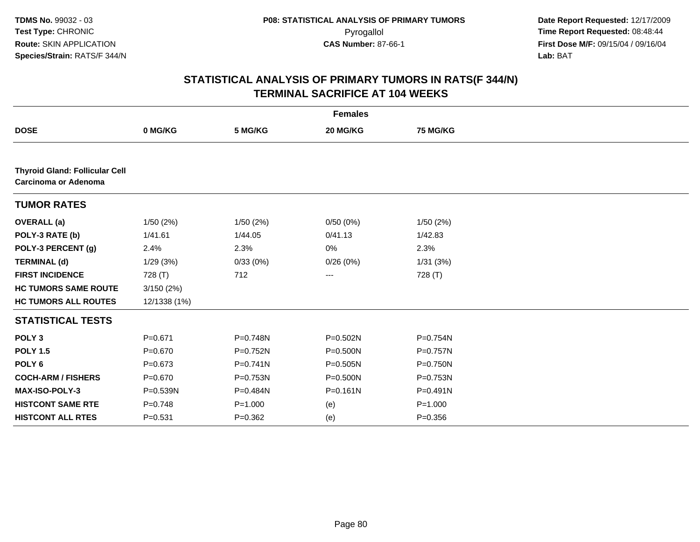|                                                               |              |             | <b>Females</b> |              |  |
|---------------------------------------------------------------|--------------|-------------|----------------|--------------|--|
| <b>DOSE</b>                                                   | 0 MG/KG      | 5 MG/KG     | 20 MG/KG       | 75 MG/KG     |  |
|                                                               |              |             |                |              |  |
| <b>Thyroid Gland: Follicular Cell</b><br>Carcinoma or Adenoma |              |             |                |              |  |
| <b>TUMOR RATES</b>                                            |              |             |                |              |  |
| <b>OVERALL</b> (a)                                            | 1/50 (2%)    | 1/50(2%)    | 0/50(0%)       | 1/50(2%)     |  |
| POLY-3 RATE (b)                                               | 1/41.61      | 1/44.05     | 0/41.13        | 1/42.83      |  |
| POLY-3 PERCENT (g)                                            | 2.4%         | 2.3%        | 0%             | 2.3%         |  |
| <b>TERMINAL (d)</b>                                           | 1/29(3%)     | 0/33(0%)    | 0/26(0%)       | 1/31(3%)     |  |
| <b>FIRST INCIDENCE</b>                                        | 728 (T)      | 712         | ---            | 728 (T)      |  |
| <b>HC TUMORS SAME ROUTE</b>                                   | 3/150(2%)    |             |                |              |  |
| <b>HC TUMORS ALL ROUTES</b>                                   | 12/1338 (1%) |             |                |              |  |
| <b>STATISTICAL TESTS</b>                                      |              |             |                |              |  |
| POLY <sub>3</sub>                                             | $P = 0.671$  | P=0.748N    | P=0.502N       | P=0.754N     |  |
| <b>POLY 1.5</b>                                               | $P = 0.670$  | P=0.752N    | $P = 0.500N$   | P=0.757N     |  |
| POLY <sub>6</sub>                                             | $P=0.673$    | $P=0.741N$  | P=0.505N       | P=0.750N     |  |
| <b>COCH-ARM / FISHERS</b>                                     | $P = 0.670$  | P=0.753N    | P=0.500N       | P=0.753N     |  |
| <b>MAX-ISO-POLY-3</b>                                         | $P = 0.539N$ | P=0.484N    | $P = 0.161N$   | $P = 0.491N$ |  |
| <b>HISTCONT SAME RTE</b>                                      | $P = 0.748$  | $P = 1.000$ | (e)            | $P = 1.000$  |  |
| <b>HISTCONT ALL RTES</b>                                      | $P = 0.531$  | $P=0.362$   | (e)            | $P = 0.356$  |  |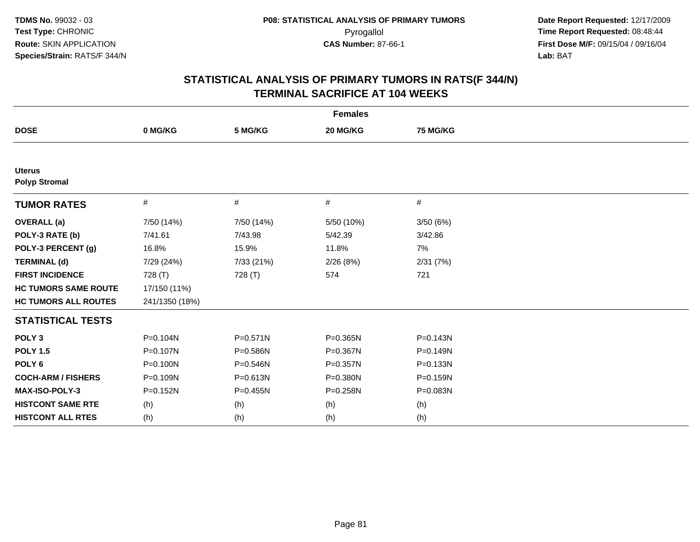| <b>Females</b>                        |                |              |            |                 |  |  |  |
|---------------------------------------|----------------|--------------|------------|-----------------|--|--|--|
| <b>DOSE</b>                           | 0 MG/KG        | 5 MG/KG      | 20 MG/KG   | <b>75 MG/KG</b> |  |  |  |
|                                       |                |              |            |                 |  |  |  |
| <b>Uterus</b><br><b>Polyp Stromal</b> |                |              |            |                 |  |  |  |
| <b>TUMOR RATES</b>                    | $\#$           | #            | #          | #               |  |  |  |
| <b>OVERALL</b> (a)                    | 7/50 (14%)     | 7/50 (14%)   | 5/50 (10%) | 3/50(6%)        |  |  |  |
| POLY-3 RATE (b)                       | 7/41.61        | 7/43.98      | 5/42.39    | 3/42.86         |  |  |  |
| POLY-3 PERCENT (g)                    | 16.8%          | 15.9%        | 11.8%      | 7%              |  |  |  |
| <b>TERMINAL (d)</b>                   | 7/29 (24%)     | 7/33 (21%)   | 2/26(8%)   | 2/31(7%)        |  |  |  |
| <b>FIRST INCIDENCE</b>                | 728 (T)        | 728 (T)      | 574        | 721             |  |  |  |
| <b>HC TUMORS SAME ROUTE</b>           | 17/150 (11%)   |              |            |                 |  |  |  |
| <b>HC TUMORS ALL ROUTES</b>           | 241/1350 (18%) |              |            |                 |  |  |  |
| <b>STATISTICAL TESTS</b>              |                |              |            |                 |  |  |  |
| POLY <sub>3</sub>                     | $P = 0.104N$   | $P = 0.571N$ | P=0.365N   | $P = 0.143N$    |  |  |  |
| <b>POLY 1.5</b>                       | P=0.107N       | P=0.586N     | P=0.367N   | P=0.149N        |  |  |  |
| POLY <sub>6</sub>                     | P=0.100N       | P=0.546N     | P=0.357N   | P=0.133N        |  |  |  |
| <b>COCH-ARM / FISHERS</b>             | P=0.109N       | P=0.613N     | P=0.380N   | P=0.159N        |  |  |  |
| <b>MAX-ISO-POLY-3</b>                 | $P = 0.152N$   | P=0.455N     | P=0.258N   | P=0.083N        |  |  |  |
| <b>HISTCONT SAME RTE</b>              | (h)            | (h)          | (h)        | (h)             |  |  |  |
| <b>HISTCONT ALL RTES</b>              | (h)            | (h)          | (h)        | (h)             |  |  |  |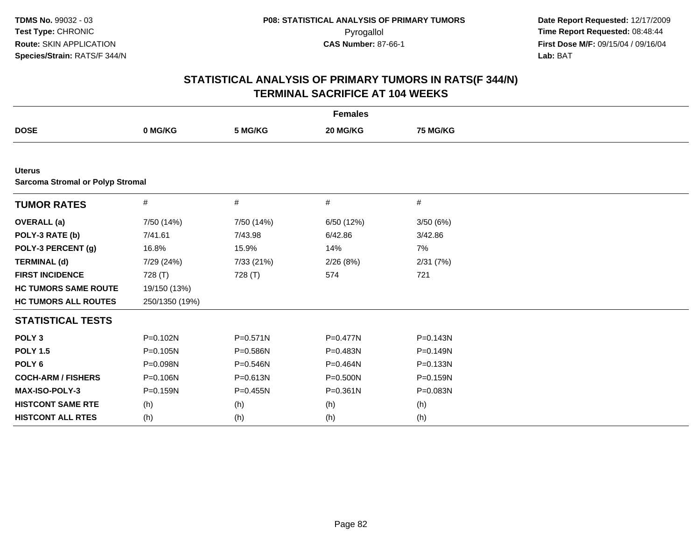| <b>Females</b>                                           |                |              |              |              |  |  |
|----------------------------------------------------------|----------------|--------------|--------------|--------------|--|--|
| <b>DOSE</b>                                              | 0 MG/KG        | 5 MG/KG      | 20 MG/KG     | 75 MG/KG     |  |  |
|                                                          |                |              |              |              |  |  |
| <b>Uterus</b><br><b>Sarcoma Stromal or Polyp Stromal</b> |                |              |              |              |  |  |
| <b>TUMOR RATES</b>                                       | $\#$           | $\#$         | $\#$         | #            |  |  |
| <b>OVERALL</b> (a)                                       | 7/50 (14%)     | 7/50 (14%)   | 6/50 (12%)   | 3/50 (6%)    |  |  |
| POLY-3 RATE (b)                                          | 7/41.61        | 7/43.98      | 6/42.86      | 3/42.86      |  |  |
| POLY-3 PERCENT (g)                                       | 16.8%          | 15.9%        | 14%          | 7%           |  |  |
| <b>TERMINAL (d)</b>                                      | 7/29 (24%)     | 7/33 (21%)   | 2/26(8%)     | 2/31(7%)     |  |  |
| <b>FIRST INCIDENCE</b>                                   | 728 (T)        | 728 (T)      | 574          | 721          |  |  |
| <b>HC TUMORS SAME ROUTE</b>                              | 19/150 (13%)   |              |              |              |  |  |
| <b>HC TUMORS ALL ROUTES</b>                              | 250/1350 (19%) |              |              |              |  |  |
| <b>STATISTICAL TESTS</b>                                 |                |              |              |              |  |  |
| POLY <sub>3</sub>                                        | P=0.102N       | $P = 0.571N$ | P=0.477N     | $P = 0.143N$ |  |  |
| <b>POLY 1.5</b>                                          | P=0.105N       | P=0.586N     | P=0.483N     | $P = 0.149N$ |  |  |
| POLY <sub>6</sub>                                        | P=0.098N       | P=0.546N     | P=0.464N     | P=0.133N     |  |  |
| <b>COCH-ARM / FISHERS</b>                                | P=0.106N       | P=0.613N     | P=0.500N     | P=0.159N     |  |  |
| MAX-ISO-POLY-3                                           | P=0.159N       | $P = 0.455N$ | $P = 0.361N$ | P=0.083N     |  |  |
| <b>HISTCONT SAME RTE</b>                                 | (h)            | (h)          | (h)          | (h)          |  |  |
| <b>HISTCONT ALL RTES</b>                                 | (h)            | (h)          | (h)          | (h)          |  |  |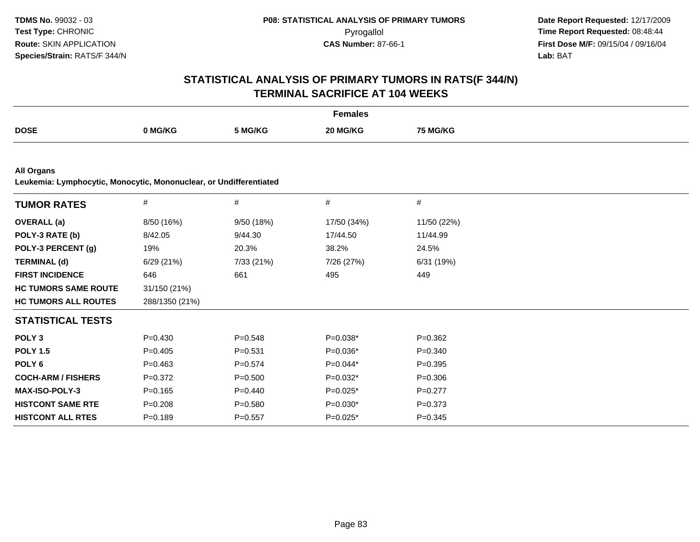|                                                                                         |                |             | <b>Females</b> |             |  |
|-----------------------------------------------------------------------------------------|----------------|-------------|----------------|-------------|--|
| <b>DOSE</b>                                                                             | 0 MG/KG        | 5 MG/KG     | 20 MG/KG       | 75 MG/KG    |  |
|                                                                                         |                |             |                |             |  |
| <b>All Organs</b><br>Leukemia: Lymphocytic, Monocytic, Mononuclear, or Undifferentiated |                |             |                |             |  |
| <b>TUMOR RATES</b>                                                                      | $\#$           | $\#$        | $\#$           | $\#$        |  |
| <b>OVERALL</b> (a)                                                                      | 8/50 (16%)     | 9/50 (18%)  | 17/50 (34%)    | 11/50 (22%) |  |
| POLY-3 RATE (b)                                                                         | 8/42.05        | 9/44.30     | 17/44.50       | 11/44.99    |  |
| POLY-3 PERCENT (g)                                                                      | 19%            | 20.3%       | 38.2%          | 24.5%       |  |
| <b>TERMINAL (d)</b>                                                                     | 6/29 (21%)     | 7/33 (21%)  | 7/26 (27%)     | 6/31 (19%)  |  |
| <b>FIRST INCIDENCE</b>                                                                  | 646            | 661         | 495            | 449         |  |
| <b>HC TUMORS SAME ROUTE</b>                                                             | 31/150 (21%)   |             |                |             |  |
| <b>HC TUMORS ALL ROUTES</b>                                                             | 288/1350 (21%) |             |                |             |  |
| <b>STATISTICAL TESTS</b>                                                                |                |             |                |             |  |
| POLY <sub>3</sub>                                                                       | $P = 0.430$    | $P = 0.548$ | $P=0.038*$     | $P = 0.362$ |  |
| <b>POLY 1.5</b>                                                                         | $P=0.405$      | $P = 0.531$ | $P=0.036*$     | $P = 0.340$ |  |
| POLY <sub>6</sub>                                                                       | $P=0.463$      | $P=0.574$   | $P=0.044*$     | $P = 0.395$ |  |
| <b>COCH-ARM / FISHERS</b>                                                               | $P=0.372$      | $P = 0.500$ | $P=0.032*$     | $P = 0.306$ |  |
| <b>MAX-ISO-POLY-3</b>                                                                   | $P=0.165$      | $P=0.440$   | $P=0.025*$     | $P=0.277$   |  |
| <b>HISTCONT SAME RTE</b>                                                                | $P = 0.208$    | $P = 0.580$ | $P=0.030*$     | $P = 0.373$ |  |
| <b>HISTCONT ALL RTES</b>                                                                | $P = 0.189$    | $P = 0.557$ | $P=0.025*$     | $P = 0.345$ |  |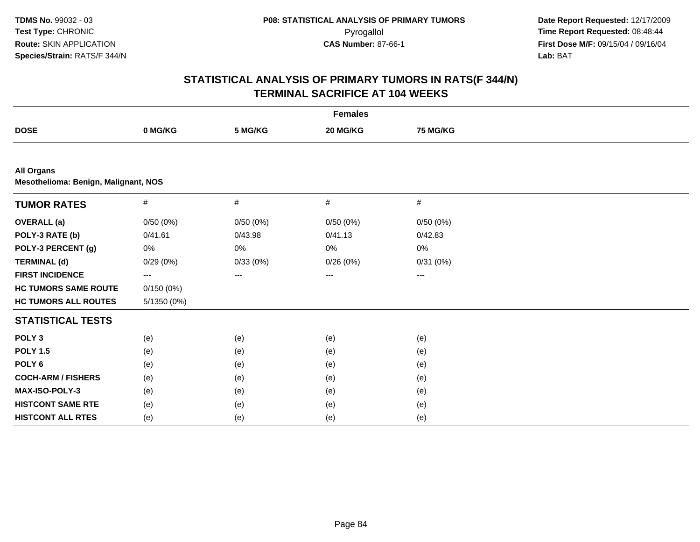| <b>Females</b>              |                                      |          |          |          |  |
|-----------------------------|--------------------------------------|----------|----------|----------|--|
| <b>DOSE</b>                 | 0 MG/KG                              | 5 MG/KG  | 20 MG/KG | 75 MG/KG |  |
|                             |                                      |          |          |          |  |
| <b>All Organs</b>           | Mesothelioma: Benign, Malignant, NOS |          |          |          |  |
| <b>TUMOR RATES</b>          | $\#$                                 | $\#$     | $\#$     | $\#$     |  |
| <b>OVERALL</b> (a)          | 0/50(0%)                             | 0/50(0%) | 0/50(0%) | 0/50(0%) |  |
| POLY-3 RATE (b)             | 0/41.61                              | 0/43.98  | 0/41.13  | 0/42.83  |  |
| POLY-3 PERCENT (g)          | 0%                                   | 0%       | 0%       | 0%       |  |
| <b>TERMINAL (d)</b>         | 0/29(0%)                             | 0/33(0%) | 0/26(0%) | 0/31(0%) |  |
| <b>FIRST INCIDENCE</b>      | ---                                  | ---      | ---      | ---      |  |
| <b>HC TUMORS SAME ROUTE</b> | 0/150(0%)                            |          |          |          |  |
| <b>HC TUMORS ALL ROUTES</b> | 5/1350 (0%)                          |          |          |          |  |
| <b>STATISTICAL TESTS</b>    |                                      |          |          |          |  |
| POLY <sub>3</sub>           | (e)                                  | (e)      | (e)      | (e)      |  |
| <b>POLY 1.5</b>             | (e)                                  | (e)      | (e)      | (e)      |  |
| POLY <sub>6</sub>           | (e)                                  | (e)      | (e)      | (e)      |  |
| <b>COCH-ARM / FISHERS</b>   | (e)                                  | (e)      | (e)      | (e)      |  |
| <b>MAX-ISO-POLY-3</b>       | (e)                                  | (e)      | (e)      | (e)      |  |
| <b>HISTCONT SAME RTE</b>    | (e)                                  | (e)      | (e)      | (e)      |  |
| <b>HISTCONT ALL RTES</b>    | (e)                                  | (e)      | (e)      | (e)      |  |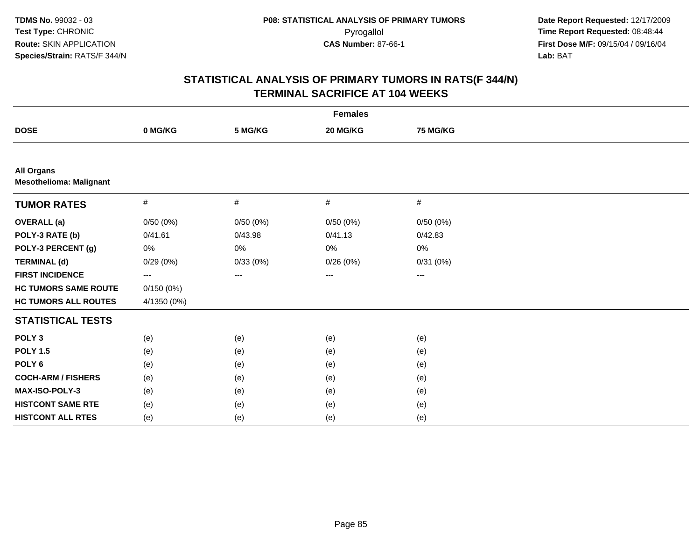| <b>Females</b>                                      |             |          |          |                   |  |
|-----------------------------------------------------|-------------|----------|----------|-------------------|--|
| <b>DOSE</b>                                         | 0 MG/KG     | 5 MG/KG  | 20 MG/KG | 75 MG/KG          |  |
|                                                     |             |          |          |                   |  |
| <b>All Organs</b><br><b>Mesothelioma: Malignant</b> |             |          |          |                   |  |
| <b>TUMOR RATES</b>                                  | #           | $\#$     | $\#$     | $\#$              |  |
| <b>OVERALL (a)</b>                                  | 0/50(0%)    | 0/50(0%) | 0/50(0%) | 0/50(0%)          |  |
| POLY-3 RATE (b)                                     | 0/41.61     | 0/43.98  | 0/41.13  | 0/42.83           |  |
| POLY-3 PERCENT (g)                                  | 0%          | 0%       | 0%       | 0%                |  |
| <b>TERMINAL (d)</b>                                 | 0/29(0%)    | 0/33(0%) | 0/26(0%) | 0/31(0%)          |  |
| <b>FIRST INCIDENCE</b>                              | ---         | ---      | ---      | $\qquad \qquad -$ |  |
| <b>HC TUMORS SAME ROUTE</b>                         | 0/150(0%)   |          |          |                   |  |
| <b>HC TUMORS ALL ROUTES</b>                         | 4/1350 (0%) |          |          |                   |  |
| <b>STATISTICAL TESTS</b>                            |             |          |          |                   |  |
| POLY <sub>3</sub>                                   | (e)         | (e)      | (e)      | (e)               |  |
| <b>POLY 1.5</b>                                     | (e)         | (e)      | (e)      | (e)               |  |
| POLY <sub>6</sub>                                   | (e)         | (e)      | (e)      | (e)               |  |
| <b>COCH-ARM / FISHERS</b>                           | (e)         | (e)      | (e)      | (e)               |  |
| MAX-ISO-POLY-3                                      | (e)         | (e)      | (e)      | (e)               |  |
| <b>HISTCONT SAME RTE</b>                            | (e)         | (e)      | (e)      | (e)               |  |
| <b>HISTCONT ALL RTES</b>                            | (e)         | (e)      | (e)      | (e)               |  |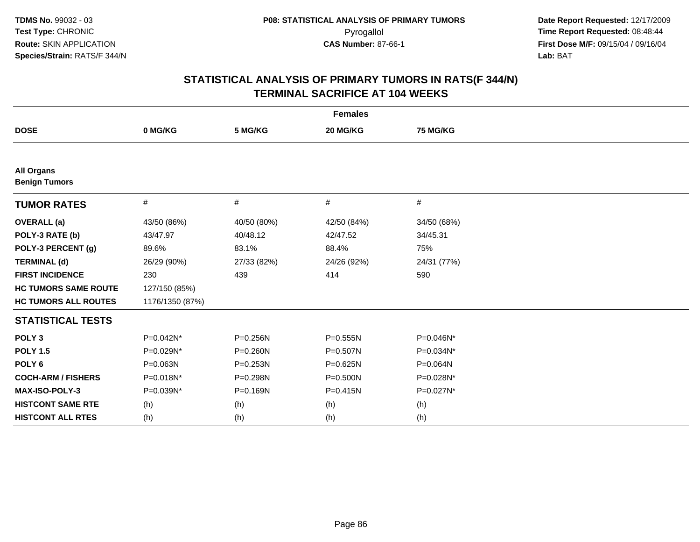| <b>Females</b>                            |                 |             |              |             |  |
|-------------------------------------------|-----------------|-------------|--------------|-------------|--|
| <b>DOSE</b>                               | 0 MG/KG         | 5 MG/KG     | 20 MG/KG     | 75 MG/KG    |  |
|                                           |                 |             |              |             |  |
| <b>All Organs</b><br><b>Benign Tumors</b> |                 |             |              |             |  |
| <b>TUMOR RATES</b>                        | #               | #           | #            | #           |  |
| <b>OVERALL</b> (a)                        | 43/50 (86%)     | 40/50 (80%) | 42/50 (84%)  | 34/50 (68%) |  |
| POLY-3 RATE (b)                           | 43/47.97        | 40/48.12    | 42/47.52     | 34/45.31    |  |
| POLY-3 PERCENT (g)                        | 89.6%           | 83.1%       | 88.4%        | 75%         |  |
| <b>TERMINAL (d)</b>                       | 26/29 (90%)     | 27/33 (82%) | 24/26 (92%)  | 24/31 (77%) |  |
| <b>FIRST INCIDENCE</b>                    | 230             | 439         | 414          | 590         |  |
| <b>HC TUMORS SAME ROUTE</b>               | 127/150 (85%)   |             |              |             |  |
| <b>HC TUMORS ALL ROUTES</b>               | 1176/1350 (87%) |             |              |             |  |
| <b>STATISTICAL TESTS</b>                  |                 |             |              |             |  |
| POLY <sub>3</sub>                         | P=0.042N*       | P=0.256N    | $P = 0.555N$ | P=0.046N*   |  |
| <b>POLY 1.5</b>                           | P=0.029N*       | P=0.260N    | $P = 0.507N$ | P=0.034N*   |  |
| POLY <sub>6</sub>                         | P=0.063N        | P=0.253N    | P=0.625N     | P=0.064N    |  |
| <b>COCH-ARM / FISHERS</b>                 | P=0.018N*       | P=0.298N    | P=0.500N     | P=0.028N*   |  |
| MAX-ISO-POLY-3                            | P=0.039N*       | P=0.169N    | $P = 0.415N$ | P=0.027N*   |  |
| <b>HISTCONT SAME RTE</b>                  | (h)             | (h)         | (h)          | (h)         |  |
| <b>HISTCONT ALL RTES</b>                  | (h)             | (h)         | (h)          | (h)         |  |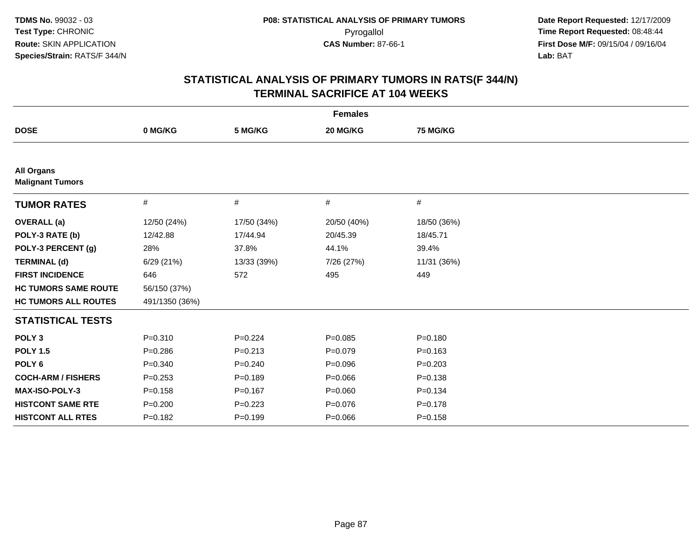| <b>Females</b>                               |                |             |             |             |
|----------------------------------------------|----------------|-------------|-------------|-------------|
| <b>DOSE</b>                                  | 0 MG/KG        | 5 MG/KG     | 20 MG/KG    | 75 MG/KG    |
|                                              |                |             |             |             |
| <b>All Organs</b><br><b>Malignant Tumors</b> |                |             |             |             |
| <b>TUMOR RATES</b>                           | #              | #           | #           | #           |
| <b>OVERALL</b> (a)                           | 12/50 (24%)    | 17/50 (34%) | 20/50 (40%) | 18/50 (36%) |
| POLY-3 RATE (b)                              | 12/42.88       | 17/44.94    | 20/45.39    | 18/45.71    |
| POLY-3 PERCENT (g)                           | 28%            | 37.8%       | 44.1%       | 39.4%       |
| <b>TERMINAL (d)</b>                          | 6/29(21%)      | 13/33 (39%) | 7/26 (27%)  | 11/31 (36%) |
| <b>FIRST INCIDENCE</b>                       | 646            | 572         | 495         | 449         |
| <b>HC TUMORS SAME ROUTE</b>                  | 56/150 (37%)   |             |             |             |
| <b>HC TUMORS ALL ROUTES</b>                  | 491/1350 (36%) |             |             |             |
| <b>STATISTICAL TESTS</b>                     |                |             |             |             |
| POLY <sub>3</sub>                            | $P = 0.310$    | $P = 0.224$ | $P = 0.085$ | $P = 0.180$ |
| <b>POLY 1.5</b>                              | $P = 0.286$    | $P = 0.213$ | $P = 0.079$ | $P = 0.163$ |
| POLY <sub>6</sub>                            | $P = 0.340$    | $P = 0.240$ | $P = 0.096$ | $P = 0.203$ |
| <b>COCH-ARM / FISHERS</b>                    | $P = 0.253$    | $P = 0.189$ | $P = 0.066$ | $P = 0.138$ |
| <b>MAX-ISO-POLY-3</b>                        | $P = 0.158$    | $P=0.167$   | $P=0.060$   | $P = 0.134$ |
| <b>HISTCONT SAME RTE</b>                     | $P = 0.200$    | $P=0.223$   | $P=0.076$   | $P = 0.178$ |
| <b>HISTCONT ALL RTES</b>                     | $P=0.182$      | $P=0.199$   | $P = 0.066$ | $P = 0.158$ |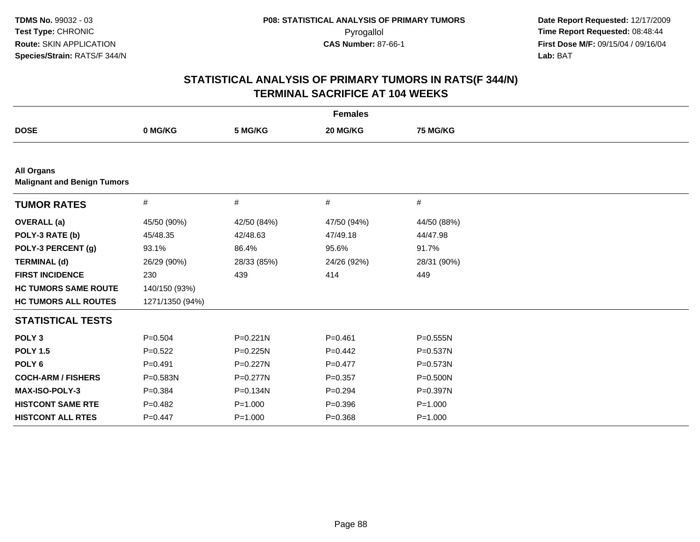| <b>Females</b>                                          |                 |              |             |              |  |
|---------------------------------------------------------|-----------------|--------------|-------------|--------------|--|
| <b>DOSE</b>                                             | 0 MG/KG         | 5 MG/KG      | 20 MG/KG    | 75 MG/KG     |  |
|                                                         |                 |              |             |              |  |
| <b>All Organs</b><br><b>Malignant and Benign Tumors</b> |                 |              |             |              |  |
| <b>TUMOR RATES</b>                                      | $\#$            | $\#$         | $\#$        | $\#$         |  |
| <b>OVERALL</b> (a)                                      | 45/50 (90%)     | 42/50 (84%)  | 47/50 (94%) | 44/50 (88%)  |  |
| POLY-3 RATE (b)                                         | 45/48.35        | 42/48.63     | 47/49.18    | 44/47.98     |  |
| POLY-3 PERCENT (g)                                      | 93.1%           | 86.4%        | 95.6%       | 91.7%        |  |
| <b>TERMINAL (d)</b>                                     | 26/29 (90%)     | 28/33 (85%)  | 24/26 (92%) | 28/31 (90%)  |  |
| <b>FIRST INCIDENCE</b>                                  | 230             | 439          | 414         | 449          |  |
| <b>HC TUMORS SAME ROUTE</b>                             | 140/150 (93%)   |              |             |              |  |
| <b>HC TUMORS ALL ROUTES</b>                             | 1271/1350 (94%) |              |             |              |  |
| <b>STATISTICAL TESTS</b>                                |                 |              |             |              |  |
| POLY <sub>3</sub>                                       | $P = 0.504$     | $P = 0.221N$ | $P = 0.461$ | $P = 0.555N$ |  |
| <b>POLY 1.5</b>                                         | $P=0.522$       | $P = 0.225N$ | $P=0.442$   | $P = 0.537N$ |  |
| POLY <sub>6</sub>                                       | $P=0.491$       | $P=0.227N$   | $P=0.477$   | $P = 0.573N$ |  |
| <b>COCH-ARM / FISHERS</b>                               | P=0.583N        | $P = 0.277N$ | $P = 0.357$ | $P = 0.500N$ |  |
| <b>MAX-ISO-POLY-3</b>                                   | $P = 0.384$     | P=0.134N     | $P=0.294$   | $P = 0.397N$ |  |
| <b>HISTCONT SAME RTE</b>                                | $P=0.482$       | $P = 1.000$  | $P = 0.396$ | $P = 1.000$  |  |
| <b>HISTCONT ALL RTES</b>                                | $P=0.447$       | $P = 1.000$  | $P = 0.368$ | $P = 1.000$  |  |